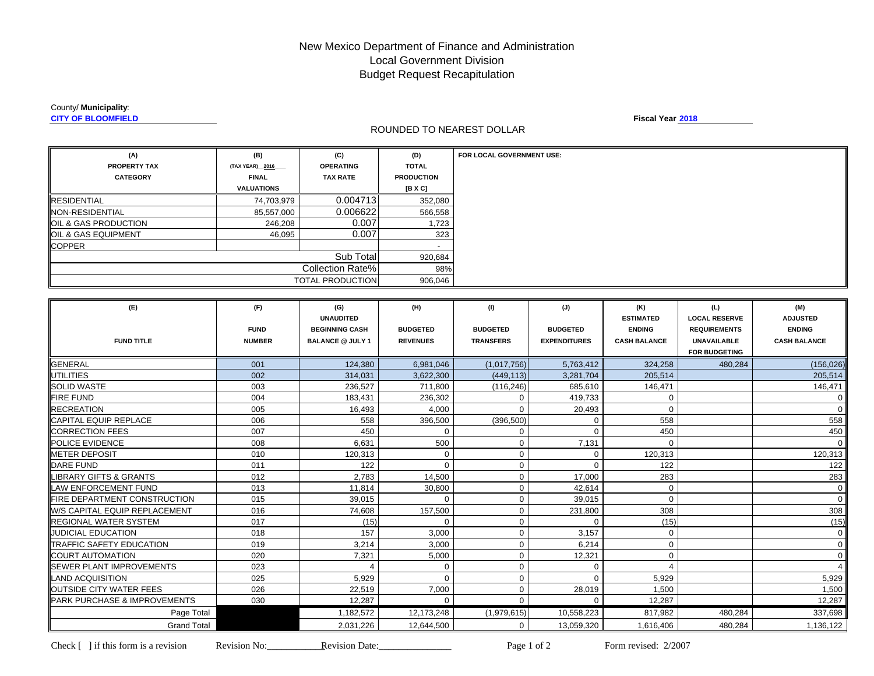# New Mexico Department of Finance and Administration Local Government Division Budget Request Recapitulation

## County/ **Municipality**:

**CITY OF BLOOMFIELD**

## ROUNDED TO NEAREST DOLLAR

**Fiscal Year 2018**

| (A)                              | (B)             | (C)                     | (D)               |
|----------------------------------|-----------------|-------------------------|-------------------|
| <b>PROPERTY TAX</b>              | (TAX YEAR) 2016 | <b>OPERATING</b>        | <b>TOTAL</b>      |
| <b>CATEGORY</b>                  | <b>FINAL</b>    | <b>TAX RATE</b>         | <b>PRODUCTION</b> |
|                                  | VALUATIONS      |                         | [B X C]           |
| <b>RESIDENTIAL</b>               | 74,703,979      | 0.004713                | 352,080           |
| <b>INON-RESIDENTIAL</b>          | 85,557,000      | 0.006622                | 566,558           |
| <b>JOIL &amp; GAS PRODUCTION</b> | 246,208         | 0.007                   | 1,723             |
| <b>OIL &amp; GAS EQUIPMENT</b>   | 46,095          | 0.007                   | 323               |
| <b>COPPER</b>                    |                 |                         |                   |
|                                  |                 | Sub Total               | 920,684           |
| <b>Collection Rate%</b>          |                 |                         | 98%               |
|                                  |                 | <b>TOTAL PRODUCTION</b> | 906,046           |

| (E)                                      | (F)<br><b>FUND</b> | (G)<br><b>UNAUDITED</b><br><b>BEGINNING CASH</b> | (H)<br><b>BUDGETED</b> | (1)<br><b>BUDGETED</b> | (J)<br><b>BUDGETED</b> | (K)<br><b>ESTIMATED</b><br><b>ENDING</b> | (L)<br><b>LOCAL RESERVE</b><br><b>REQUIREMENTS</b> | (M)<br><b>ADJUSTED</b><br><b>ENDING</b> |
|------------------------------------------|--------------------|--------------------------------------------------|------------------------|------------------------|------------------------|------------------------------------------|----------------------------------------------------|-----------------------------------------|
| <b>FUND TITLE</b>                        | <b>NUMBER</b>      | <b>BALANCE @ JULY 1</b>                          | <b>REVENUES</b>        | <b>TRANSFERS</b>       | <b>EXPENDITURES</b>    | <b>CASH BALANCE</b>                      | <b>UNAVAILABLE</b>                                 | <b>CASH BALANCE</b>                     |
|                                          |                    |                                                  |                        |                        |                        |                                          | <b>FOR BUDGETING</b>                               |                                         |
| <b>GENERAL</b>                           | 001                | 124,380                                          | 6,981,046              | (1,017,756)            | 5,763,412              | 324,258                                  | 480,284                                            | (156, 026)                              |
| <b>UTILITIES</b>                         | 002                | 314.031                                          | 3,622,300              | (449.113)              | 3.281.704              | 205,514                                  |                                                    | 205,514                                 |
| <b>SOLID WASTE</b>                       | 003                | 236,527                                          | 711.800                | (116, 246)             | 685.610                | 146,471                                  |                                                    | 146,471                                 |
| <b>IFIRE FUND</b>                        | 004                | 183,431                                          | 236,302                | $\mathbf 0$            | 419,733                | $\mathbf 0$                              |                                                    |                                         |
| <b>RECREATION</b>                        | 005                | 16,493                                           | 4.000                  | $\Omega$               | 20,493                 | $\mathbf 0$                              |                                                    | $\Omega$                                |
| <b>CAPITAL EQUIP REPLACE</b>             | 006                | 558                                              | 396,500                | (396, 500)             | $\mathbf 0$            | 558                                      |                                                    | 558                                     |
| <b>CORRECTION FEES</b>                   | 007                | 450                                              | $\Omega$               | 0                      | $\Omega$               | 450                                      |                                                    | 450                                     |
| <b>IPOLICE EVIDENCE</b>                  | 008                | 6,631                                            | 500                    | 0                      | 7,131                  | $\Omega$                                 |                                                    | $\Omega$                                |
| <b>IMETER DEPOSIT</b>                    | 010                | 120,313                                          | $\mathbf 0$            | $\mathbf 0$            | $\mathbf 0$            | 120,313                                  |                                                    | 120,313                                 |
| <b>DARE FUND</b>                         | 011                | 122                                              | $\Omega$               | $\mathbf 0$            | $\Omega$               | 122                                      |                                                    | 122                                     |
| <b>LIBRARY GIFTS &amp; GRANTS</b>        | 012                | 2.783                                            | 14,500                 | $\mathbf 0$            | 17,000                 | 283                                      |                                                    | 283                                     |
| <b>LAW ENFORCEMENT FUND</b>              | 013                | 11,814                                           | 30,800                 | $\mathbf 0$            | 42.614                 | $\mathbf 0$                              |                                                    | $\mathbf 0$                             |
| <b>IFIRE DEPARTMENT CONSTRUCTION</b>     | 015                | 39,015                                           | $\Omega$               | $\mathbf 0$            | 39.015                 | $\mathbf 0$                              |                                                    | $\mathbf 0$                             |
| <b>W/S CAPITAL EQUIP REPLACEMENT</b>     | 016                | 74,608                                           | 157,500                | $\mathbf 0$            | 231,800                | 308                                      |                                                    | 308                                     |
| <b>IREGIONAL WATER SYSTEM</b>            | 017                | (15)                                             | $\mathbf 0$            | $\mathbf 0$            | $\Omega$               | (15)                                     |                                                    | (15)                                    |
| <b>JUDICIAL EDUCATION</b>                | 018                | 157                                              | 3,000                  | 0                      | 3,157                  | 0                                        |                                                    | 0                                       |
| TRAFFIC SAFETY EDUCATION                 | 019                | 3.214                                            | 3.000                  | $\mathbf 0$            | 6.214                  | $\mathbf 0$                              |                                                    | $\mathbf 0$                             |
| <b>COURT AUTOMATION</b>                  | 020                | 7,321                                            | 5,000                  | $\mathbf 0$            | 12,321                 | $\mathbf 0$                              |                                                    | $\mathbf 0$                             |
| <b>SEWER PLANT IMPROVEMENTS</b>          | 023                |                                                  | $\mathbf{0}$           | $\mathbf 0$            | $\mathbf 0$            |                                          |                                                    |                                         |
| <b>ILAND ACQUISITION</b>                 | 025                | 5,929                                            | $\Omega$               | $\mathbf 0$            | $\Omega$               | 5,929                                    |                                                    | 5,929                                   |
| <b>IOUTSIDE CITY WATER FEES</b>          | 026                | 22,519                                           | 7,000                  | $\mathbf 0$            | 28,019                 | 1,500                                    |                                                    | 1,500                                   |
| <b>IPARK PURCHASE &amp; IMPROVEMENTS</b> | 030                | 12.287                                           | $\mathbf{0}$           | $\mathbf 0$            | 0                      | 12.287                                   |                                                    | 12,287                                  |
| Page Total                               |                    | 1,182,572                                        | 12,173,248             | (1,979,615)            | 10,558,223             | 817,982                                  | 480,284                                            | 337,698                                 |
| <b>Grand Total</b>                       |                    | 2,031,226                                        | 12,644,500             | 0                      | 13,059,320             | 1,616,406                                | 480,284                                            | 1,136,122                               |

Page 1 of 2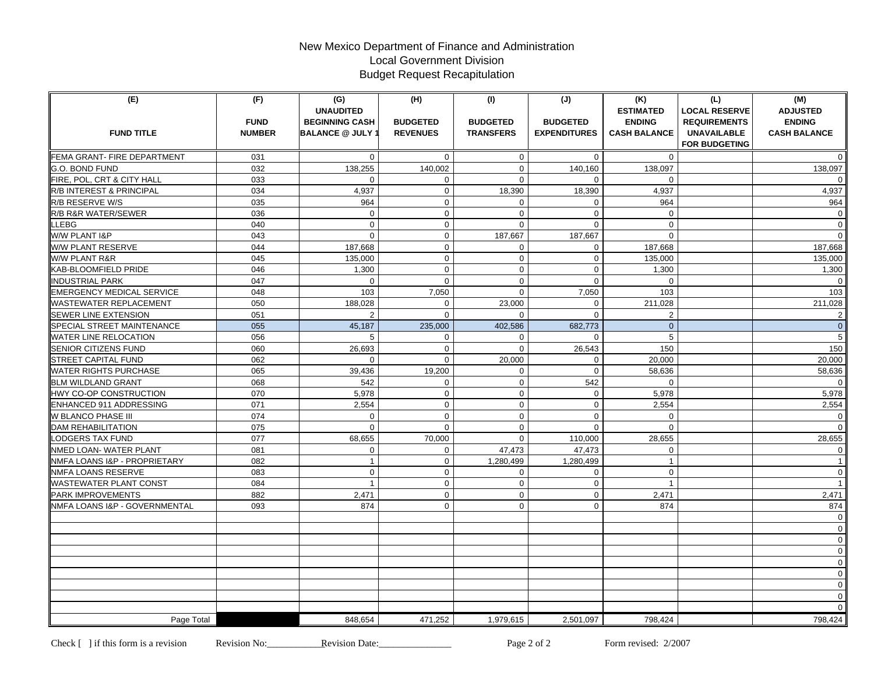# New Mexico Department of Finance and Administration Local Government Division Budget Request Recapitulation

| (E)                                                       | (F)                          | (G)<br><b>UNAUDITED</b>                          | (H)                                | (1)                                 | (J)                                    | (K)<br><b>ESTIMATED</b>              | (L)<br><b>LOCAL RESERVE</b>                                       | (M)<br><b>ADJUSTED</b>               |
|-----------------------------------------------------------|------------------------------|--------------------------------------------------|------------------------------------|-------------------------------------|----------------------------------------|--------------------------------------|-------------------------------------------------------------------|--------------------------------------|
| <b>FUND TITLE</b>                                         | <b>FUND</b><br><b>NUMBER</b> | <b>BEGINNING CASH</b><br><b>BALANCE @ JULY 1</b> | <b>BUDGETED</b><br><b>REVENUES</b> | <b>BUDGETED</b><br><b>TRANSFERS</b> | <b>BUDGETED</b><br><b>EXPENDITURES</b> | <b>ENDING</b><br><b>CASH BALANCE</b> | <b>REQUIREMENTS</b><br><b>UNAVAILABLE</b><br><b>FOR BUDGETING</b> | <b>ENDING</b><br><b>CASH BALANCE</b> |
| FEMA GRANT- FIRE DEPARTMENT                               | 031                          | $\mathbf 0$                                      | $\mathbf{0}$                       | $\mathbf{0}$                        | $\mathbf 0$                            | $\Omega$                             |                                                                   | $\overline{0}$                       |
| G.O. BOND FUND                                            | 032                          | 138,255                                          | 140,002                            | $\mathbf 0$                         | 140,160                                | 138,097                              |                                                                   | 138,097                              |
| FIRE, POL, CRT & CITY HALL                                | 033                          | $\mathbf 0$                                      | $\mathbf 0$                        | $\mathbf 0$                         | $\Omega$                               | $\mathbf 0$                          |                                                                   | $\mathbf 0$                          |
| <b>R/B INTEREST &amp; PRINCIPAL</b>                       | 034                          | 4,937                                            | $\mathbf 0$                        | 18,390                              | 18,390                                 | 4,937                                |                                                                   | 4,937                                |
| <b>R/B RESERVE W/S</b>                                    | 035                          | 964                                              | $\mathbf 0$                        | $\Omega$                            | $\Omega$                               | 964                                  |                                                                   | 964                                  |
| <b>R/B R&amp;R WATER/SEWER</b>                            | 036                          | $\mathbf 0$                                      | $\mathbf 0$                        | $\mathbf 0$                         | $\mathbf{0}$                           | $\mathbf{0}$                         |                                                                   | $\mathbf 0$                          |
| LLEBG                                                     | 040                          | $\mathbf 0$                                      | $\mathbf 0$                        | $\mathbf{0}$                        | $\mathbf 0$                            | $\mathbf{0}$                         |                                                                   | $\mathbf{0}$                         |
| W/W PLANT I&P                                             | 043                          | $\Omega$                                         | $\mathbf 0$                        | 187,667                             | 187,667                                | $\Omega$                             |                                                                   | $\mathbf 0$                          |
| W/W PLANT RESERVE                                         | 044                          | 187,668                                          | $\mathbf 0$                        | $\mathbf 0$                         | $\mathbf{0}$                           | 187,668                              |                                                                   | 187,668                              |
| W/W PLANT R&R                                             | 045                          | 135,000                                          | $\mathbf 0$                        | $\mathbf 0$                         | $\mathbf 0$                            | 135,000                              |                                                                   | 135,000                              |
| KAB-BLOOMFIELD PRIDE                                      | 046                          | 1,300                                            | $\mathbf 0$                        | $\mathbf 0$                         | $\mathbf{0}$                           | 1,300                                |                                                                   | 1,300                                |
| <b>INDUSTRIAL PARK</b>                                    | 047                          | $\Omega$                                         | $\Omega$                           | $\Omega$                            | $\Omega$                               | $\Omega$                             |                                                                   | $\Omega$                             |
| <b>EMERGENCY MEDICAL SERVICE</b>                          | 048                          | 103                                              | 7,050                              | $\Omega$                            | 7,050                                  | 103                                  |                                                                   | 103                                  |
| WASTEWATER REPLACEMENT                                    | 050                          | 188.028                                          | $\mathbf 0$                        | 23,000                              | $\mathbf 0$                            | 211,028                              |                                                                   | 211,028                              |
| <b>SEWER LINE EXTENSION</b>                               | 051                          | 2                                                | $\Omega$                           | $\Omega$                            | $\Omega$                               | $\overline{2}$                       |                                                                   | 2                                    |
| SPECIAL STREET MAINTENANCE                                | 055                          | 45,187                                           | 235,000                            | 402,586                             | 682,773                                | $\mathbf{0}$                         |                                                                   | $\overline{0}$                       |
| WATER LINE RELOCATION                                     | 056                          | 5                                                | $\mathbf 0$                        | $\mathbf 0$                         | $\mathbf 0$                            | 5                                    |                                                                   | $5\phantom{.0}$                      |
| <b>SENIOR CITIZENS FUND</b>                               | 060                          | 26,693                                           | $\mathbf 0$                        | $\mathbf 0$                         | 26,543                                 | 150                                  |                                                                   | 150                                  |
| <b>STREET CAPITAL FUND</b>                                | 062                          | $\mathbf 0$                                      | $\mathbf{0}$                       | 20,000                              | $\mathbf 0$                            | 20,000                               |                                                                   | 20,000                               |
| <b>WATER RIGHTS PURCHASE</b>                              | 065                          | 39,436                                           | 19,200                             | $\mathbf 0$                         | $\mathbf{0}$                           | 58,636                               |                                                                   | 58,636                               |
| <b>BLM WILDLAND GRANT</b>                                 | 068                          | 542                                              | $\mathbf{0}$                       | $\mathbf 0$                         | 542                                    | $\mathbf 0$                          |                                                                   | $\overline{0}$                       |
| HWY CO-OP CONSTRUCTION                                    | 070                          | 5,978                                            | $\mathbf 0$                        | $\mathbf 0$                         | $\mathbf 0$                            | 5,978                                |                                                                   | 5,978                                |
| ENHANCED 911 ADDRESSING                                   | 071                          | 2,554                                            | $\mathbf 0$                        | $\mathbf 0$                         | $\mathbf 0$                            | 2,554                                |                                                                   | 2,554                                |
| <b>W BLANCO PHASE III</b>                                 | 074                          | $\mathbf 0$                                      | $\mathbf 0$                        | $\mathbf 0$                         | $\mathbf 0$                            | $\mathbf{0}$                         |                                                                   | $\mathbf 0$                          |
| <b>DAM REHABILITATION</b>                                 | 075                          | $\mathbf 0$                                      | $\mathbf 0$                        | $\mathbf 0$                         | $\mathbf{0}$                           | $\mathbf 0$                          |                                                                   | $\mathbf{0}$                         |
| <b>LODGERS TAX FUND</b>                                   | 077                          | 68,655                                           | 70,000                             | $\Omega$                            | 110,000                                | 28,655                               |                                                                   | 28,655                               |
| NMED LOAN- WATER PLANT                                    | 081                          | $\mathbf 0$                                      | $\mathbf 0$                        | 47,473                              | 47,473                                 | $\mathbf{0}$                         |                                                                   | $\mathbf 0$                          |
| NMFA LOANS I&P - PROPRIETARY                              | 082                          | $\mathbf{1}$                                     | $\mathbf 0$                        | 1,280,499                           | 1,280,499                              | $\mathbf{1}$                         |                                                                   | $\overline{1}$                       |
| <b>NMFA LOANS RESERVE</b>                                 | 083                          | $\mathbf 0$<br>$\overline{1}$                    | $\mathbf 0$                        | $\mathbf{0}$                        | $\mathbf 0$                            | $\mathbf 0$<br>$\mathbf{1}$          |                                                                   | $\mathbf{0}$<br>$\overline{1}$       |
| <b>WASTEWATER PLANT CONST</b>                             | 084<br>882                   |                                                  | $\mathbf 0$<br>$\mathbf 0$         | $\mathbf 0$<br>$\mathbf 0$          | $\mathbf{0}$<br>$\mathbf{0}$           |                                      |                                                                   |                                      |
| <b>PARK IMPROVEMENTS</b><br>NMFA LOANS I&P - GOVERNMENTAL |                              | 2,471<br>874                                     | $\mathbf 0$                        | $\mathbf 0$                         | $\mathbf 0$                            | 2,471<br>874                         |                                                                   | 2,471                                |
|                                                           | 093                          |                                                  |                                    |                                     |                                        |                                      |                                                                   | 874<br>$\mathbf{0}$                  |
|                                                           |                              |                                                  |                                    |                                     |                                        |                                      |                                                                   | $\mathbf 0$                          |
|                                                           |                              |                                                  |                                    |                                     |                                        |                                      |                                                                   | $\mathbf 0$                          |
|                                                           |                              |                                                  |                                    |                                     |                                        |                                      |                                                                   | $\mathbf 0$                          |
|                                                           |                              |                                                  |                                    |                                     |                                        |                                      |                                                                   | $\mathbf{0}$                         |
|                                                           |                              |                                                  |                                    |                                     |                                        |                                      |                                                                   | $\mathbf 0$                          |
|                                                           |                              |                                                  |                                    |                                     |                                        |                                      |                                                                   | $\mathbf 0$                          |
|                                                           |                              |                                                  |                                    |                                     |                                        |                                      |                                                                   | $\mathbf 0$                          |
|                                                           |                              |                                                  |                                    |                                     |                                        |                                      |                                                                   | $\mathbf 0$                          |
| Page Total                                                |                              | 848.654                                          | 471,252                            | 1,979,615                           | 2,501,097                              | 798.424                              |                                                                   | 798,424                              |
|                                                           |                              |                                                  |                                    |                                     |                                        |                                      |                                                                   |                                      |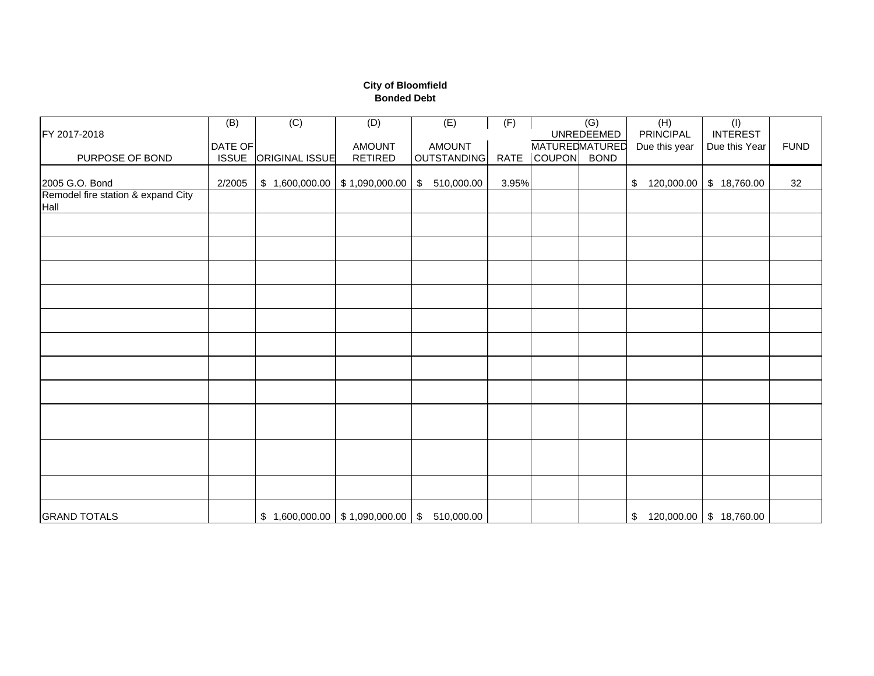## **City of Bloomfield Bonded Debt**

|                                    | (B)                     | $\overline{C}$                                | (D)                             | (E)                          | (F)   |                                           | $\overline{(G)}$ | (H)                        | (1)                       |             |
|------------------------------------|-------------------------|-----------------------------------------------|---------------------------------|------------------------------|-------|-------------------------------------------|------------------|----------------------------|---------------------------|-------------|
| FY 2017-2018                       |                         |                                               |                                 |                              |       |                                           | UNREDEEMED       | <b>PRINCIPAL</b>           | <b>INTEREST</b>           |             |
| PURPOSE OF BOND                    | DATE OF<br><b>ISSUE</b> | <b>ORIGINAL ISSUE</b>                         | <b>AMOUNT</b><br><b>RETIRED</b> | <b>AMOUNT</b><br>OUTSTANDING |       | <b>MATUREDMATURED</b><br>RATE COUPON BOND |                  | Due this year              | Due this Year             | <b>FUND</b> |
|                                    |                         |                                               |                                 |                              |       |                                           |                  |                            |                           |             |
| 2005 G.O. Bond                     | 2/2005                  | $$1,600,000.00$ \ \$1,090,000.00              |                                 | $\mathfrak{S}$<br>510,000.00 | 3.95% |                                           |                  | \$                         | 120,000.00   \$ 18,760.00 | 32          |
| Remodel fire station & expand City |                         |                                               |                                 |                              |       |                                           |                  |                            |                           |             |
| Hall                               |                         |                                               |                                 |                              |       |                                           |                  |                            |                           |             |
|                                    |                         |                                               |                                 |                              |       |                                           |                  |                            |                           |             |
|                                    |                         |                                               |                                 |                              |       |                                           |                  |                            |                           |             |
|                                    |                         |                                               |                                 |                              |       |                                           |                  |                            |                           |             |
|                                    |                         |                                               |                                 |                              |       |                                           |                  |                            |                           |             |
|                                    |                         |                                               |                                 |                              |       |                                           |                  |                            |                           |             |
|                                    |                         |                                               |                                 |                              |       |                                           |                  |                            |                           |             |
|                                    |                         |                                               |                                 |                              |       |                                           |                  |                            |                           |             |
|                                    |                         |                                               |                                 |                              |       |                                           |                  |                            |                           |             |
|                                    |                         |                                               |                                 |                              |       |                                           |                  |                            |                           |             |
|                                    |                         |                                               |                                 |                              |       |                                           |                  |                            |                           |             |
|                                    |                         |                                               |                                 |                              |       |                                           |                  |                            |                           |             |
| <b>GRAND TOTALS</b>                |                         | $$1,600,000.00$ $$1,090,000.00$ $$510,000.00$ |                                 |                              |       |                                           |                  | $$120,000.00$ $$18,760.00$ |                           |             |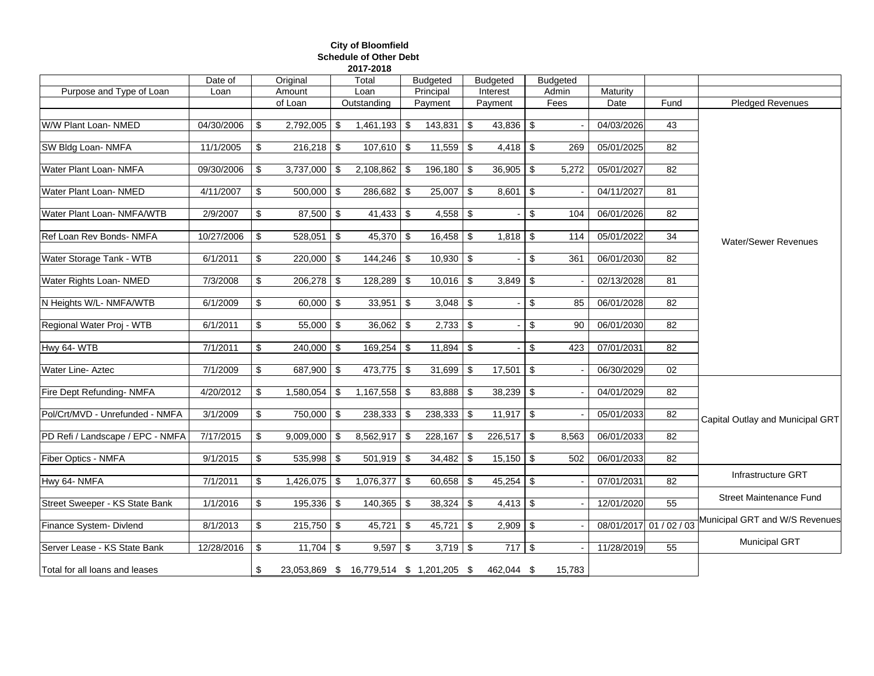## **City of Bloomfield Schedule of Other Debt 2017-2018**

|                                  | Date of    |                           | Original       | Total                                    |            | <b>Budgeted</b> | <b>Budgeted</b>    |       | <b>Budgeted</b> |            |                         |                                  |  |
|----------------------------------|------------|---------------------------|----------------|------------------------------------------|------------|-----------------|--------------------|-------|-----------------|------------|-------------------------|----------------------------------|--|
| Purpose and Type of Loan         | Loan       |                           | Amount         | Loan                                     |            | Principal       | Interest           |       | Admin           | Maturity   |                         |                                  |  |
|                                  |            |                           | of Loan        | Outstanding                              |            | Payment         | Payment            |       | Fees            | Date       | Fund                    | <b>Pledged Revenues</b>          |  |
| W/W Plant Loan- NMED             | 04/30/2006 | \$                        | $2,792,005$ \$ | $1,461,193$ \$                           |            | $143,831$ \$    | $43,836$ \$        |       |                 | 04/03/2026 | 43                      |                                  |  |
| SW Bldg Loan-NMFA                | 11/1/2005  | \$                        | $216,218$ \$   | $107,610$ \$                             |            | $11,559$ \ \$   | $4,418$ \$         |       | 269             | 05/01/2025 | 82                      |                                  |  |
| Water Plant Loan- NMFA           | 09/30/2006 | \$                        | $3,737,000$ \$ | $2,108,862$ \$                           |            | $196,180$ \$    | $36,905$ \$        |       | 5,272           | 05/01/2027 | 82                      |                                  |  |
| Water Plant Loan- NMED           | 4/11/2007  | \$                        | $500,000$ \$   | $286,682$ \$                             |            | $25,007$ \$     | $8,601$ \$         |       |                 | 04/11/2027 | 81                      |                                  |  |
| Water Plant Loan- NMFA/WTB       | 2/9/2007   | \$                        | $87,500$ \$    | $41,433$ \$                              |            |                 |                    | \$    | 104             | 06/01/2026 | 82                      |                                  |  |
| Ref Loan Rev Bonds- NMFA         | 10/27/2006 | -\$                       | $528,051$ \$   |                                          |            |                 | $1,818$ \$         |       | 114             | 05/01/2022 | $\overline{34}$         | <b>Water/Sewer Revenues</b>      |  |
| Water Storage Tank - WTB         | 6/1/2011   | \$                        | 220,000 \$     | $144,246$ \$                             |            | $10,930$ \$     |                    | $-15$ | 361             | 06/01/2030 | 82                      |                                  |  |
| Water Rights Loan- NMED          | 7/3/2008   | \$                        | $206,278$ \$   | $128,289$ \$                             |            | $10,016$ \$     | $3,849$ \ \$       |       |                 | 02/13/2028 | 81                      |                                  |  |
| N Heights W/L- NMFA/WTB          | 6/1/2009   | \$                        | $60,000$ \$    | $33,951$ \$                              |            | $3,048$ \$      |                    | \$    | 85              | 06/01/2028 | 82                      |                                  |  |
| Regional Water Proj - WTB        | 6/1/2011   | \$                        | $55,000$ \$    | $36,062$ \$                              |            | $2,733$ \$      |                    | - 8   | 90              | 06/01/2030 | 82                      |                                  |  |
| Hwy 64-WTB                       | 7/1/2011   | $\boldsymbol{\mathsf{S}}$ | 240,000 \$     | $169,254$ \$                             |            | $11,894$ \$     |                    | \$    | 423             | 07/01/2031 | 82                      |                                  |  |
| <b>Water Line- Aztec</b>         | 7/1/2009   | \$                        | 687,900 \$     | $473,775$ \$                             |            | $31,699$ \$     | $17,501$ \$        |       |                 | 06/30/2029 | 02                      |                                  |  |
| Fire Dept Refunding- NMFA        | 4/20/2012  | \$                        | $1,580,054$ \$ | $1,167,558$ \$                           |            | $83,888$ \$     | $38,239$ \ \$      |       |                 | 04/01/2029 | 82                      |                                  |  |
| Pol/Crt/MVD - Unrefunded - NMFA  | 3/1/2009   | \$                        | 750,000 \$     | $238,333$ \$                             |            | $238,333$ \$    | $11,917$ \$        |       |                 | 05/01/2033 | 82                      | Capital Outlay and Municipal GRT |  |
| PD Refi / Landscape / EPC - NMFA | 7/17/2015  | \$                        | $9,009,000$ \$ | $8,562,917$ \$                           |            | 228,167         | \$<br>$226,517$ \$ |       | 8,563           | 06/01/2033 | 82                      |                                  |  |
| Fiber Optics - NMFA              | 9/1/2015   | \$                        | $535,998$ \$   | $501,919$ \$                             |            |                 | $15,150$ \$        |       | 502             | 06/01/2033 | 82                      |                                  |  |
| Hwy 64- NMFA                     | 7/1/2011   | $\boldsymbol{\mathsf{S}}$ | $1,426,075$ \$ | $1,076,377$ \$                           |            | 60,658          | \$<br>$45,254$ \$  |       |                 | 07/01/2031 | 82                      | Infrastructure GRT               |  |
| Street Sweeper - KS State Bank   | 1/1/2016   | \$                        | $195,336$ \$   | $140,365$ \$                             |            |                 | $4,413$ \$         |       |                 | 12/01/2020 | 55                      | <b>Street Maintenance Fund</b>   |  |
| Finance System- Divlend          | 8/1/2013   | \$                        | $215,750$ \$   | 45,721                                   | $\sqrt{3}$ | $45,721$ \$     | $2,909$ \$         |       |                 |            | 08/01/2017 01 / 02 / 03 | Municipal GRT and W/S Revenues   |  |
| Server Lease - KS State Bank     | 12/28/2016 | \$                        | $11,704$ \$    | $9,597$ \$                               |            | $3,719$ \$      | $717$ \$           |       |                 | 11/28/2019 | 55                      | <b>Municipal GRT</b>             |  |
| Total for all loans and leases   |            | \$                        |                | 23,053,869 \$ 16,779,514 \$ 1,201,205 \$ |            |                 | 462,044 \$         |       | 15,783          |            |                         |                                  |  |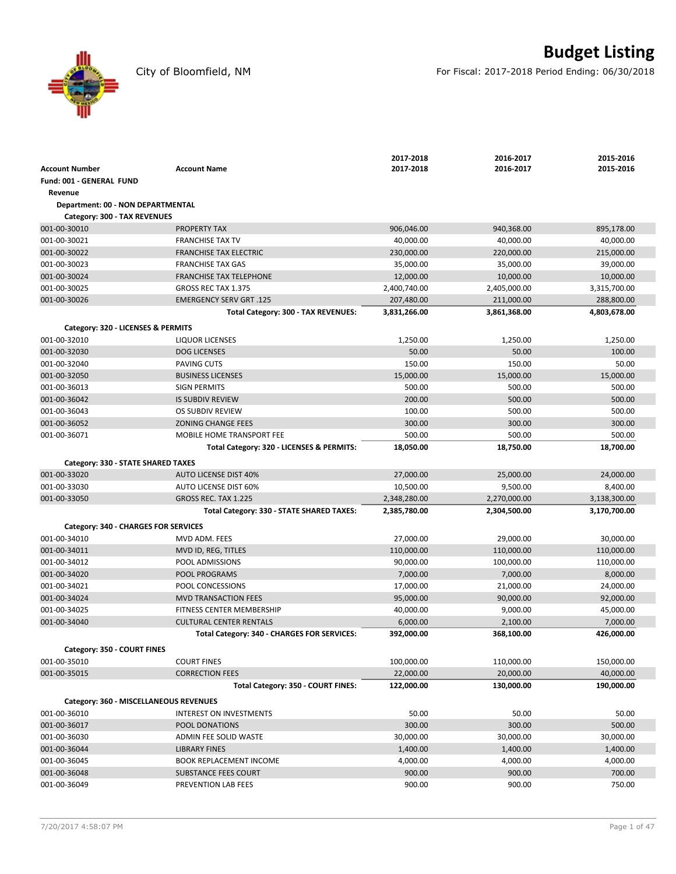City of Bloomfield, NM For Fiscal: 2017-2018 Period Ending: 06/30/2018

|                                        |                                             | 2017-2018    | 2016-2017    | 2015-2016    |
|----------------------------------------|---------------------------------------------|--------------|--------------|--------------|
| <b>Account Number</b>                  | <b>Account Name</b>                         | 2017-2018    | 2016-2017    | 2015-2016    |
| Fund: 001 - GENERAL FUND               |                                             |              |              |              |
| Revenue                                |                                             |              |              |              |
| Department: 00 - NON DEPARTMENTAL      |                                             |              |              |              |
| Category: 300 - TAX REVENUES           |                                             |              |              |              |
| 001-00-30010                           | <b>PROPERTY TAX</b>                         | 906,046.00   | 940,368.00   | 895,178.00   |
| 001-00-30021                           | <b>FRANCHISE TAX TV</b>                     | 40,000.00    | 40,000.00    | 40,000.00    |
| 001-00-30022                           | <b>FRANCHISE TAX ELECTRIC</b>               | 230,000.00   | 220,000.00   | 215,000.00   |
| 001-00-30023                           | <b>FRANCHISE TAX GAS</b>                    | 35,000.00    | 35,000.00    | 39,000.00    |
| 001-00-30024                           | <b>FRANCHISE TAX TELEPHONE</b>              | 12,000.00    | 10,000.00    | 10,000.00    |
| 001-00-30025                           | GROSS REC TAX 1.375                         | 2,400,740.00 | 2,405,000.00 | 3,315,700.00 |
| 001-00-30026                           | <b>EMERGENCY SERV GRT.125</b>               | 207,480.00   | 211,000.00   | 288,800.00   |
|                                        | Total Category: 300 - TAX REVENUES:         | 3,831,266.00 | 3,861,368.00 | 4,803,678.00 |
| Category: 320 - LICENSES & PERMITS     |                                             |              |              |              |
| 001-00-32010                           | <b>LIQUOR LICENSES</b>                      | 1,250.00     | 1,250.00     | 1,250.00     |
| 001-00-32030                           | <b>DOG LICENSES</b>                         | 50.00        | 50.00        | 100.00       |
| 001-00-32040                           | <b>PAVING CUTS</b>                          | 150.00       | 150.00       | 50.00        |
| 001-00-32050                           | <b>BUSINESS LICENSES</b>                    | 15,000.00    | 15,000.00    | 15,000.00    |
| 001-00-36013                           | <b>SIGN PERMITS</b>                         | 500.00       | 500.00       | 500.00       |
| 001-00-36042                           | <b>IS SUBDIV REVIEW</b>                     | 200.00       | 500.00       | 500.00       |
| 001-00-36043                           | OS SUBDIV REVIEW                            | 100.00       | 500.00       | 500.00       |
| 001-00-36052                           | <b>ZONING CHANGE FEES</b>                   | 300.00       | 300.00       | 300.00       |
| 001-00-36071                           | MOBILE HOME TRANSPORT FEE                   | 500.00       | 500.00       | 500.00       |
|                                        | Total Category: 320 - LICENSES & PERMITS:   | 18,050.00    | 18,750.00    | 18,700.00    |
|                                        |                                             |              |              |              |
| Category: 330 - STATE SHARED TAXES     |                                             |              |              |              |
| 001-00-33020                           | <b>AUTO LICENSE DIST 40%</b>                | 27,000.00    | 25,000.00    | 24,000.00    |
| 001-00-33030                           | <b>AUTO LICENSE DIST 60%</b>                | 10,500.00    | 9,500.00     | 8,400.00     |
| 001-00-33050                           | GROSS REC. TAX 1.225                        | 2,348,280.00 | 2,270,000.00 | 3,138,300.00 |
|                                        | Total Category: 330 - STATE SHARED TAXES:   | 2,385,780.00 | 2,304,500.00 | 3,170,700.00 |
| Category: 340 - CHARGES FOR SERVICES   |                                             |              |              |              |
| 001-00-34010                           | MVD ADM. FEES                               | 27,000.00    | 29,000.00    | 30,000.00    |
| 001-00-34011                           | MVD ID, REG, TITLES                         | 110,000.00   | 110,000.00   | 110,000.00   |
| 001-00-34012                           | POOL ADMISSIONS                             | 90,000.00    | 100,000.00   | 110,000.00   |
| 001-00-34020                           | POOL PROGRAMS                               | 7,000.00     | 7,000.00     | 8,000.00     |
| 001-00-34021                           | POOL CONCESSIONS                            | 17,000.00    | 21,000.00    | 24,000.00    |
| 001-00-34024                           | <b>MVD TRANSACTION FEES</b>                 | 95,000.00    | 90,000.00    | 92,000.00    |
| 001-00-34025                           | FITNESS CENTER MEMBERSHIP                   | 40,000.00    | 9,000.00     | 45,000.00    |
| 001-00-34040                           | <b>CULTURAL CENTER RENTALS</b>              | 6,000.00     | 2,100.00     | 7,000.00     |
|                                        | Total Category: 340 - CHARGES FOR SERVICES: | 392,000.00   | 368,100.00   | 426,000.00   |
| Category: 350 - COURT FINES            |                                             |              |              |              |
| 001-00-35010                           | <b>COURT FINES</b>                          | 100,000.00   | 110,000.00   | 150,000.00   |
| 001-00-35015                           | <b>CORRECTION FEES</b>                      | 22,000.00    | 20,000.00    | 40,000.00    |
|                                        | Total Category: 350 - COURT FINES:          |              |              | 190,000.00   |
|                                        |                                             | 122,000.00   | 130,000.00   |              |
| Category: 360 - MISCELLANEOUS REVENUES |                                             |              |              |              |
| 001-00-36010                           | INTEREST ON INVESTMENTS                     | 50.00        | 50.00        | 50.00        |
| 001-00-36017                           | POOL DONATIONS                              | 300.00       | 300.00       | 500.00       |
| 001-00-36030                           | ADMIN FEE SOLID WASTE                       | 30,000.00    | 30,000.00    | 30,000.00    |
| 001-00-36044                           | <b>LIBRARY FINES</b>                        | 1,400.00     | 1,400.00     | 1,400.00     |
| 001-00-36045                           | <b>BOOK REPLACEMENT INCOME</b>              | 4,000.00     | 4,000.00     | 4,000.00     |
| 001-00-36048                           | SUBSTANCE FEES COURT                        | 900.00       | 900.00       | 700.00       |
| 001-00-36049                           | PREVENTION LAB FEES                         | 900.00       | 900.00       | 750.00       |

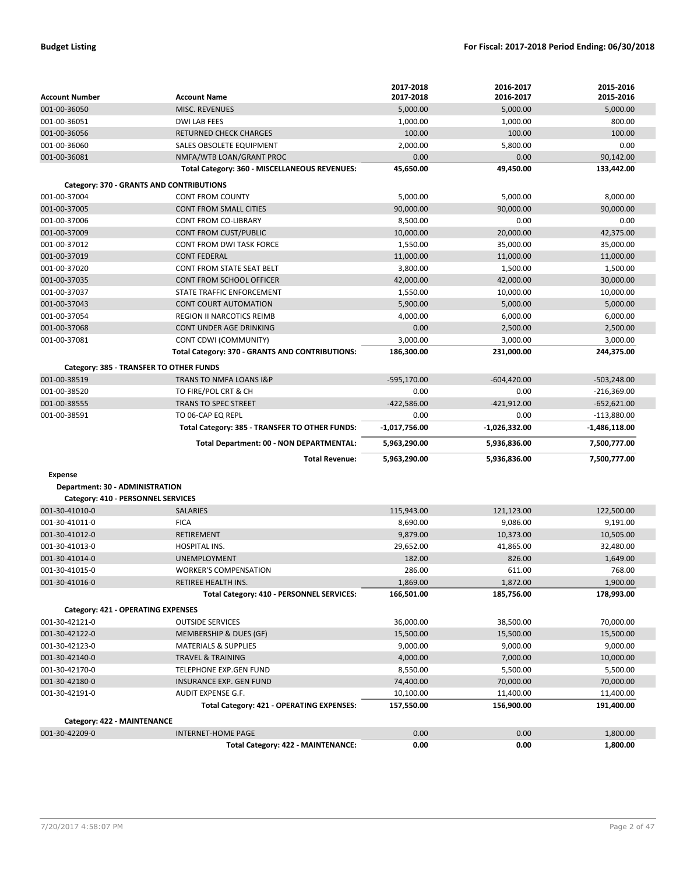| <b>Account Number</b>              | <b>Account Name</b>                                             | 2017-2018<br>2017-2018 | 2016-2017<br>2016-2017 | 2015-2016<br>2015-2016  |
|------------------------------------|-----------------------------------------------------------------|------------------------|------------------------|-------------------------|
| 001-00-36050                       | <b>MISC. REVENUES</b>                                           | 5,000.00               | 5,000.00               | 5,000.00                |
| 001-00-36051                       | DWI LAB FEES                                                    | 1,000.00               | 1,000.00               | 800.00                  |
| 001-00-36056                       | <b>RETURNED CHECK CHARGES</b>                                   | 100.00                 | 100.00                 | 100.00                  |
| 001-00-36060                       | SALES OBSOLETE EQUIPMENT                                        | 2,000.00               | 5,800.00               | 0.00                    |
| 001-00-36081                       | NMFA/WTB LOAN/GRANT PROC                                        | 0.00                   | 0.00                   | 90.142.00               |
|                                    | Total Category: 360 - MISCELLANEOUS REVENUES:                   | 45,650.00              | 49,450.00              | 133,442.00              |
|                                    |                                                                 |                        |                        |                         |
|                                    | Category: 370 - GRANTS AND CONTRIBUTIONS                        |                        |                        |                         |
| 001-00-37004                       | <b>CONT FROM COUNTY</b>                                         | 5,000.00               | 5,000.00               | 8,000.00                |
| 001-00-37005                       | <b>CONT FROM SMALL CITIES</b>                                   | 90,000.00              | 90,000.00              | 90.000.00               |
| 001-00-37006                       | <b>CONT FROM CO-LIBRARY</b>                                     | 8,500.00               | 0.00                   | 0.00                    |
| 001-00-37009                       | <b>CONT FROM CUST/PUBLIC</b>                                    | 10,000.00              | 20,000.00              | 42,375.00               |
| 001-00-37012                       | CONT FROM DWI TASK FORCE                                        | 1,550.00               | 35,000.00              | 35,000.00               |
| 001-00-37019<br>001-00-37020       | <b>CONT FEDERAL</b><br><b>CONT FROM STATE SEAT BELT</b>         | 11,000.00              | 11,000.00              | 11,000.00               |
|                                    |                                                                 | 3,800.00               | 1,500.00               | 1,500.00                |
| 001-00-37035                       | <b>CONT FROM SCHOOL OFFICER</b>                                 | 42,000.00              | 42,000.00              | 30,000.00               |
| 001-00-37037                       | STATE TRAFFIC ENFORCEMENT<br><b>CONT COURT AUTOMATION</b>       | 1,550.00               | 10,000.00              | 10,000.00               |
| 001-00-37043                       |                                                                 | 5,900.00               | 5,000.00               | 5,000.00                |
| 001-00-37054                       | <b>REGION II NARCOTICS REIMB</b>                                | 4,000.00               | 6,000.00               | 6,000.00                |
| 001-00-37068<br>001-00-37081       | CONT UNDER AGE DRINKING                                         | 0.00                   | 2,500.00               | 2,500.00                |
|                                    | CONT CDWI (COMMUNITY)                                           | 3,000.00               | 3,000.00               | 3,000.00<br>244,375.00  |
|                                    | Total Category: 370 - GRANTS AND CONTRIBUTIONS:                 | 186,300.00             | 231,000.00             |                         |
|                                    | Category: 385 - TRANSFER TO OTHER FUNDS                         |                        |                        |                         |
| 001-00-38519                       | <b>TRANS TO NMFA LOANS I&amp;P</b>                              | $-595.170.00$          | $-604,420.00$          | $-503,248.00$           |
| 001-00-38520                       | TO FIRE/POL CRT & CH                                            | 0.00                   | 0.00                   | $-216,369.00$           |
| 001-00-38555                       | <b>TRANS TO SPEC STREET</b>                                     | $-422,586.00$          | $-421,912.00$          | $-652,621.00$           |
| 001-00-38591                       | TO 06-CAP EQ REPL                                               | 0.00                   | 0.00                   | $-113,880.00$           |
|                                    | Total Category: 385 - TRANSFER TO OTHER FUNDS:                  | $-1,017,756.00$        | $-1,026,332.00$        | $-1,486,118.00$         |
|                                    | Total Department: 00 - NON DEPARTMENTAL:                        | 5,963,290.00           | 5,936,836.00           | 7,500,777.00            |
|                                    | <b>Total Revenue:</b>                                           | 5,963,290.00           | 5,936,836.00           | 7,500,777.00            |
| Expense                            |                                                                 |                        |                        |                         |
| Department: 30 - ADMINISTRATION    |                                                                 |                        |                        |                         |
| Category: 410 - PERSONNEL SERVICES |                                                                 |                        |                        |                         |
| 001-30-41010-0                     | <b>SALARIES</b>                                                 | 115,943.00             | 121,123.00             | 122,500.00              |
| 001-30-41011-0                     | <b>FICA</b>                                                     | 8,690.00               | 9,086.00               | 9,191.00                |
| 001-30-41012-0                     | RETIREMENT                                                      | 9,879.00               | 10,373.00              | 10,505.00               |
| 001-30-41013-0                     | <b>HOSPITAL INS.</b>                                            | 29,652.00              | 41,865.00              | 32,480.00               |
| 001-30-41014-0                     | <b>UNEMPLOYMENT</b>                                             | 182.00                 | 826.00                 | 1,649.00                |
| 001-30-41015-0                     | <b>WORKER'S COMPENSATION</b>                                    | 286.00                 | 611.00                 | 768.00                  |
| 001-30-41016-0                     | RETIREE HEALTH INS.                                             | 1,869.00               | 1,872.00               | 1,900.00                |
|                                    | Total Category: 410 - PERSONNEL SERVICES:                       | 166,501.00             | 185,756.00             | 178,993.00              |
| Category: 421 - OPERATING EXPENSES |                                                                 |                        |                        |                         |
| 001-30-42121-0                     | <b>OUTSIDE SERVICES</b>                                         | 36,000.00              | 38,500.00              | 70,000.00               |
| 001-30-42122-0                     | MEMBERSHIP & DUES (GF)                                          | 15,500.00              | 15,500.00              | 15,500.00               |
| 001-30-42123-0                     | <b>MATERIALS &amp; SUPPLIES</b>                                 | 9,000.00               | 9,000.00               | 9,000.00                |
| 001-30-42140-0                     |                                                                 |                        | 7,000.00               | 10,000.00               |
|                                    |                                                                 |                        |                        |                         |
|                                    | <b>TRAVEL &amp; TRAINING</b>                                    | 4,000.00               |                        |                         |
| 001-30-42170-0                     | TELEPHONE EXP.GEN FUND                                          | 8,550.00               | 5,500.00               | 5,500.00                |
| 001-30-42180-0                     | INSURANCE EXP. GEN FUND                                         | 74,400.00              | 70,000.00              | 70,000.00               |
| 001-30-42191-0                     | AUDIT EXPENSE G.F.                                              | 10,100.00              | 11,400.00              | 11,400.00<br>191,400.00 |
|                                    | Total Category: 421 - OPERATING EXPENSES:                       | 157,550.00             | 156,900.00             |                         |
| Category: 422 - MAINTENANCE        |                                                                 |                        |                        |                         |
| 001-30-42209-0                     | <b>INTERNET-HOME PAGE</b><br>Total Category: 422 - MAINTENANCE: | 0.00<br>0.00           | 0.00<br>0.00           | 1,800.00<br>1,800.00    |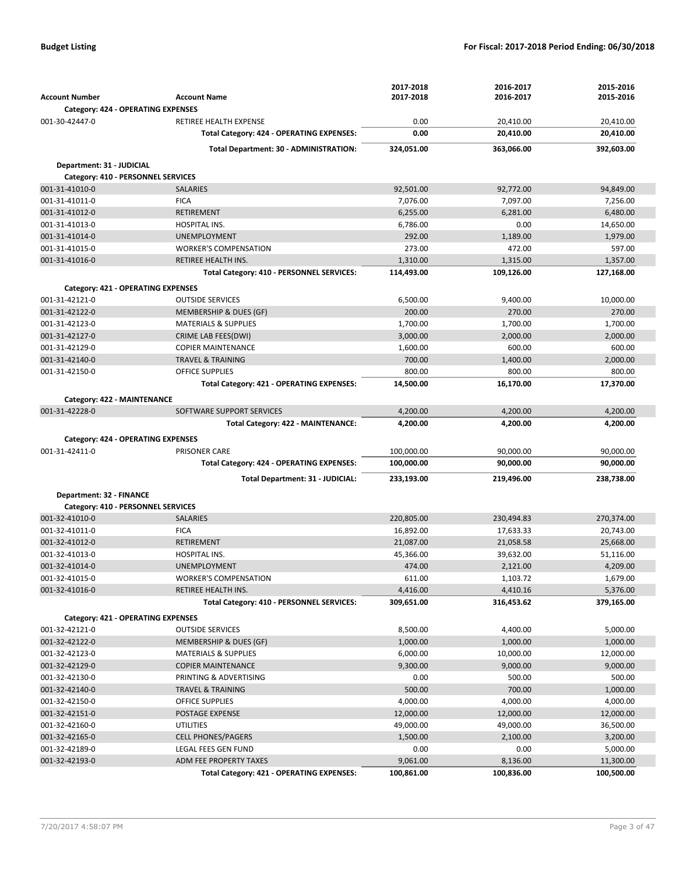|                                           |                                           | 2017-2018  | 2016-2017  | 2015-2016  |
|-------------------------------------------|-------------------------------------------|------------|------------|------------|
| <b>Account Number</b>                     | <b>Account Name</b>                       | 2017-2018  | 2016-2017  | 2015-2016  |
| Category: 424 - OPERATING EXPENSES        |                                           |            |            |            |
| 001-30-42447-0                            | RETIREE HEALTH EXPENSE                    | 0.00       | 20,410.00  | 20,410.00  |
|                                           | Total Category: 424 - OPERATING EXPENSES: | 0.00       | 20,410.00  | 20,410.00  |
|                                           | Total Department: 30 - ADMINISTRATION:    | 324,051.00 | 363,066.00 | 392,603.00 |
| Department: 31 - JUDICIAL                 |                                           |            |            |            |
| Category: 410 - PERSONNEL SERVICES        |                                           |            |            |            |
| 001-31-41010-0                            | <b>SALARIES</b>                           | 92,501.00  | 92,772.00  | 94,849.00  |
| 001-31-41011-0                            | <b>FICA</b>                               | 7,076.00   | 7,097.00   | 7,256.00   |
| 001-31-41012-0                            | RETIREMENT                                | 6,255.00   | 6,281.00   | 6,480.00   |
| 001-31-41013-0                            | HOSPITAL INS.                             | 6,786.00   | 0.00       | 14,650.00  |
| 001-31-41014-0                            | <b>UNEMPLOYMENT</b>                       | 292.00     | 1,189.00   | 1,979.00   |
| 001-31-41015-0                            | <b>WORKER'S COMPENSATION</b>              | 273.00     | 472.00     | 597.00     |
| 001-31-41016-0                            | RETIREE HEALTH INS.                       | 1,310.00   | 1,315.00   | 1,357.00   |
|                                           | Total Category: 410 - PERSONNEL SERVICES: | 114,493.00 | 109,126.00 | 127,168.00 |
| <b>Category: 421 - OPERATING EXPENSES</b> |                                           |            |            |            |
| 001-31-42121-0                            | <b>OUTSIDE SERVICES</b>                   | 6,500.00   | 9,400.00   | 10,000.00  |
| 001-31-42122-0                            | <b>MEMBERSHIP &amp; DUES (GF)</b>         | 200.00     | 270.00     | 270.00     |
| 001-31-42123-0                            | <b>MATERIALS &amp; SUPPLIES</b>           | 1,700.00   | 1,700.00   | 1,700.00   |
| 001-31-42127-0                            | CRIME LAB FEES(DWI)                       | 3,000.00   | 2,000.00   | 2,000.00   |
| 001-31-42129-0                            | <b>COPIER MAINTENANCE</b>                 | 1,600.00   | 600.00     | 600.00     |
| 001-31-42140-0                            | <b>TRAVEL &amp; TRAINING</b>              | 700.00     | 1,400.00   | 2,000.00   |
| 001-31-42150-0                            | <b>OFFICE SUPPLIES</b>                    | 800.00     | 800.00     | 800.00     |
|                                           | Total Category: 421 - OPERATING EXPENSES: | 14,500.00  | 16,170.00  | 17,370.00  |
| Category: 422 - MAINTENANCE               |                                           |            |            |            |
| 001-31-42228-0                            | SOFTWARE SUPPORT SERVICES                 | 4,200.00   | 4,200.00   | 4,200.00   |
|                                           | Total Category: 422 - MAINTENANCE:        | 4,200.00   | 4,200.00   | 4,200.00   |
|                                           |                                           |            |            |            |
| Category: 424 - OPERATING EXPENSES        |                                           |            |            |            |
| 001-31-42411-0                            | <b>PRISONER CARE</b>                      | 100,000.00 | 90,000.00  | 90,000.00  |
|                                           | Total Category: 424 - OPERATING EXPENSES: | 100,000.00 | 90,000.00  | 90,000.00  |
|                                           | Total Department: 31 - JUDICIAL:          | 233,193.00 | 219,496.00 | 238,738.00 |
| <b>Department: 32 - FINANCE</b>           |                                           |            |            |            |
| Category: 410 - PERSONNEL SERVICES        |                                           |            |            |            |
| 001-32-41010-0                            | <b>SALARIES</b>                           | 220,805.00 | 230,494.83 | 270,374.00 |
| 001-32-41011-0                            | <b>FICA</b>                               | 16,892.00  | 17,633.33  | 20,743.00  |
| 001-32-41012-0                            | <b>RETIREMENT</b>                         | 21,087.00  | 21,058.58  | 25,668.00  |
| 001-32-41013-0                            | HOSPITAL INS.                             | 45,366.00  | 39,632.00  | 51,116.00  |
| 001-32-41014-0                            | <b>UNEMPLOYMENT</b>                       | 474.00     | 2,121.00   | 4,209.00   |
| 001-32-41015-0                            | <b>WORKER'S COMPENSATION</b>              | 611.00     | 1,103.72   | 1,679.00   |
| 001-32-41016-0                            | RETIREE HEALTH INS.                       | 4,416.00   | 4,410.16   | 5,376.00   |
|                                           | Total Category: 410 - PERSONNEL SERVICES: | 309,651.00 | 316,453.62 | 379,165.00 |
| Category: 421 - OPERATING EXPENSES        |                                           |            |            |            |
| 001-32-42121-0                            | <b>OUTSIDE SERVICES</b>                   | 8,500.00   | 4,400.00   | 5,000.00   |
| 001-32-42122-0                            | MEMBERSHIP & DUES (GF)                    | 1,000.00   | 1,000.00   | 1,000.00   |
| 001-32-42123-0                            | <b>MATERIALS &amp; SUPPLIES</b>           | 6,000.00   | 10,000.00  | 12,000.00  |
| 001-32-42129-0                            | <b>COPIER MAINTENANCE</b>                 | 9,300.00   | 9,000.00   | 9,000.00   |
| 001-32-42130-0                            | PRINTING & ADVERTISING                    | 0.00       | 500.00     | 500.00     |
| 001-32-42140-0                            | <b>TRAVEL &amp; TRAINING</b>              | 500.00     | 700.00     | 1,000.00   |
| 001-32-42150-0                            | OFFICE SUPPLIES                           | 4,000.00   | 4,000.00   | 4,000.00   |
| 001-32-42151-0                            | POSTAGE EXPENSE                           | 12,000.00  | 12,000.00  | 12,000.00  |
| 001-32-42160-0                            | <b>UTILITIES</b>                          | 49,000.00  | 49,000.00  | 36,500.00  |
| 001-32-42165-0                            | <b>CELL PHONES/PAGERS</b>                 | 1,500.00   | 2,100.00   | 3,200.00   |
| 001-32-42189-0                            | LEGAL FEES GEN FUND                       | 0.00       | 0.00       | 5,000.00   |
| 001-32-42193-0                            | ADM FEE PROPERTY TAXES                    | 9,061.00   | 8,136.00   | 11,300.00  |
|                                           | Total Category: 421 - OPERATING EXPENSES: | 100,861.00 | 100,836.00 | 100,500.00 |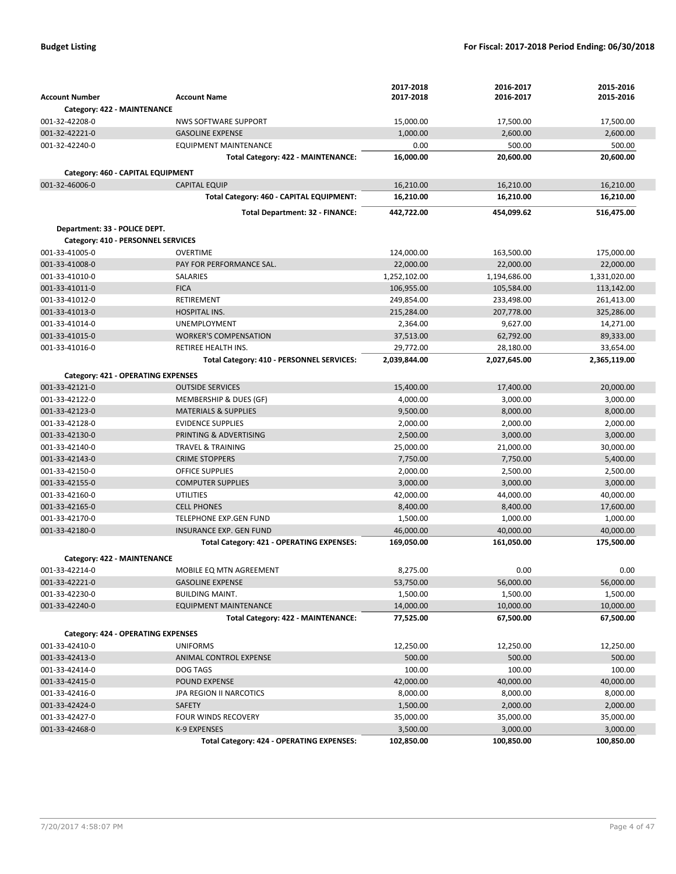|                                    |                                           | 2017-2018    | 2016-2017             | 2015-2016    |
|------------------------------------|-------------------------------------------|--------------|-----------------------|--------------|
| <b>Account Number</b>              | <b>Account Name</b>                       | 2017-2018    | 2016-2017             | 2015-2016    |
| Category: 422 - MAINTENANCE        |                                           |              |                       |              |
| 001-32-42208-0                     | NWS SOFTWARE SUPPORT                      | 15,000.00    | 17,500.00             | 17,500.00    |
| 001-32-42221-0                     | <b>GASOLINE EXPENSE</b>                   | 1,000.00     | 2,600.00              | 2,600.00     |
| 001-32-42240-0                     | <b>EQUIPMENT MAINTENANCE</b>              | 0.00         | 500.00                | 500.00       |
|                                    | Total Category: 422 - MAINTENANCE:        | 16,000.00    | 20,600.00             | 20,600.00    |
| Category: 460 - CAPITAL EQUIPMENT  |                                           |              |                       |              |
| 001-32-46006-0                     | <b>CAPITAL EQUIP</b>                      | 16,210.00    | 16,210.00             | 16,210.00    |
|                                    | Total Category: 460 - CAPITAL EQUIPMENT:  | 16,210.00    | 16,210.00             | 16,210.00    |
|                                    |                                           |              |                       |              |
|                                    | <b>Total Department: 32 - FINANCE:</b>    | 442,722.00   | 454,099.62            | 516,475.00   |
| Department: 33 - POLICE DEPT.      |                                           |              |                       |              |
| Category: 410 - PERSONNEL SERVICES |                                           |              |                       |              |
| 001-33-41005-0                     | <b>OVERTIME</b>                           | 124,000.00   | 163,500.00            | 175,000.00   |
| 001-33-41008-0                     | PAY FOR PERFORMANCE SAL.                  | 22,000.00    | 22,000.00             | 22,000.00    |
| 001-33-41010-0                     | <b>SALARIES</b>                           | 1,252,102.00 | 1,194,686.00          | 1,331,020.00 |
| 001-33-41011-0                     | <b>FICA</b>                               | 106,955.00   | 105,584.00            | 113,142.00   |
| 001-33-41012-0                     | RETIREMENT                                | 249,854.00   | 233,498.00            | 261,413.00   |
| 001-33-41013-0                     | HOSPITAL INS.                             | 215,284.00   | 207,778.00            | 325,286.00   |
| 001-33-41014-0                     | <b>UNEMPLOYMENT</b>                       | 2,364.00     | 9,627.00              | 14,271.00    |
| 001-33-41015-0                     | <b>WORKER'S COMPENSATION</b>              | 37,513.00    | 62,792.00             | 89,333.00    |
| 001-33-41016-0                     | RETIREE HEALTH INS.                       | 29,772.00    | 28,180.00             | 33,654.00    |
|                                    | Total Category: 410 - PERSONNEL SERVICES: | 2,039,844.00 | 2,027,645.00          | 2,365,119.00 |
| Category: 421 - OPERATING EXPENSES |                                           |              |                       |              |
| 001-33-42121-0                     | <b>OUTSIDE SERVICES</b>                   | 15,400.00    | 17,400.00             | 20,000.00    |
| 001-33-42122-0                     | MEMBERSHIP & DUES (GF)                    | 4,000.00     | 3,000.00              | 3,000.00     |
| 001-33-42123-0                     | <b>MATERIALS &amp; SUPPLIES</b>           | 9,500.00     | 8,000.00              | 8,000.00     |
| 001-33-42128-0                     | <b>EVIDENCE SUPPLIES</b>                  | 2,000.00     | 2,000.00              | 2,000.00     |
| 001-33-42130-0                     | PRINTING & ADVERTISING                    | 2,500.00     | 3,000.00              | 3,000.00     |
| 001-33-42140-0                     | <b>TRAVEL &amp; TRAINING</b>              | 25,000.00    |                       | 30,000.00    |
| 001-33-42143-0                     | <b>CRIME STOPPERS</b>                     | 7,750.00     | 21,000.00<br>7,750.00 | 5,400.00     |
| 001-33-42150-0                     | <b>OFFICE SUPPLIES</b>                    | 2,000.00     | 2,500.00              | 2,500.00     |
| 001-33-42155-0                     | <b>COMPUTER SUPPLIES</b>                  | 3,000.00     | 3,000.00              | 3,000.00     |
| 001-33-42160-0                     | <b>UTILITIES</b>                          | 42,000.00    | 44,000.00             | 40,000.00    |
| 001-33-42165-0                     | <b>CELL PHONES</b>                        | 8,400.00     | 8,400.00              | 17,600.00    |
| 001-33-42170-0                     | <b>TELEPHONE EXP.GEN FUND</b>             | 1,500.00     | 1,000.00              | 1,000.00     |
| 001-33-42180-0                     | <b>INSURANCE EXP. GEN FUND</b>            | 46,000.00    | 40,000.00             | 40,000.00    |
|                                    | Total Category: 421 - OPERATING EXPENSES: | 169,050.00   | 161,050.00            | 175,500.00   |
|                                    |                                           |              |                       |              |
| Category: 422 - MAINTENANCE        |                                           |              |                       |              |
| 001-33-42214-0                     | MOBILE EQ MTN AGREEMENT                   | 8,275.00     | 0.00                  | 0.00         |
| 001-33-42221-0                     | <b>GASOLINE EXPENSE</b>                   | 53,750.00    | 56,000.00             | 56,000.00    |
| 001-33-42230-0                     | <b>BUILDING MAINT.</b>                    | 1,500.00     | 1,500.00              | 1,500.00     |
| 001-33-42240-0                     | <b>EQUIPMENT MAINTENANCE</b>              | 14,000.00    | 10,000.00             | 10,000.00    |
|                                    | Total Category: 422 - MAINTENANCE:        | 77,525.00    | 67,500.00             | 67,500.00    |
| Category: 424 - OPERATING EXPENSES |                                           |              |                       |              |
| 001-33-42410-0                     | <b>UNIFORMS</b>                           | 12,250.00    | 12,250.00             | 12,250.00    |
| 001-33-42413-0                     | ANIMAL CONTROL EXPENSE                    | 500.00       | 500.00                | 500.00       |
| 001-33-42414-0                     | DOG TAGS                                  | 100.00       | 100.00                | 100.00       |
| 001-33-42415-0                     | <b>POUND EXPENSE</b>                      | 42,000.00    | 40,000.00             | 40,000.00    |
| 001-33-42416-0                     | JPA REGION II NARCOTICS                   | 8,000.00     | 8,000.00              | 8,000.00     |
| 001-33-42424-0                     | <b>SAFETY</b>                             | 1,500.00     | 2,000.00              | 2,000.00     |
| 001-33-42427-0                     | <b>FOUR WINDS RECOVERY</b>                | 35,000.00    | 35,000.00             | 35,000.00    |
| 001-33-42468-0                     | K-9 EXPENSES                              | 3,500.00     | 3,000.00              | 3,000.00     |
|                                    | Total Category: 424 - OPERATING EXPENSES: | 102,850.00   | 100,850.00            | 100,850.00   |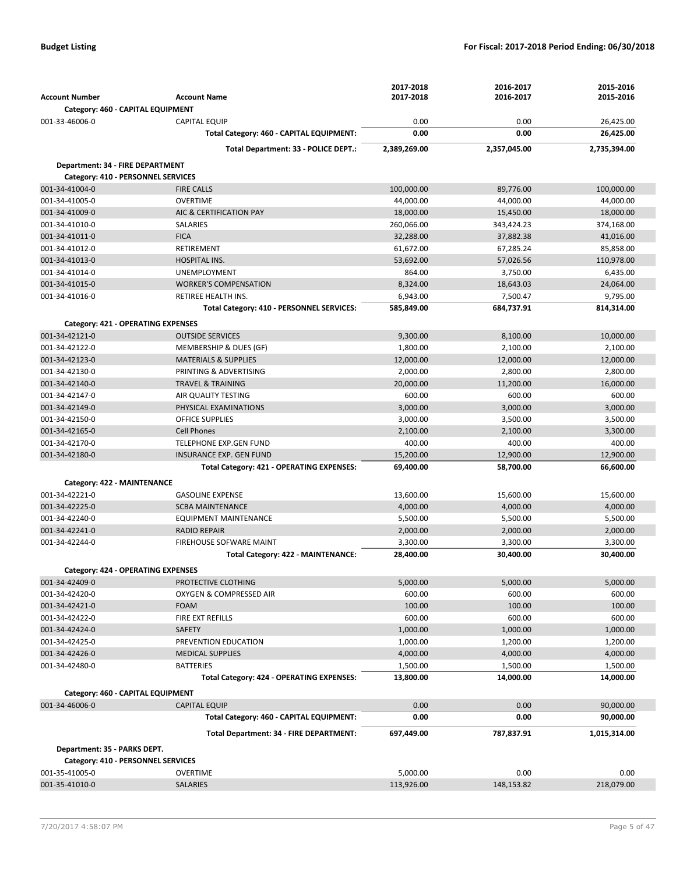|                                    |                                           | 2017-2018    | 2016-2017    | 2015-2016    |
|------------------------------------|-------------------------------------------|--------------|--------------|--------------|
| <b>Account Number</b>              | <b>Account Name</b>                       | 2017-2018    | 2016-2017    | 2015-2016    |
| Category: 460 - CAPITAL EQUIPMENT  |                                           |              |              |              |
| 001-33-46006-0                     | <b>CAPITAL EQUIP</b>                      | 0.00         | 0.00         | 26,425.00    |
|                                    | Total Category: 460 - CAPITAL EQUIPMENT:  | 0.00         | 0.00         | 26,425.00    |
|                                    | Total Department: 33 - POLICE DEPT.:      | 2,389,269.00 | 2,357,045.00 | 2,735,394.00 |
| Department: 34 - FIRE DEPARTMENT   |                                           |              |              |              |
| Category: 410 - PERSONNEL SERVICES |                                           |              |              |              |
| 001-34-41004-0                     | <b>FIRE CALLS</b>                         | 100,000.00   | 89,776.00    | 100,000.00   |
| 001-34-41005-0                     | <b>OVERTIME</b>                           | 44,000.00    | 44,000.00    | 44,000.00    |
| 001-34-41009-0                     | AIC & CERTIFICATION PAY                   | 18,000.00    | 15,450.00    | 18,000.00    |
| 001-34-41010-0                     | SALARIES                                  | 260,066.00   | 343,424.23   | 374,168.00   |
| 001-34-41011-0                     | <b>FICA</b>                               | 32,288.00    | 37,882.38    | 41,016.00    |
| 001-34-41012-0                     | RETIREMENT                                | 61,672.00    | 67,285.24    | 85,858.00    |
| 001-34-41013-0                     | <b>HOSPITAL INS.</b>                      | 53,692.00    | 57,026.56    | 110,978.00   |
| 001-34-41014-0                     | <b>UNEMPLOYMENT</b>                       | 864.00       | 3,750.00     | 6,435.00     |
| 001-34-41015-0                     | <b>WORKER'S COMPENSATION</b>              | 8,324.00     | 18,643.03    | 24,064.00    |
| 001-34-41016-0                     | RETIREE HEALTH INS.                       | 6,943.00     | 7,500.47     | 9,795.00     |
|                                    | Total Category: 410 - PERSONNEL SERVICES: | 585,849.00   | 684,737.91   | 814,314.00   |
| Category: 421 - OPERATING EXPENSES |                                           |              |              |              |
| 001-34-42121-0                     | <b>OUTSIDE SERVICES</b>                   | 9,300.00     | 8,100.00     | 10,000.00    |
| 001-34-42122-0                     | MEMBERSHIP & DUES (GF)                    | 1,800.00     | 2,100.00     | 2,100.00     |
| 001-34-42123-0                     | <b>MATERIALS &amp; SUPPLIES</b>           | 12,000.00    | 12,000.00    | 12,000.00    |
| 001-34-42130-0                     | PRINTING & ADVERTISING                    | 2,000.00     | 2,800.00     | 2,800.00     |
| 001-34-42140-0                     | <b>TRAVEL &amp; TRAINING</b>              | 20,000.00    | 11,200.00    | 16,000.00    |
| 001-34-42147-0                     | AIR QUALITY TESTING                       | 600.00       | 600.00       | 600.00       |
| 001-34-42149-0                     | PHYSICAL EXAMINATIONS                     | 3,000.00     | 3,000.00     | 3,000.00     |
| 001-34-42150-0                     | <b>OFFICE SUPPLIES</b>                    | 3,000.00     | 3,500.00     | 3,500.00     |
| 001-34-42165-0                     | <b>Cell Phones</b>                        | 2,100.00     | 2,100.00     | 3,300.00     |
| 001-34-42170-0                     | <b>TELEPHONE EXP.GEN FUND</b>             | 400.00       | 400.00       | 400.00       |
| 001-34-42180-0                     | <b>INSURANCE EXP. GEN FUND</b>            | 15,200.00    | 12,900.00    | 12,900.00    |
|                                    | Total Category: 421 - OPERATING EXPENSES: | 69,400.00    | 58,700.00    | 66,600.00    |
|                                    |                                           |              |              |              |
| Category: 422 - MAINTENANCE        |                                           |              |              |              |
| 001-34-42221-0                     | <b>GASOLINE EXPENSE</b>                   | 13,600.00    | 15,600.00    | 15,600.00    |
| 001-34-42225-0                     | <b>SCBA MAINTENANCE</b>                   | 4,000.00     | 4,000.00     | 4,000.00     |
| 001-34-42240-0                     | <b>EQUIPMENT MAINTENANCE</b>              | 5,500.00     | 5,500.00     | 5,500.00     |
| 001-34-42241-0                     | <b>RADIO REPAIR</b>                       | 2,000.00     | 2,000.00     | 2,000.00     |
| 001-34-42244-0                     | <b>FIREHOUSE SOFWARE MAINT</b>            | 3,300.00     | 3,300.00     | 3,300.00     |
|                                    | Total Category: 422 - MAINTENANCE:        | 28,400.00    | 30,400.00    | 30,400.00    |
| Category: 424 - OPERATING EXPENSES |                                           |              |              |              |
| 001-34-42409-0                     | PROTECTIVE CLOTHING                       | 5,000.00     | 5,000.00     | 5,000.00     |
| 001-34-42420-0                     | OXYGEN & COMPRESSED AIR                   | 600.00       | 600.00       | 600.00       |
| 001-34-42421-0                     | <b>FOAM</b>                               | 100.00       | 100.00       | 100.00       |
| 001-34-42422-0                     | FIRE EXT REFILLS                          | 600.00       | 600.00       | 600.00       |
| 001-34-42424-0                     | <b>SAFETY</b>                             | 1,000.00     | 1,000.00     | 1,000.00     |
| 001-34-42425-0                     | PREVENTION EDUCATION                      | 1,000.00     | 1,200.00     | 1,200.00     |
| 001-34-42426-0                     | <b>MEDICAL SUPPLIES</b>                   | 4,000.00     | 4,000.00     | 4,000.00     |
| 001-34-42480-0                     | <b>BATTERIES</b>                          | 1,500.00     | 1,500.00     | 1,500.00     |
|                                    | Total Category: 424 - OPERATING EXPENSES: | 13,800.00    | 14,000.00    | 14,000.00    |
| Category: 460 - CAPITAL EQUIPMENT  |                                           |              |              |              |
| 001-34-46006-0                     | <b>CAPITAL EQUIP</b>                      | 0.00         | 0.00         | 90,000.00    |
|                                    | Total Category: 460 - CAPITAL EQUIPMENT:  | 0.00         | 0.00         | 90,000.00    |
|                                    | Total Department: 34 - FIRE DEPARTMENT:   | 697,449.00   | 787,837.91   | 1,015,314.00 |
| Department: 35 - PARKS DEPT.       |                                           |              |              |              |
| Category: 410 - PERSONNEL SERVICES |                                           |              |              |              |
| 001-35-41005-0                     | <b>OVERTIME</b>                           | 5,000.00     | 0.00         | 0.00         |
| 001-35-41010-0                     | SALARIES                                  | 113,926.00   | 148,153.82   | 218,079.00   |
|                                    |                                           |              |              |              |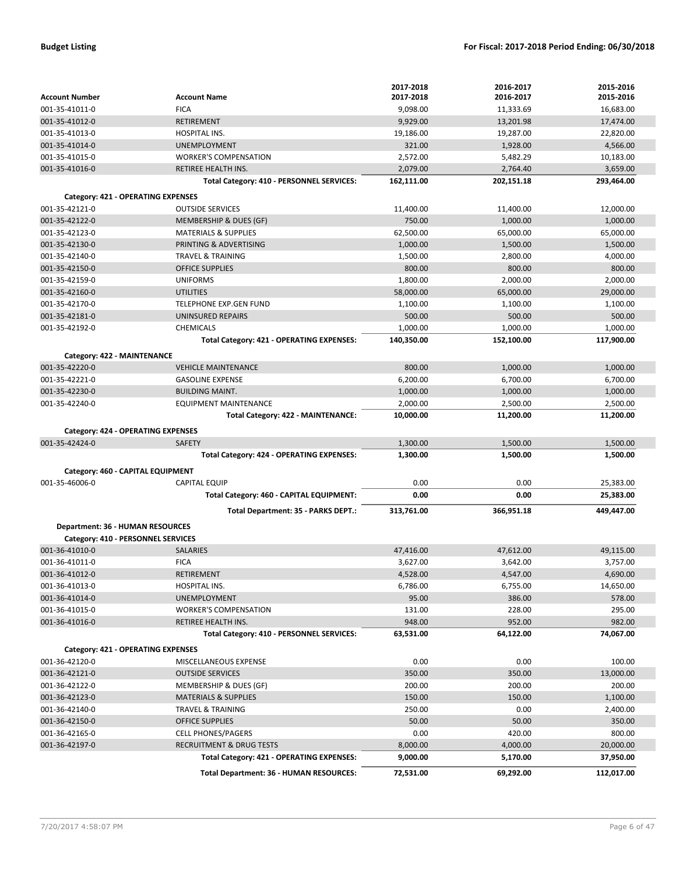|                                         |                                           | 2017-2018        | 2016-2017      | 2015-2016            |
|-----------------------------------------|-------------------------------------------|------------------|----------------|----------------------|
| <b>Account Number</b>                   | <b>Account Name</b>                       | 2017-2018        | 2016-2017      | 2015-2016            |
| 001-35-41011-0                          | <b>FICA</b>                               | 9,098.00         | 11,333.69      | 16,683.00            |
| 001-35-41012-0                          | RETIREMENT                                | 9,929.00         | 13,201.98      | 17,474.00            |
| 001-35-41013-0                          | HOSPITAL INS.                             | 19,186.00        | 19,287.00      | 22,820.00            |
| 001-35-41014-0                          | <b>UNEMPLOYMENT</b>                       | 321.00           | 1,928.00       | 4,566.00             |
| 001-35-41015-0                          | <b>WORKER'S COMPENSATION</b>              | 2,572.00         | 5,482.29       | 10,183.00            |
| 001-35-41016-0                          | RETIREE HEALTH INS.                       | 2,079.00         | 2,764.40       | 3,659.00             |
|                                         | Total Category: 410 - PERSONNEL SERVICES: | 162,111.00       | 202,151.18     | 293,464.00           |
| Category: 421 - OPERATING EXPENSES      |                                           |                  |                |                      |
| 001-35-42121-0                          | <b>OUTSIDE SERVICES</b>                   | 11,400.00        | 11,400.00      | 12,000.00            |
| 001-35-42122-0                          | MEMBERSHIP & DUES (GF)                    | 750.00           | 1,000.00       | 1,000.00             |
| 001-35-42123-0                          | <b>MATERIALS &amp; SUPPLIES</b>           | 62,500.00        | 65,000.00      | 65,000.00            |
| 001-35-42130-0                          | PRINTING & ADVERTISING                    | 1,000.00         | 1,500.00       | 1,500.00             |
| 001-35-42140-0                          | <b>TRAVEL &amp; TRAINING</b>              | 1,500.00         | 2,800.00       | 4,000.00             |
| 001-35-42150-0                          | <b>OFFICE SUPPLIES</b>                    | 800.00           | 800.00         | 800.00               |
| 001-35-42159-0                          | <b>UNIFORMS</b>                           | 1,800.00         | 2,000.00       | 2,000.00             |
| 001-35-42160-0                          | <b>UTILITIES</b>                          | 58,000.00        | 65,000.00      | 29,000.00            |
| 001-35-42170-0                          | <b>TELEPHONE EXP.GEN FUND</b>             | 1,100.00         | 1,100.00       | 1,100.00             |
| 001-35-42181-0                          | <b>UNINSURED REPAIRS</b>                  | 500.00           | 500.00         | 500.00               |
| 001-35-42192-0                          | <b>CHEMICALS</b>                          | 1,000.00         | 1,000.00       | 1,000.00             |
|                                         | Total Category: 421 - OPERATING EXPENSES: | 140,350.00       | 152,100.00     | 117,900.00           |
| Category: 422 - MAINTENANCE             |                                           |                  |                |                      |
| 001-35-42220-0                          | <b>VEHICLE MAINTENANCE</b>                | 800.00           | 1,000.00       | 1,000.00             |
| 001-35-42221-0                          | <b>GASOLINE EXPENSE</b>                   | 6,200.00         | 6,700.00       | 6,700.00             |
| 001-35-42230-0                          | <b>BUILDING MAINT.</b>                    | 1,000.00         | 1,000.00       | 1,000.00             |
| 001-35-42240-0                          | <b>EQUIPMENT MAINTENANCE</b>              | 2,000.00         | 2,500.00       | 2,500.00             |
|                                         | Total Category: 422 - MAINTENANCE:        | 10,000.00        | 11,200.00      | 11,200.00            |
|                                         |                                           |                  |                |                      |
| Category: 424 - OPERATING EXPENSES      |                                           |                  |                |                      |
| 001-35-42424-0                          | <b>SAFETY</b>                             | 1,300.00         | 1,500.00       | 1,500.00             |
|                                         | Total Category: 424 - OPERATING EXPENSES: | 1,300.00         | 1,500.00       | 1,500.00             |
| Category: 460 - CAPITAL EQUIPMENT       |                                           |                  |                |                      |
| 001-35-46006-0                          | <b>CAPITAL EQUIP</b>                      | 0.00             | 0.00           | 25,383.00            |
|                                         | Total Category: 460 - CAPITAL EQUIPMENT:  | 0.00             | 0.00           | 25,383.00            |
|                                         | Total Department: 35 - PARKS DEPT.:       | 313,761.00       | 366,951.18     | 449,447.00           |
| <b>Department: 36 - HUMAN RESOURCES</b> |                                           |                  |                |                      |
| Category: 410 - PERSONNEL SERVICES      |                                           |                  |                |                      |
| 001-36-41010-0                          | <b>SALARIES</b>                           | 47,416.00        | 47,612.00      | 49,115.00            |
| 001-36-41011-0                          | <b>FICA</b>                               | 3,627.00         | 3,642.00       | 3.757.00             |
| 001-36-41012-0                          | RETIREMENT                                | 4,528.00         | 4,547.00       | 4,690.00             |
| 001-36-41013-0                          | HOSPITAL INS.                             | 6,786.00         | 6,755.00       | 14,650.00            |
| 001-36-41014-0                          | <b>UNEMPLOYMENT</b>                       | 95.00            | 386.00         | 578.00               |
| 001-36-41015-0                          | <b>WORKER'S COMPENSATION</b>              | 131.00           | 228.00         | 295.00               |
| 001-36-41016-0                          | RETIREE HEALTH INS.                       | 948.00           | 952.00         | 982.00               |
|                                         | Total Category: 410 - PERSONNEL SERVICES: | 63,531.00        | 64,122.00      | 74,067.00            |
| Category: 421 - OPERATING EXPENSES      |                                           |                  |                |                      |
| 001-36-42120-0                          | <b>MISCELLANEOUS EXPENSE</b>              | 0.00             |                |                      |
| 001-36-42121-0                          | <b>OUTSIDE SERVICES</b>                   | 350.00           | 0.00<br>350.00 | 100.00<br>13,000.00  |
| 001-36-42122-0                          | MEMBERSHIP & DUES (GF)                    | 200.00           | 200.00         | 200.00               |
| 001-36-42123-0                          | <b>MATERIALS &amp; SUPPLIES</b>           |                  |                |                      |
| 001-36-42140-0                          | <b>TRAVEL &amp; TRAINING</b>              | 150.00<br>250.00 | 150.00<br>0.00 | 1,100.00<br>2,400.00 |
| 001-36-42150-0                          | <b>OFFICE SUPPLIES</b>                    | 50.00            | 50.00          | 350.00               |
| 001-36-42165-0                          | <b>CELL PHONES/PAGERS</b>                 | 0.00             | 420.00         | 800.00               |
| 001-36-42197-0                          | RECRUITMENT & DRUG TESTS                  | 8,000.00         | 4,000.00       | 20,000.00            |
|                                         | Total Category: 421 - OPERATING EXPENSES: | 9,000.00         | 5,170.00       | 37,950.00            |
|                                         |                                           |                  |                |                      |
|                                         | Total Department: 36 - HUMAN RESOURCES:   | 72,531.00        | 69,292.00      | 112,017.00           |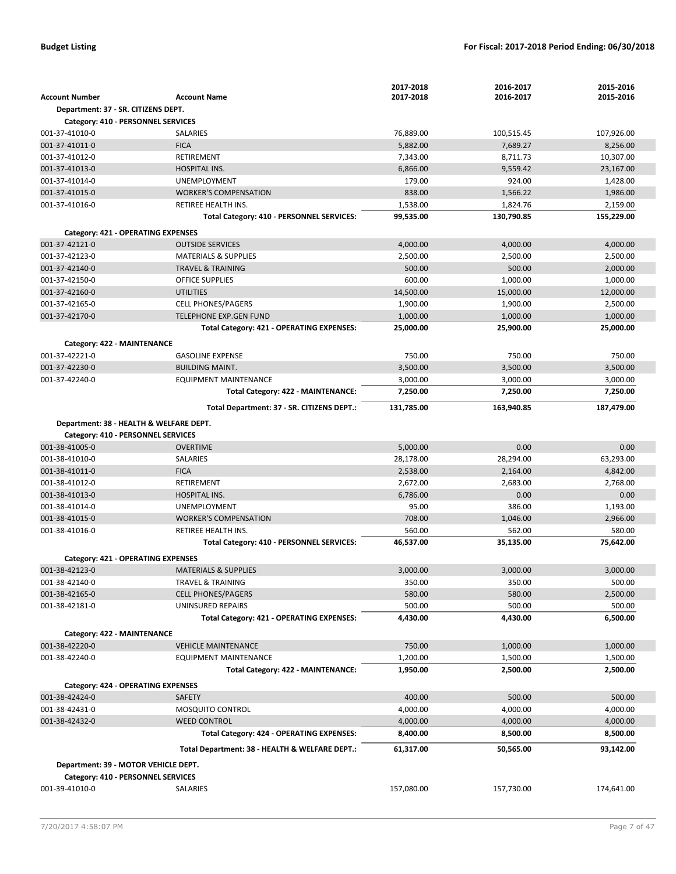|                                               |                                                | 2017-2018            | 2016-2017  | 2015-2016  |
|-----------------------------------------------|------------------------------------------------|----------------------|------------|------------|
| <b>Account Number</b>                         | <b>Account Name</b>                            | 2017-2018            | 2016-2017  | 2015-2016  |
| Department: 37 - SR. CITIZENS DEPT.           |                                                |                      |            |            |
| Category: 410 - PERSONNEL SERVICES            |                                                |                      |            |            |
| 001-37-41010-0                                | SALARIES                                       | 76,889.00            | 100,515.45 | 107,926.00 |
| 001-37-41011-0                                | <b>FICA</b>                                    | 5,882.00             | 7,689.27   | 8,256.00   |
| 001-37-41012-0                                | RETIREMENT                                     | 7,343.00             | 8,711.73   | 10,307.00  |
| 001-37-41013-0                                | HOSPITAL INS.                                  | 6,866.00             | 9,559.42   | 23,167.00  |
| 001-37-41014-0                                | <b>UNEMPLOYMENT</b>                            | 179.00               | 924.00     | 1,428.00   |
| 001-37-41015-0                                | <b>WORKER'S COMPENSATION</b>                   | 838.00               | 1,566.22   | 1,986.00   |
| 001-37-41016-0                                | RETIREE HEALTH INS.                            | 1,538.00             | 1,824.76   | 2,159.00   |
|                                               | Total Category: 410 - PERSONNEL SERVICES:      | 99,535.00            | 130,790.85 | 155,229.00 |
| Category: 421 - OPERATING EXPENSES            |                                                |                      |            |            |
| 001-37-42121-0                                | <b>OUTSIDE SERVICES</b>                        | 4,000.00             | 4,000.00   | 4,000.00   |
| 001-37-42123-0                                | <b>MATERIALS &amp; SUPPLIES</b>                | 2,500.00             | 2,500.00   | 2,500.00   |
| 001-37-42140-0                                | <b>TRAVEL &amp; TRAINING</b>                   | 500.00               | 500.00     | 2,000.00   |
| 001-37-42150-0                                | <b>OFFICE SUPPLIES</b>                         | 600.00               | 1,000.00   | 1,000.00   |
| 001-37-42160-0                                | <b>UTILITIES</b>                               | 14,500.00            | 15,000.00  | 12,000.00  |
| 001-37-42165-0                                | <b>CELL PHONES/PAGERS</b>                      | 1,900.00             | 1,900.00   | 2,500.00   |
| 001-37-42170-0                                | <b>TELEPHONE EXP.GEN FUND</b>                  | 1,000.00             | 1,000.00   | 1,000.00   |
|                                               | Total Category: 421 - OPERATING EXPENSES:      | 25,000.00            | 25,900.00  | 25,000.00  |
|                                               |                                                |                      |            |            |
| Category: 422 - MAINTENANCE<br>001-37-42221-0 | <b>GASOLINE EXPENSE</b>                        | 750.00               | 750.00     | 750.00     |
| 001-37-42230-0                                | <b>BUILDING MAINT.</b>                         |                      | 3,500.00   | 3,500.00   |
| 001-37-42240-0                                | EQUIPMENT MAINTENANCE                          | 3,500.00<br>3,000.00 | 3,000.00   | 3,000.00   |
|                                               | Total Category: 422 - MAINTENANCE:             | 7,250.00             | 7,250.00   | 7,250.00   |
|                                               |                                                |                      |            |            |
|                                               | Total Department: 37 - SR. CITIZENS DEPT.:     | 131,785.00           | 163,940.85 | 187,479.00 |
| Department: 38 - HEALTH & WELFARE DEPT.       |                                                |                      |            |            |
| Category: 410 - PERSONNEL SERVICES            |                                                |                      |            |            |
| 001-38-41005-0                                | <b>OVERTIME</b>                                | 5,000.00             | 0.00       | 0.00       |
| 001-38-41010-0                                | SALARIES                                       | 28,178.00            | 28,294.00  | 63,293.00  |
| 001-38-41011-0                                | <b>FICA</b>                                    | 2,538.00             | 2,164.00   | 4,842.00   |
| 001-38-41012-0                                | RETIREMENT                                     | 2,672.00             | 2,683.00   | 2,768.00   |
| 001-38-41013-0                                | HOSPITAL INS.                                  | 6,786.00             | 0.00       | 0.00       |
| 001-38-41014-0                                | <b>UNEMPLOYMENT</b>                            | 95.00                | 386.00     | 1,193.00   |
| 001-38-41015-0                                | <b>WORKER'S COMPENSATION</b>                   | 708.00               | 1,046.00   | 2,966.00   |
| 001-38-41016-0                                | RETIREE HEALTH INS.                            | 560.00               | 562.00     | 580.00     |
|                                               | Total Category: 410 - PERSONNEL SERVICES:      | 46,537.00            | 35,135.00  | 75,642.00  |
| <b>Category: 421 - OPERATING EXPENSES</b>     |                                                |                      |            |            |
| 001-38-42123-0                                | <b>MATERIALS &amp; SUPPLIES</b>                | 3.000.00             | 3,000.00   | 3,000.00   |
| 001-38-42140-0                                | <b>TRAVEL &amp; TRAINING</b>                   | 350.00               | 350.00     | 500.00     |
| 001-38-42165-0                                | <b>CELL PHONES/PAGERS</b>                      | 580.00               | 580.00     | 2,500.00   |
| 001-38-42181-0                                | UNINSURED REPAIRS                              | 500.00               | 500.00     | 500.00     |
|                                               | Total Category: 421 - OPERATING EXPENSES:      | 4,430.00             | 4,430.00   | 6,500.00   |
|                                               |                                                |                      |            |            |
| Category: 422 - MAINTENANCE                   |                                                |                      |            |            |
| 001-38-42220-0                                | <b>VEHICLE MAINTENANCE</b>                     | 750.00               | 1,000.00   | 1,000.00   |
| 001-38-42240-0                                | EQUIPMENT MAINTENANCE                          | 1,200.00             | 1,500.00   | 1,500.00   |
|                                               | Total Category: 422 - MAINTENANCE:             | 1,950.00             | 2,500.00   | 2,500.00   |
| Category: 424 - OPERATING EXPENSES            |                                                |                      |            |            |
| 001-38-42424-0                                | SAFETY                                         | 400.00               | 500.00     | 500.00     |
| 001-38-42431-0                                | MOSQUITO CONTROL                               | 4,000.00             | 4,000.00   | 4,000.00   |
| 001-38-42432-0                                | <b>WEED CONTROL</b>                            | 4,000.00             | 4,000.00   | 4,000.00   |
|                                               | Total Category: 424 - OPERATING EXPENSES:      | 8,400.00             | 8,500.00   | 8,500.00   |
|                                               | Total Department: 38 - HEALTH & WELFARE DEPT.: | 61,317.00            | 50,565.00  | 93,142.00  |
|                                               |                                                |                      |            |            |
| Department: 39 - MOTOR VEHICLE DEPT.          |                                                |                      |            |            |
| Category: 410 - PERSONNEL SERVICES            |                                                |                      |            |            |
| 001-39-41010-0                                | SALARIES                                       | 157,080.00           | 157,730.00 | 174,641.00 |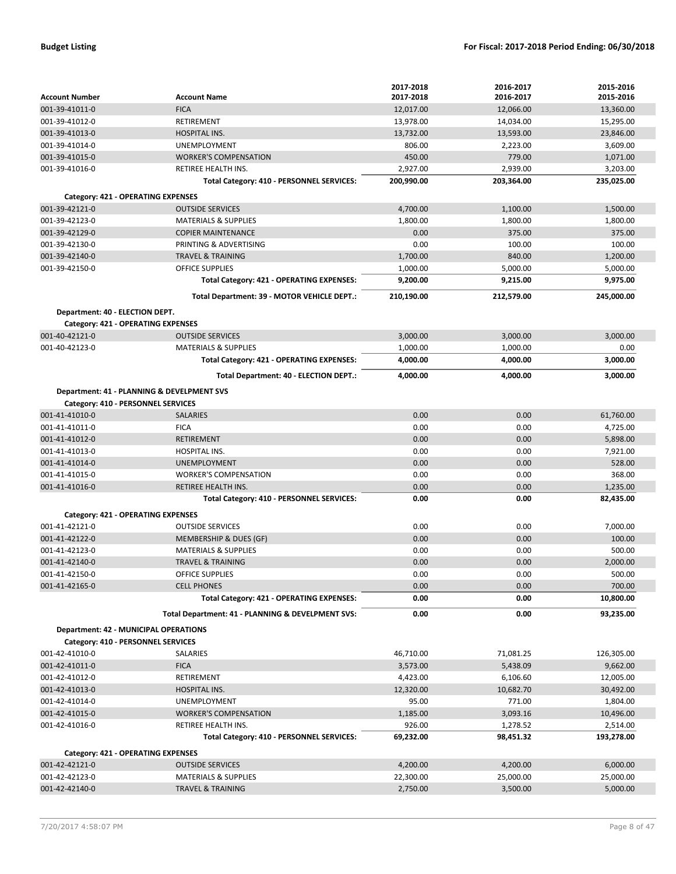|                                            |                                                           | 2017-2018    | 2016-2017    | 2015-2016          |
|--------------------------------------------|-----------------------------------------------------------|--------------|--------------|--------------------|
| <b>Account Number</b>                      | <b>Account Name</b>                                       | 2017-2018    | 2016-2017    | 2015-2016          |
| 001-39-41011-0                             | <b>FICA</b>                                               | 12,017.00    | 12,066.00    | 13,360.00          |
| 001-39-41012-0                             | <b>RETIREMENT</b>                                         | 13,978.00    | 14,034.00    | 15,295.00          |
| 001-39-41013-0                             | <b>HOSPITAL INS.</b>                                      | 13,732.00    | 13,593.00    | 23,846.00          |
| 001-39-41014-0                             | <b>UNEMPLOYMENT</b>                                       | 806.00       | 2,223.00     | 3,609.00           |
| 001-39-41015-0                             | <b>WORKER'S COMPENSATION</b>                              | 450.00       | 779.00       | 1,071.00           |
| 001-39-41016-0                             | RETIREE HEALTH INS.                                       | 2,927.00     | 2,939.00     | 3,203.00           |
|                                            | Total Category: 410 - PERSONNEL SERVICES:                 | 200,990.00   | 203,364.00   | 235,025.00         |
| Category: 421 - OPERATING EXPENSES         |                                                           |              |              |                    |
| 001-39-42121-0                             | <b>OUTSIDE SERVICES</b>                                   | 4,700.00     | 1,100.00     | 1,500.00           |
| 001-39-42123-0                             | <b>MATERIALS &amp; SUPPLIES</b>                           | 1,800.00     | 1,800.00     | 1,800.00           |
| 001-39-42129-0                             | <b>COPIER MAINTENANCE</b>                                 | 0.00         | 375.00       | 375.00             |
| 001-39-42130-0                             | PRINTING & ADVERTISING                                    | 0.00         | 100.00       | 100.00             |
| 001-39-42140-0                             | <b>TRAVEL &amp; TRAINING</b>                              | 1,700.00     | 840.00       | 1,200.00           |
| 001-39-42150-0                             | <b>OFFICE SUPPLIES</b>                                    | 1,000.00     | 5,000.00     | 5,000.00           |
|                                            | Total Category: 421 - OPERATING EXPENSES:                 | 9,200.00     | 9,215.00     | 9,975.00           |
|                                            | Total Department: 39 - MOTOR VEHICLE DEPT.:               |              |              | 245,000.00         |
|                                            |                                                           | 210,190.00   | 212,579.00   |                    |
| Department: 40 - ELECTION DEPT.            |                                                           |              |              |                    |
| Category: 421 - OPERATING EXPENSES         |                                                           |              |              |                    |
| 001-40-42121-0                             | <b>OUTSIDE SERVICES</b>                                   | 3,000.00     | 3,000.00     | 3,000.00           |
| 001-40-42123-0                             | <b>MATERIALS &amp; SUPPLIES</b>                           | 1,000.00     | 1,000.00     | 0.00               |
|                                            | Total Category: 421 - OPERATING EXPENSES:                 | 4,000.00     | 4,000.00     | 3,000.00           |
|                                            | Total Department: 40 - ELECTION DEPT.:                    | 4,000.00     | 4,000.00     | 3,000.00           |
| Department: 41 - PLANNING & DEVELPMENT SVS |                                                           |              |              |                    |
| Category: 410 - PERSONNEL SERVICES         |                                                           |              |              |                    |
| 001-41-41010-0                             | <b>SALARIES</b>                                           | 0.00         | 0.00         | 61,760.00          |
| 001-41-41011-0                             | <b>FICA</b>                                               | 0.00         | 0.00         | 4,725.00           |
| 001-41-41012-0                             | RETIREMENT                                                | 0.00         | 0.00         | 5,898.00           |
| 001-41-41013-0                             | HOSPITAL INS.                                             | 0.00         | 0.00         | 7,921.00           |
| 001-41-41014-0                             | <b>UNEMPLOYMENT</b>                                       | 0.00         | 0.00         | 528.00             |
| 001-41-41015-0                             | <b>WORKER'S COMPENSATION</b>                              | 0.00         | 0.00         | 368.00             |
| 001-41-41016-0                             | RETIREE HEALTH INS.                                       | 0.00         | 0.00         | 1,235.00           |
|                                            | Total Category: 410 - PERSONNEL SERVICES:                 | 0.00         | 0.00         | 82,435.00          |
|                                            |                                                           |              |              |                    |
| Category: 421 - OPERATING EXPENSES         |                                                           |              |              |                    |
| 001-41-42121-0                             | <b>OUTSIDE SERVICES</b>                                   | 0.00         | 0.00         | 7,000.00           |
| 001-41-42122-0                             | MEMBERSHIP & DUES (GF)<br><b>MATERIALS &amp; SUPPLIES</b> | 0.00         | 0.00         | 100.00             |
| 001-41-42123-0<br>001-41-42140-0           |                                                           | 0.00         | 0.00<br>0.00 | 500.00             |
| 001-41-42150-0                             | <b>TRAVEL &amp; TRAINING</b><br>OFFICE SUPPLIES           | 0.00<br>0.00 | 0.00         | 2,000.00<br>500.00 |
| 001-41-42165-0                             | <b>CELL PHONES</b>                                        | 0.00         | 0.00         | 700.00             |
|                                            | Total Category: 421 - OPERATING EXPENSES:                 | 0.00         | 0.00         | 10,800.00          |
|                                            |                                                           |              |              |                    |
|                                            | Total Department: 41 - PLANNING & DEVELPMENT SVS:         | 0.00         | 0.00         | 93,235.00          |
| Department: 42 - MUNICIPAL OPERATIONS      |                                                           |              |              |                    |
| Category: 410 - PERSONNEL SERVICES         |                                                           |              |              |                    |
| 001-42-41010-0                             | SALARIES                                                  | 46,710.00    | 71,081.25    | 126,305.00         |
| 001-42-41011-0                             | <b>FICA</b>                                               | 3,573.00     | 5,438.09     | 9,662.00           |
| 001-42-41012-0                             | RETIREMENT                                                | 4,423.00     | 6,106.60     | 12,005.00          |
| 001-42-41013-0                             | HOSPITAL INS.                                             | 12,320.00    | 10,682.70    | 30,492.00          |
| 001-42-41014-0                             | UNEMPLOYMENT                                              | 95.00        | 771.00       | 1,804.00           |
| 001-42-41015-0                             | <b>WORKER'S COMPENSATION</b>                              | 1,185.00     | 3,093.16     | 10,496.00          |
| 001-42-41016-0                             | RETIREE HEALTH INS.                                       | 926.00       | 1,278.52     | 2,514.00           |
|                                            | Total Category: 410 - PERSONNEL SERVICES:                 | 69,232.00    | 98,451.32    | 193,278.00         |
| Category: 421 - OPERATING EXPENSES         |                                                           |              |              |                    |
| 001-42-42121-0                             | <b>OUTSIDE SERVICES</b>                                   | 4,200.00     | 4,200.00     | 6,000.00           |
| 001-42-42123-0                             | MATERIALS & SUPPLIES                                      | 22,300.00    | 25,000.00    | 25,000.00          |
| 001-42-42140-0                             | TRAVEL & TRAINING                                         | 2,750.00     | 3,500.00     | 5,000.00           |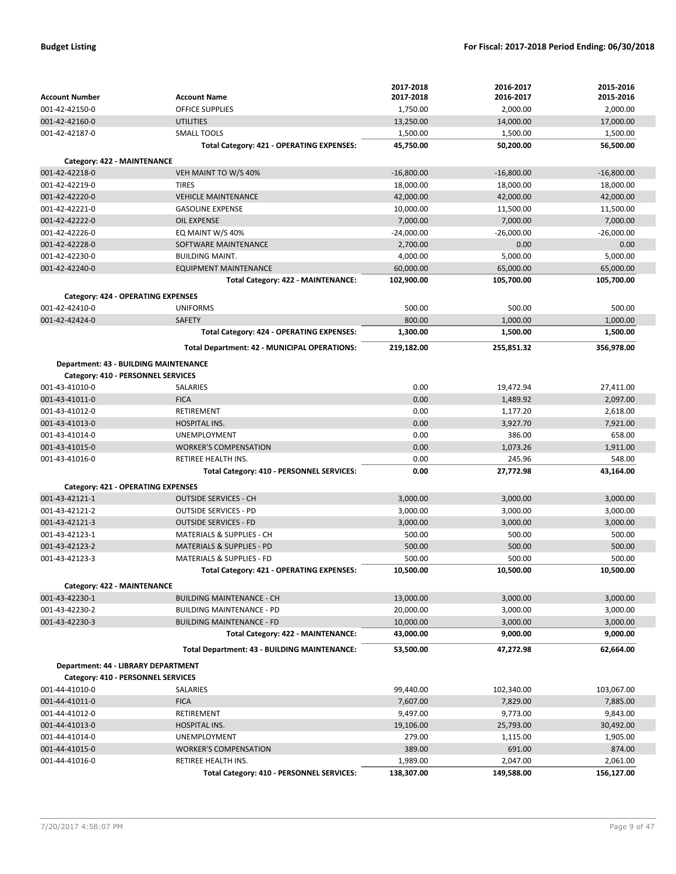|                                       |                                              | 2017-2018              | 2016-2017              | 2015-2016              |
|---------------------------------------|----------------------------------------------|------------------------|------------------------|------------------------|
| <b>Account Number</b>                 | <b>Account Name</b>                          | 2017-2018              | 2016-2017              | 2015-2016              |
| 001-42-42150-0                        | <b>OFFICE SUPPLIES</b>                       | 1,750.00               | 2,000.00               | 2,000.00               |
| 001-42-42160-0                        | <b>UTILITIES</b>                             | 13,250.00              | 14,000.00              | 17,000.00              |
| 001-42-42187-0                        | <b>SMALL TOOLS</b>                           | 1,500.00               | 1,500.00               | 1,500.00               |
|                                       | Total Category: 421 - OPERATING EXPENSES:    | 45,750.00              | 50,200.00              | 56,500.00              |
|                                       |                                              |                        |                        |                        |
| Category: 422 - MAINTENANCE           |                                              | $-16,800.00$           |                        |                        |
| 001-42-42218-0                        | VEH MAINT TO W/S 40%<br><b>TIRES</b>         |                        | $-16,800.00$           | $-16,800.00$           |
| 001-42-42219-0<br>001-42-42220-0      | <b>VEHICLE MAINTENANCE</b>                   | 18,000.00<br>42,000.00 | 18,000.00<br>42,000.00 | 18,000.00<br>42,000.00 |
| 001-42-42221-0                        | <b>GASOLINE EXPENSE</b>                      | 10,000.00              | 11,500.00              | 11,500.00              |
| 001-42-42222-0                        |                                              |                        |                        |                        |
|                                       | <b>OIL EXPENSE</b>                           | 7,000.00               | 7,000.00               | 7,000.00               |
| 001-42-42226-0                        | EQ MAINT W/S 40%                             | $-24,000.00$           | $-26,000.00$           | $-26,000.00$           |
| 001-42-42228-0                        | SOFTWARE MAINTENANCE                         | 2,700.00               | 0.00                   | 0.00                   |
| 001-42-42230-0                        | <b>BUILDING MAINT.</b>                       | 4,000.00               | 5,000.00               | 5,000.00               |
| 001-42-42240-0                        | <b>EQUIPMENT MAINTENANCE</b>                 | 60,000.00              | 65,000.00              | 65,000.00              |
|                                       | Total Category: 422 - MAINTENANCE:           | 102,900.00             | 105,700.00             | 105,700.00             |
| Category: 424 - OPERATING EXPENSES    |                                              |                        |                        |                        |
| 001-42-42410-0                        | <b>UNIFORMS</b>                              | 500.00                 | 500.00                 | 500.00                 |
| 001-42-42424-0                        | <b>SAFETY</b>                                | 800.00                 | 1,000.00               | 1,000.00               |
|                                       | Total Category: 424 - OPERATING EXPENSES:    | 1,300.00               | 1,500.00               | 1,500.00               |
|                                       | Total Department: 42 - MUNICIPAL OPERATIONS: | 219,182.00             | 255,851.32             | 356,978.00             |
|                                       |                                              |                        |                        |                        |
| Department: 43 - BUILDING MAINTENANCE |                                              |                        |                        |                        |
| Category: 410 - PERSONNEL SERVICES    |                                              |                        |                        |                        |
| 001-43-41010-0                        | SALARIES                                     | 0.00                   | 19,472.94              | 27,411.00              |
| 001-43-41011-0                        | <b>FICA</b>                                  | 0.00                   | 1,489.92               | 2,097.00               |
| 001-43-41012-0                        | RETIREMENT                                   | 0.00                   | 1,177.20               | 2,618.00               |
| 001-43-41013-0                        | <b>HOSPITAL INS.</b>                         | 0.00                   | 3,927.70               | 7,921.00               |
| 001-43-41014-0                        | <b>UNEMPLOYMENT</b>                          | 0.00                   | 386.00                 | 658.00                 |
| 001-43-41015-0                        | <b>WORKER'S COMPENSATION</b>                 | 0.00                   | 1,073.26               | 1,911.00               |
| 001-43-41016-0                        | RETIREE HEALTH INS.                          | 0.00                   | 245.96                 | 548.00                 |
|                                       | Total Category: 410 - PERSONNEL SERVICES:    | 0.00                   | 27,772.98              | 43,164.00              |
| Category: 421 - OPERATING EXPENSES    |                                              |                        |                        |                        |
| 001-43-42121-1                        | <b>OUTSIDE SERVICES - CH</b>                 | 3,000.00               | 3,000.00               | 3,000.00               |
| 001-43-42121-2                        | <b>OUTSIDE SERVICES - PD</b>                 | 3,000.00               | 3,000.00               | 3,000.00               |
| 001-43-42121-3                        | <b>OUTSIDE SERVICES - FD</b>                 | 3,000.00               | 3,000.00               | 3,000.00               |
| 001-43-42123-1                        | MATERIALS & SUPPLIES - CH                    | 500.00                 | 500.00                 | 500.00                 |
| 001-43-42123-2                        | <b>MATERIALS &amp; SUPPLIES - PD</b>         | 500.00                 | 500.00                 | 500.00                 |
| 001-43-42123-3                        | <b>MATERIALS &amp; SUPPLIES - FD</b>         | 500.00                 | 500.00                 | 500.00                 |
|                                       | Total Category: 421 - OPERATING EXPENSES:    | 10.500.00              | 10,500.00              | 10,500.00              |
|                                       |                                              |                        |                        |                        |
| Category: 422 - MAINTENANCE           |                                              |                        |                        |                        |
| 001-43-42230-1                        | <b>BUILDING MAINTENANCE - CH</b>             | 13,000.00              | 3,000.00               | 3,000.00               |
| 001-43-42230-2                        | <b>BUILDING MAINTENANCE - PD</b>             | 20,000.00              | 3,000.00               | 3,000.00               |
| 001-43-42230-3                        | <b>BUILDING MAINTENANCE - FD</b>             | 10,000.00              | 3,000.00               | 3,000.00               |
|                                       | Total Category: 422 - MAINTENANCE:           | 43,000.00              | 9,000.00               | 9,000.00               |
|                                       | Total Department: 43 - BUILDING MAINTENANCE: | 53,500.00              | 47,272.98              | 62,664.00              |
| Department: 44 - LIBRARY DEPARTMENT   |                                              |                        |                        |                        |
| Category: 410 - PERSONNEL SERVICES    |                                              |                        |                        |                        |
| 001-44-41010-0                        | <b>SALARIES</b>                              | 99,440.00              | 102,340.00             |                        |
| 001-44-41011-0                        | <b>FICA</b>                                  |                        |                        | 103,067.00             |
| 001-44-41012-0                        | <b>RETIREMENT</b>                            | 7,607.00<br>9,497.00   | 7,829.00<br>9,773.00   | 7,885.00<br>9,843.00   |
|                                       |                                              |                        |                        |                        |
| 001-44-41013-0                        | HOSPITAL INS.                                | 19,106.00              | 25,793.00              | 30,492.00              |
| 001-44-41014-0                        | <b>UNEMPLOYMENT</b>                          | 279.00                 | 1,115.00               | 1,905.00               |
| 001-44-41015-0                        | <b>WORKER'S COMPENSATION</b>                 | 389.00                 | 691.00                 | 874.00                 |
| 001-44-41016-0                        | RETIREE HEALTH INS.                          | 1,989.00               | 2,047.00               | 2,061.00               |
|                                       | Total Category: 410 - PERSONNEL SERVICES:    | 138,307.00             | 149,588.00             | 156,127.00             |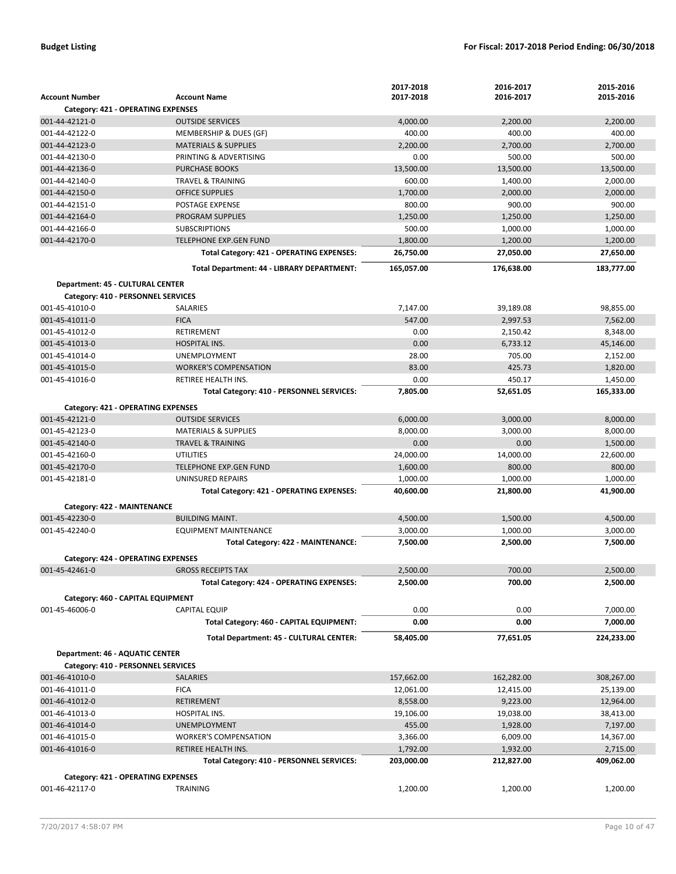|                                           |                                                | 2017-2018  | 2016-2017  | 2015-2016  |
|-------------------------------------------|------------------------------------------------|------------|------------|------------|
| <b>Account Number</b>                     | <b>Account Name</b>                            | 2017-2018  | 2016-2017  | 2015-2016  |
| <b>Category: 421 - OPERATING EXPENSES</b> |                                                |            |            |            |
| 001-44-42121-0                            | <b>OUTSIDE SERVICES</b>                        | 4,000.00   | 2,200.00   | 2,200.00   |
| 001-44-42122-0                            | MEMBERSHIP & DUES (GF)                         | 400.00     | 400.00     | 400.00     |
| 001-44-42123-0                            | <b>MATERIALS &amp; SUPPLIES</b>                | 2,200.00   | 2,700.00   | 2,700.00   |
| 001-44-42130-0                            | PRINTING & ADVERTISING                         | 0.00       | 500.00     | 500.00     |
| 001-44-42136-0                            | <b>PURCHASE BOOKS</b>                          | 13,500.00  | 13,500.00  | 13,500.00  |
| 001-44-42140-0                            | <b>TRAVEL &amp; TRAINING</b>                   | 600.00     | 1,400.00   | 2,000.00   |
| 001-44-42150-0                            | <b>OFFICE SUPPLIES</b>                         | 1,700.00   | 2,000.00   | 2,000.00   |
| 001-44-42151-0                            | POSTAGE EXPENSE                                | 800.00     | 900.00     | 900.00     |
| 001-44-42164-0                            | PROGRAM SUPPLIES                               | 1,250.00   | 1,250.00   | 1,250.00   |
| 001-44-42166-0                            | <b>SUBSCRIPTIONS</b>                           | 500.00     | 1,000.00   | 1,000.00   |
| 001-44-42170-0                            | <b>TELEPHONE EXP.GEN FUND</b>                  | 1,800.00   | 1,200.00   | 1,200.00   |
|                                           | Total Category: 421 - OPERATING EXPENSES:      | 26,750.00  | 27,050.00  | 27,650.00  |
|                                           | Total Department: 44 - LIBRARY DEPARTMENT:     | 165,057.00 | 176,638.00 | 183,777.00 |
| <b>Department: 45 - CULTURAL CENTER</b>   |                                                |            |            |            |
| Category: 410 - PERSONNEL SERVICES        |                                                |            |            |            |
| 001-45-41010-0                            | SALARIES                                       | 7,147.00   | 39,189.08  | 98,855.00  |
| 001-45-41011-0                            | <b>FICA</b>                                    | 547.00     | 2,997.53   | 7,562.00   |
| 001-45-41012-0                            | <b>RETIREMENT</b>                              | 0.00       | 2,150.42   | 8,348.00   |
| 001-45-41013-0                            | <b>HOSPITAL INS.</b>                           | 0.00       | 6,733.12   | 45,146.00  |
| 001-45-41014-0                            | <b>UNEMPLOYMENT</b>                            | 28.00      | 705.00     | 2,152.00   |
| 001-45-41015-0                            | <b>WORKER'S COMPENSATION</b>                   | 83.00      | 425.73     | 1,820.00   |
| 001-45-41016-0                            | RETIREE HEALTH INS.                            | 0.00       | 450.17     | 1,450.00   |
|                                           | Total Category: 410 - PERSONNEL SERVICES:      | 7,805.00   | 52,651.05  | 165,333.00 |
| <b>Category: 421 - OPERATING EXPENSES</b> |                                                |            |            |            |
| 001-45-42121-0                            | <b>OUTSIDE SERVICES</b>                        | 6,000.00   | 3,000.00   | 8,000.00   |
| 001-45-42123-0                            | <b>MATERIALS &amp; SUPPLIES</b>                | 8,000.00   | 3,000.00   | 8,000.00   |
| 001-45-42140-0                            | <b>TRAVEL &amp; TRAINING</b>                   | 0.00       | 0.00       | 1,500.00   |
| 001-45-42160-0                            | UTILITIES                                      | 24,000.00  | 14,000.00  | 22,600.00  |
| 001-45-42170-0                            | <b>TELEPHONE EXP.GEN FUND</b>                  | 1,600.00   | 800.00     | 800.00     |
| 001-45-42181-0                            | UNINSURED REPAIRS                              | 1,000.00   | 1,000.00   | 1,000.00   |
|                                           | Total Category: 421 - OPERATING EXPENSES:      | 40,600.00  | 21,800.00  | 41,900.00  |
| Category: 422 - MAINTENANCE               |                                                |            |            |            |
| 001-45-42230-0                            | <b>BUILDING MAINT.</b>                         | 4,500.00   | 1,500.00   | 4,500.00   |
| 001-45-42240-0                            | EQUIPMENT MAINTENANCE                          | 3,000.00   | 1,000.00   | 3,000.00   |
|                                           | Total Category: 422 - MAINTENANCE:             | 7,500.00   | 2,500.00   | 7,500.00   |
|                                           |                                                |            |            |            |
| Category: 424 - OPERATING EXPENSES        |                                                |            |            |            |
| 001-45-42461-0                            | <b>GROSS RECEIPTS TAX</b>                      | 2.500.00   | 700.00     | 2.500.00   |
|                                           | Total Category: 424 - OPERATING EXPENSES:      | 2,500.00   | 700.00     | 2,500.00   |
| Category: 460 - CAPITAL EQUIPMENT         |                                                |            |            |            |
| 001-45-46006-0                            | <b>CAPITAL EQUIP</b>                           | 0.00       | 0.00       | 7,000.00   |
|                                           | Total Category: 460 - CAPITAL EQUIPMENT:       | 0.00       | 0.00       | 7,000.00   |
|                                           | <b>Total Department: 45 - CULTURAL CENTER:</b> | 58,405.00  | 77,651.05  | 224,233.00 |
| <b>Department: 46 - AQUATIC CENTER</b>    |                                                |            |            |            |
| Category: 410 - PERSONNEL SERVICES        |                                                |            |            |            |
| 001-46-41010-0                            | <b>SALARIES</b>                                | 157,662.00 | 162,282.00 | 308,267.00 |
| 001-46-41011-0                            | <b>FICA</b>                                    | 12,061.00  | 12,415.00  | 25,139.00  |
| 001-46-41012-0                            | RETIREMENT                                     | 8,558.00   | 9,223.00   | 12,964.00  |
| 001-46-41013-0                            | HOSPITAL INS.                                  | 19,106.00  | 19,038.00  | 38,413.00  |
| 001-46-41014-0                            | <b>UNEMPLOYMENT</b>                            | 455.00     | 1,928.00   | 7,197.00   |
| 001-46-41015-0                            | <b>WORKER'S COMPENSATION</b>                   | 3,366.00   | 6,009.00   | 14,367.00  |
| 001-46-41016-0                            | RETIREE HEALTH INS.                            | 1,792.00   | 1,932.00   | 2,715.00   |
|                                           | Total Category: 410 - PERSONNEL SERVICES:      | 203,000.00 | 212,827.00 | 409,062.00 |
|                                           |                                                |            |            |            |
| Category: 421 - OPERATING EXPENSES        |                                                |            |            |            |
| 001-46-42117-0                            | <b>TRAINING</b>                                | 1,200.00   | 1,200.00   | 1,200.00   |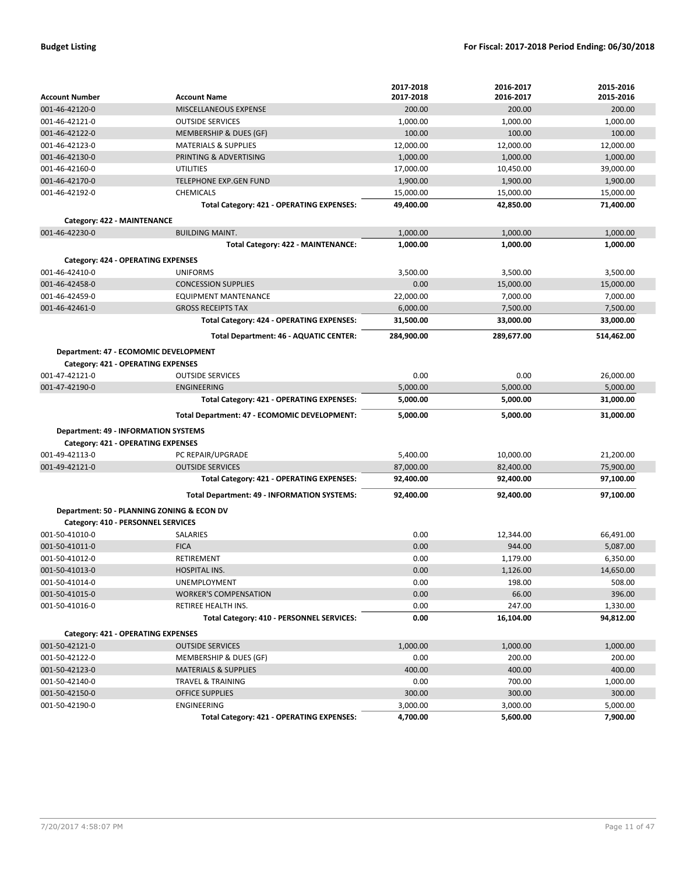#### **Budget Listing For Fiscal: 2017-2018 Period Ending: 06/30/2018**

|                                             |                                              | 2017-2018  | 2016-2017  | 2015-2016  |
|---------------------------------------------|----------------------------------------------|------------|------------|------------|
| <b>Account Number</b>                       | <b>Account Name</b>                          | 2017-2018  | 2016-2017  | 2015-2016  |
| 001-46-42120-0                              | MISCELLANEOUS EXPENSE                        | 200.00     | 200.00     | 200.00     |
| 001-46-42121-0                              | <b>OUTSIDE SERVICES</b>                      | 1,000.00   | 1,000.00   | 1,000.00   |
| 001-46-42122-0                              | <b>MEMBERSHIP &amp; DUES (GF)</b>            | 100.00     | 100.00     | 100.00     |
| 001-46-42123-0                              | <b>MATERIALS &amp; SUPPLIES</b>              | 12,000.00  | 12,000.00  | 12,000.00  |
| 001-46-42130-0                              | PRINTING & ADVERTISING                       | 1,000.00   | 1,000.00   | 1,000.00   |
| 001-46-42160-0                              | <b>UTILITIES</b>                             | 17,000.00  | 10,450.00  | 39,000.00  |
| 001-46-42170-0                              | <b>TELEPHONE EXP.GEN FUND</b>                | 1,900.00   | 1,900.00   | 1,900.00   |
| 001-46-42192-0                              | <b>CHEMICALS</b>                             | 15,000.00  | 15,000.00  | 15,000.00  |
|                                             | Total Category: 421 - OPERATING EXPENSES:    | 49,400.00  | 42,850.00  | 71,400.00  |
| Category: 422 - MAINTENANCE                 |                                              |            |            |            |
| 001-46-42230-0                              | <b>BUILDING MAINT.</b>                       | 1,000.00   | 1,000.00   | 1,000.00   |
|                                             | Total Category: 422 - MAINTENANCE:           | 1,000.00   | 1,000.00   | 1,000.00   |
| Category: 424 - OPERATING EXPENSES          |                                              |            |            |            |
| 001-46-42410-0                              | <b>UNIFORMS</b>                              | 3,500.00   | 3,500.00   | 3,500.00   |
| 001-46-42458-0                              | <b>CONCESSION SUPPLIES</b>                   | 0.00       | 15,000.00  | 15,000.00  |
| 001-46-42459-0                              | <b>EQUIPMENT MANTENANCE</b>                  | 22,000.00  | 7,000.00   | 7,000.00   |
| 001-46-42461-0                              | <b>GROSS RECEIPTS TAX</b>                    | 6,000.00   | 7,500.00   | 7,500.00   |
|                                             | Total Category: 424 - OPERATING EXPENSES:    | 31,500.00  | 33,000.00  | 33,000.00  |
|                                             | Total Department: 46 - AQUATIC CENTER:       | 284,900.00 | 289,677.00 | 514,462.00 |
| Department: 47 - ECOMOMIC DEVELOPMENT       |                                              |            |            |            |
| <b>Category: 421 - OPERATING EXPENSES</b>   |                                              |            |            |            |
| 001-47-42121-0                              | <b>OUTSIDE SERVICES</b>                      | 0.00       | 0.00       | 26,000.00  |
| 001-47-42190-0                              | <b>ENGINEERING</b>                           | 5,000.00   | 5,000.00   | 5,000.00   |
|                                             | Total Category: 421 - OPERATING EXPENSES:    | 5,000.00   | 5,000.00   | 31,000.00  |
|                                             |                                              |            |            |            |
|                                             | Total Department: 47 - ECOMOMIC DEVELOPMENT: | 5,000.00   | 5,000.00   | 31,000.00  |
| <b>Department: 49 - INFORMATION SYSTEMS</b> |                                              |            |            |            |
| <b>Category: 421 - OPERATING EXPENSES</b>   |                                              |            |            |            |
| 001-49-42113-0                              | PC REPAIR/UPGRADE                            | 5,400.00   | 10,000.00  | 21,200.00  |
| 001-49-42121-0                              | <b>OUTSIDE SERVICES</b>                      | 87,000.00  | 82,400.00  | 75,900.00  |
|                                             | Total Category: 421 - OPERATING EXPENSES:    | 92,400.00  | 92,400.00  | 97,100.00  |
|                                             | Total Department: 49 - INFORMATION SYSTEMS:  | 92,400.00  | 92,400.00  | 97,100.00  |
| Department: 50 - PLANNING ZONING & ECON DV  |                                              |            |            |            |
| Category: 410 - PERSONNEL SERVICES          |                                              |            |            |            |
| 001-50-41010-0                              | SALARIES                                     | 0.00       | 12,344.00  | 66,491.00  |
| 001-50-41011-0                              | <b>FICA</b>                                  | 0.00       | 944.00     | 5,087.00   |
| 001-50-41012-0                              | RETIREMENT                                   | 0.00       | 1,179.00   | 6,350.00   |
| 001-50-41013-0                              | <b>HOSPITAL INS.</b>                         | 0.00       | 1,126.00   | 14,650.00  |
| 001-50-41014-0                              | <b>UNEMPLOYMENT</b>                          | 0.00       | 198.00     | 508.00     |
| 001-50-41015-0                              | <b>WORKER'S COMPENSATION</b>                 | 0.00       | 66.00      | 396.00     |
| 001-50-41016-0                              | RETIREE HEALTH INS.                          | 0.00       | 247.00     | 1,330.00   |
|                                             | Total Category: 410 - PERSONNEL SERVICES:    | 0.00       | 16,104.00  | 94,812.00  |
| <b>Category: 421 - OPERATING EXPENSES</b>   |                                              |            |            |            |
| 001-50-42121-0                              | <b>OUTSIDE SERVICES</b>                      | 1,000.00   | 1,000.00   | 1,000.00   |
| 001-50-42122-0                              | MEMBERSHIP & DUES (GF)                       | 0.00       | 200.00     | 200.00     |
| 001-50-42123-0                              | <b>MATERIALS &amp; SUPPLIES</b>              | 400.00     | 400.00     | 400.00     |
| 001-50-42140-0                              | TRAVEL & TRAINING                            | 0.00       | 700.00     | 1,000.00   |
| 001-50-42150-0                              | <b>OFFICE SUPPLIES</b>                       | 300.00     | 300.00     | 300.00     |
| 001-50-42190-0                              | ENGINEERING                                  | 3,000.00   | 3,000.00   | 5,000.00   |
|                                             | Total Category: 421 - OPERATING EXPENSES:    | 4,700.00   | 5,600.00   | 7,900.00   |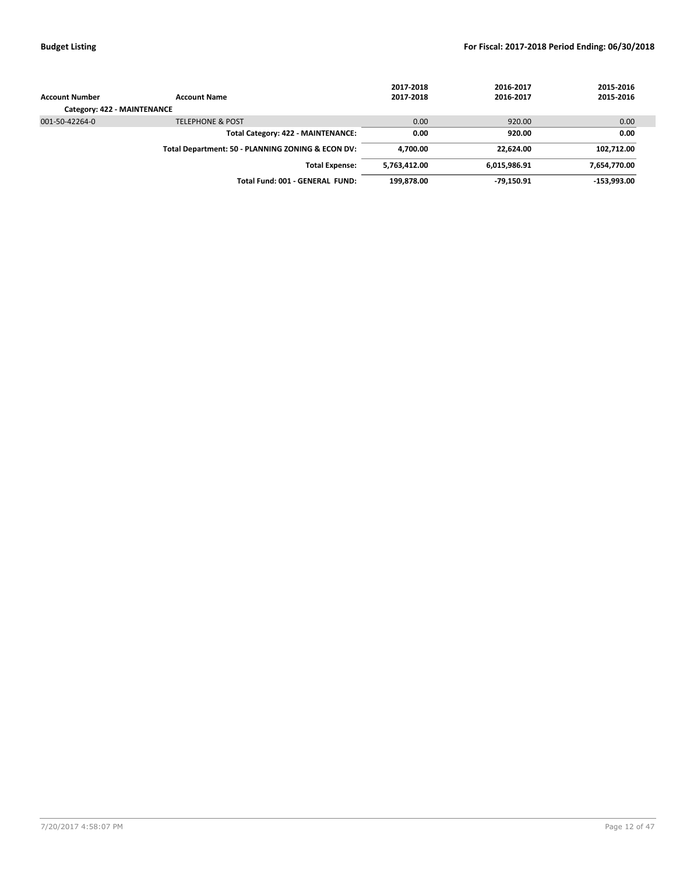|                             |                                                   | 2017-2018    | 2016-2017    | 2015-2016    |
|-----------------------------|---------------------------------------------------|--------------|--------------|--------------|
| <b>Account Number</b>       | <b>Account Name</b>                               | 2017-2018    | 2016-2017    | 2015-2016    |
| Category: 422 - MAINTENANCE |                                                   |              |              |              |
| 001-50-42264-0              | <b>TELEPHONE &amp; POST</b>                       | 0.00         | 920.00       | 0.00         |
|                             | Total Category: 422 - MAINTENANCE:                | 0.00         | 920.00       | 0.00         |
|                             | Total Department: 50 - PLANNING ZONING & ECON DV: | 4.700.00     | 22.624.00    | 102,712.00   |
|                             | <b>Total Expense:</b>                             | 5,763,412.00 | 6,015,986.91 | 7,654,770.00 |
|                             | Total Fund: 001 - GENERAL FUND:                   | 199.878.00   | -79.150.91   | -153.993.00  |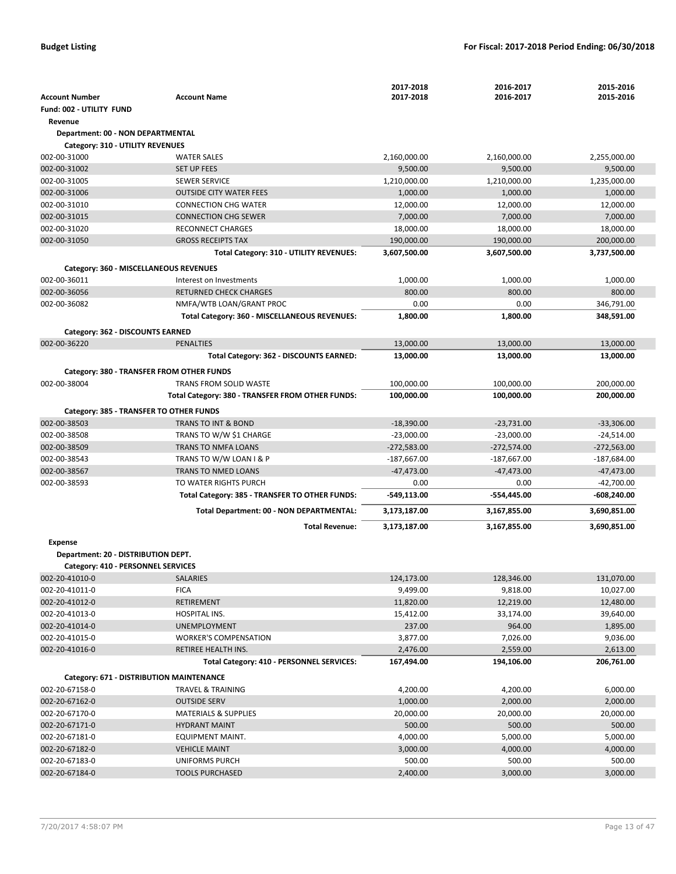|                                           |                                                  | 2017-2018     | 2016-2017     | 2015-2016     |
|-------------------------------------------|--------------------------------------------------|---------------|---------------|---------------|
| <b>Account Number</b>                     | <b>Account Name</b>                              | 2017-2018     | 2016-2017     | 2015-2016     |
| Fund: 002 - UTILITY FUND                  |                                                  |               |               |               |
| Revenue                                   |                                                  |               |               |               |
| Department: 00 - NON DEPARTMENTAL         |                                                  |               |               |               |
| Category: 310 - UTILITY REVENUES          |                                                  |               |               |               |
| 002-00-31000                              | <b>WATER SALES</b>                               | 2,160,000.00  | 2,160,000.00  | 2,255,000.00  |
| 002-00-31002                              | <b>SET UP FEES</b>                               | 9,500.00      | 9,500.00      | 9,500.00      |
| 002-00-31005                              | <b>SEWER SERVICE</b>                             | 1,210,000.00  | 1,210,000.00  | 1,235,000.00  |
| 002-00-31006                              | <b>OUTSIDE CITY WATER FEES</b>                   | 1,000.00      | 1,000.00      | 1.000.00      |
| 002-00-31010                              | <b>CONNECTION CHG WATER</b>                      | 12,000.00     | 12,000.00     | 12,000.00     |
| 002-00-31015                              | <b>CONNECTION CHG SEWER</b>                      | 7,000.00      | 7,000.00      | 7,000.00      |
| 002-00-31020                              | <b>RECONNECT CHARGES</b>                         | 18,000.00     | 18,000.00     | 18,000.00     |
| 002-00-31050                              | <b>GROSS RECEIPTS TAX</b>                        | 190,000.00    | 190,000.00    | 200,000.00    |
|                                           | Total Category: 310 - UTILITY REVENUES:          | 3,607,500.00  | 3,607,500.00  | 3,737,500.00  |
| Category: 360 - MISCELLANEOUS REVENUES    |                                                  |               |               |               |
| 002-00-36011                              | Interest on Investments                          | 1,000.00      | 1,000.00      | 1,000.00      |
| 002-00-36056                              | <b>RETURNED CHECK CHARGES</b>                    | 800.00        | 800.00        | 800.00        |
| 002-00-36082                              | NMFA/WTB LOAN/GRANT PROC                         | 0.00          | 0.00          | 346,791.00    |
|                                           | Total Category: 360 - MISCELLANEOUS REVENUES:    | 1,800.00      | 1,800.00      | 348,591.00    |
| Category: 362 - DISCOUNTS EARNED          |                                                  |               |               |               |
| 002-00-36220                              | <b>PENALTIES</b>                                 | 13,000.00     | 13,000.00     | 13,000.00     |
|                                           | Total Category: 362 - DISCOUNTS EARNED:          | 13,000.00     | 13,000.00     | 13,000.00     |
|                                           |                                                  |               |               |               |
| Category: 380 - TRANSFER FROM OTHER FUNDS |                                                  |               |               |               |
| 002-00-38004                              | TRANS FROM SOLID WASTE                           | 100,000.00    | 100,000.00    | 200,000.00    |
|                                           | Total Category: 380 - TRANSFER FROM OTHER FUNDS: | 100,000.00    | 100,000.00    | 200,000.00    |
| Category: 385 - TRANSFER TO OTHER FUNDS   |                                                  |               |               |               |
| 002-00-38503                              | <b>TRANS TO INT &amp; BOND</b>                   | $-18,390.00$  | $-23,731.00$  | $-33,306.00$  |
| 002-00-38508                              | TRANS TO W/W \$1 CHARGE                          | $-23,000.00$  | $-23,000.00$  | $-24,514.00$  |
| 002-00-38509                              | <b>TRANS TO NMFA LOANS</b>                       | $-272,583.00$ | $-272,574.00$ | $-272,563.00$ |
| 002-00-38543                              | TRANS TO W/W LOAN I & P                          | $-187,667.00$ | $-187,667.00$ | $-187,684.00$ |
| 002-00-38567                              | <b>TRANS TO NMED LOANS</b>                       | $-47,473.00$  | $-47,473.00$  | $-47,473.00$  |
| 002-00-38593                              | TO WATER RIGHTS PURCH                            | 0.00          | 0.00          | $-42,700.00$  |
|                                           | Total Category: 385 - TRANSFER TO OTHER FUNDS:   | -549,113.00   | -554,445.00   | -608,240.00   |
|                                           | Total Department: 00 - NON DEPARTMENTAL:         | 3,173,187.00  | 3,167,855.00  | 3,690,851.00  |
|                                           | <b>Total Revenue:</b>                            | 3,173,187.00  | 3,167,855.00  | 3,690,851.00  |
| <b>Expense</b>                            |                                                  |               |               |               |
| Department: 20 - DISTRIBUTION DEPT.       |                                                  |               |               |               |
| Category: 410 - PERSONNEL SERVICES        |                                                  |               |               |               |
| 002-20-41010-0                            | <b>SALARIES</b>                                  | 124,173.00    | 128,346.00    | 131,070.00    |
| 002-20-41011-0                            | <b>FICA</b>                                      | 9,499.00      | 9,818.00      | 10,027.00     |
| 002-20-41012-0                            | RETIREMENT                                       | 11,820.00     | 12,219.00     | 12,480.00     |
| 002-20-41013-0                            | HOSPITAL INS.                                    | 15,412.00     | 33,174.00     | 39,640.00     |
| 002-20-41014-0                            | <b>UNEMPLOYMENT</b>                              | 237.00        | 964.00        | 1,895.00      |
| 002-20-41015-0                            | <b>WORKER'S COMPENSATION</b>                     | 3,877.00      | 7,026.00      | 9,036.00      |
| 002-20-41016-0                            | RETIREE HEALTH INS.                              | 2,476.00      | 2,559.00      | 2,613.00      |
|                                           | Total Category: 410 - PERSONNEL SERVICES:        | 167,494.00    | 194,106.00    | 206,761.00    |
| Category: 671 - DISTRIBUTION MAINTENANCE  |                                                  |               |               |               |
| 002-20-67158-0                            | <b>TRAVEL &amp; TRAINING</b>                     | 4,200.00      | 4,200.00      | 6,000.00      |
| 002-20-67162-0                            | <b>OUTSIDE SERV</b>                              | 1,000.00      | 2,000.00      | 2,000.00      |
| 002-20-67170-0                            | <b>MATERIALS &amp; SUPPLIES</b>                  | 20,000.00     | 20,000.00     | 20,000.00     |
| 002-20-67171-0                            | <b>HYDRANT MAINT</b>                             | 500.00        | 500.00        | 500.00        |
| 002-20-67181-0                            | <b>EQUIPMENT MAINT.</b>                          | 4,000.00      | 5,000.00      | 5,000.00      |
| 002-20-67182-0                            | <b>VEHICLE MAINT</b>                             | 3,000.00      | 4,000.00      | 4,000.00      |
| 002-20-67183-0                            | UNIFORMS PURCH                                   | 500.00        | 500.00        | 500.00        |
| 002-20-67184-0                            | <b>TOOLS PURCHASED</b>                           | 2,400.00      | 3,000.00      | 3,000.00      |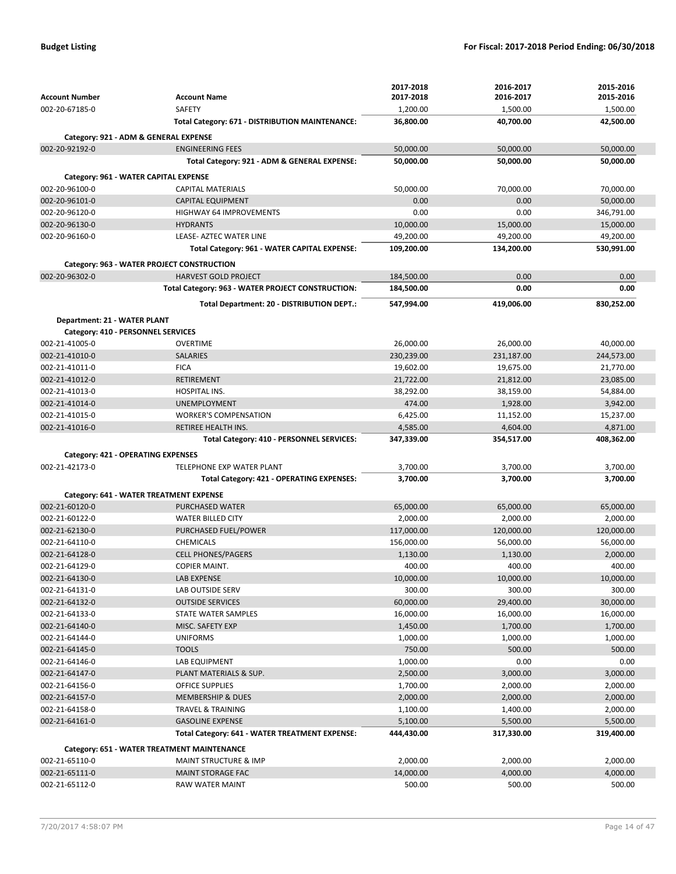|                                         |                                                   | 2017-2018             | 2016-2017             | 2015-2016             |
|-----------------------------------------|---------------------------------------------------|-----------------------|-----------------------|-----------------------|
| <b>Account Number</b>                   | <b>Account Name</b>                               | 2017-2018             | 2016-2017             | 2015-2016             |
| 002-20-67185-0                          | SAFETY                                            | 1,200.00              | 1,500.00              | 1,500.00              |
|                                         | Total Category: 671 - DISTRIBUTION MAINTENANCE:   | 36,800.00             | 40,700.00             | 42,500.00             |
| Category: 921 - ADM & GENERAL EXPENSE   |                                                   |                       |                       |                       |
| 002-20-92192-0                          | <b>ENGINEERING FEES</b>                           | 50,000.00             | 50,000.00             | 50,000.00             |
|                                         | Total Category: 921 - ADM & GENERAL EXPENSE:      | 50,000.00             | 50,000.00             | 50,000.00             |
| Category: 961 - WATER CAPITAL EXPENSE   |                                                   |                       |                       |                       |
| 002-20-96100-0                          | <b>CAPITAL MATERIALS</b>                          | 50,000.00             | 70,000.00             | 70,000.00             |
| 002-20-96101-0                          | <b>CAPITAL EQUIPMENT</b>                          | 0.00                  | 0.00                  | 50,000.00             |
| 002-20-96120-0                          | <b>HIGHWAY 64 IMPROVEMENTS</b>                    | 0.00                  | 0.00                  | 346,791.00            |
| 002-20-96130-0                          | <b>HYDRANTS</b>                                   | 10,000.00             | 15,000.00             | 15,000.00             |
| 002-20-96160-0                          | <b>LEASE- AZTEC WATER LINE</b>                    | 49,200.00             | 49,200.00             | 49,200.00             |
|                                         | Total Category: 961 - WATER CAPITAL EXPENSE:      | 109,200.00            | 134,200.00            | 530,991.00            |
|                                         | Category: 963 - WATER PROJECT CONSTRUCTION        |                       |                       |                       |
| 002-20-96302-0                          | <b>HARVEST GOLD PROJECT</b>                       | 184,500.00            | 0.00                  | 0.00                  |
|                                         | Total Category: 963 - WATER PROJECT CONSTRUCTION: | 184,500.00            | 0.00                  | 0.00                  |
|                                         | Total Department: 20 - DISTRIBUTION DEPT.:        | 547,994.00            | 419,006.00            | 830,252.00            |
| Department: 21 - WATER PLANT            |                                                   |                       |                       |                       |
| Category: 410 - PERSONNEL SERVICES      |                                                   |                       |                       |                       |
| 002-21-41005-0                          | OVERTIME                                          | 26,000.00             | 26,000.00             | 40,000.00             |
| 002-21-41010-0                          | <b>SALARIES</b>                                   | 230,239.00            | 231,187.00            | 244,573.00            |
| 002-21-41011-0                          | <b>FICA</b>                                       | 19,602.00             | 19,675.00             | 21,770.00             |
| 002-21-41012-0                          | <b>RETIREMENT</b>                                 | 21,722.00             | 21,812.00             | 23,085.00             |
| 002-21-41013-0                          | HOSPITAL INS.                                     | 38,292.00             | 38,159.00             | 54,884.00             |
| 002-21-41014-0                          | <b>UNEMPLOYMENT</b>                               | 474.00                | 1,928.00              | 3,942.00              |
| 002-21-41015-0                          | <b>WORKER'S COMPENSATION</b>                      | 6,425.00              | 11,152.00             | 15,237.00             |
| 002-21-41016-0                          | RETIREE HEALTH INS.                               | 4,585.00              | 4,604.00              | 4,871.00              |
|                                         | Total Category: 410 - PERSONNEL SERVICES:         | 347,339.00            | 354,517.00            | 408,362.00            |
|                                         |                                                   |                       |                       |                       |
| Category: 421 - OPERATING EXPENSES      |                                                   |                       |                       |                       |
| 002-21-42173-0                          | TELEPHONE EXP WATER PLANT                         | 3,700.00              | 3,700.00              | 3,700.00              |
|                                         | Total Category: 421 - OPERATING EXPENSES:         | 3,700.00              | 3,700.00              | 3,700.00              |
|                                         |                                                   |                       |                       |                       |
| Category: 641 - WATER TREATMENT EXPENSE | PURCHASED WATER                                   |                       |                       |                       |
| 002-21-60120-0<br>002-21-60122-0        | <b>WATER BILLED CITY</b>                          | 65,000.00<br>2,000.00 | 65,000.00<br>2,000.00 | 65,000.00<br>2,000.00 |
| 002-21-62130-0                          | PURCHASED FUEL/POWER                              | 117,000.00            | 120,000.00            | 120,000.00            |
| 002-21-64110-0                          | <b>CHEMICALS</b>                                  | 156,000.00            | 56,000.00             | 56,000.00             |
| 002-21-64128-0                          | <b>CELL PHONES/PAGERS</b>                         | 1,130.00              | 1,130.00              | 2,000.00              |
| 002-21-64129-0                          | <b>COPIER MAINT.</b>                              | 400.00                | 400.00                | 400.00                |
| 002-21-64130-0                          | LAB EXPENSE                                       | 10,000.00             | 10,000.00             | 10,000.00             |
| 002-21-64131-0                          | LAB OUTSIDE SERV                                  | 300.00                | 300.00                | 300.00                |
| 002-21-64132-0                          | <b>OUTSIDE SERVICES</b>                           | 60,000.00             | 29,400.00             | 30,000.00             |
| 002-21-64133-0                          | STATE WATER SAMPLES                               | 16,000.00             | 16,000.00             | 16,000.00             |
| 002-21-64140-0                          | MISC. SAFETY EXP                                  | 1,450.00              | 1,700.00              | 1,700.00              |
| 002-21-64144-0                          | <b>UNIFORMS</b>                                   | 1,000.00              | 1,000.00              | 1,000.00              |
| 002-21-64145-0                          | <b>TOOLS</b>                                      | 750.00                | 500.00                | 500.00                |
| 002-21-64146-0                          | LAB EQUIPMENT                                     | 1,000.00              | 0.00                  | 0.00                  |
| 002-21-64147-0                          | PLANT MATERIALS & SUP.                            | 2,500.00              | 3,000.00              | 3,000.00              |
| 002-21-64156-0                          | OFFICE SUPPLIES                                   | 1,700.00              | 2,000.00              | 2,000.00              |
| 002-21-64157-0                          | <b>MEMBERSHIP &amp; DUES</b>                      | 2,000.00              | 2,000.00              | 2,000.00              |
| 002-21-64158-0                          | <b>TRAVEL &amp; TRAINING</b>                      | 1,100.00              | 1,400.00              | 2,000.00              |
| 002-21-64161-0                          | <b>GASOLINE EXPENSE</b>                           | 5,100.00              | 5,500.00              | 5,500.00              |
|                                         | Total Category: 641 - WATER TREATMENT EXPENSE:    | 444,430.00            | 317,330.00            | 319,400.00            |
|                                         | Category: 651 - WATER TREATMENT MAINTENANCE       |                       |                       |                       |
| 002-21-65110-0                          | MAINT STRUCTURE & IMP                             | 2,000.00              | 2,000.00              | 2,000.00              |
| 002-21-65111-0<br>002-21-65112-0        | <b>MAINT STORAGE FAC</b><br>RAW WATER MAINT       | 14,000.00<br>500.00   | 4,000.00<br>500.00    | 4,000.00<br>500.00    |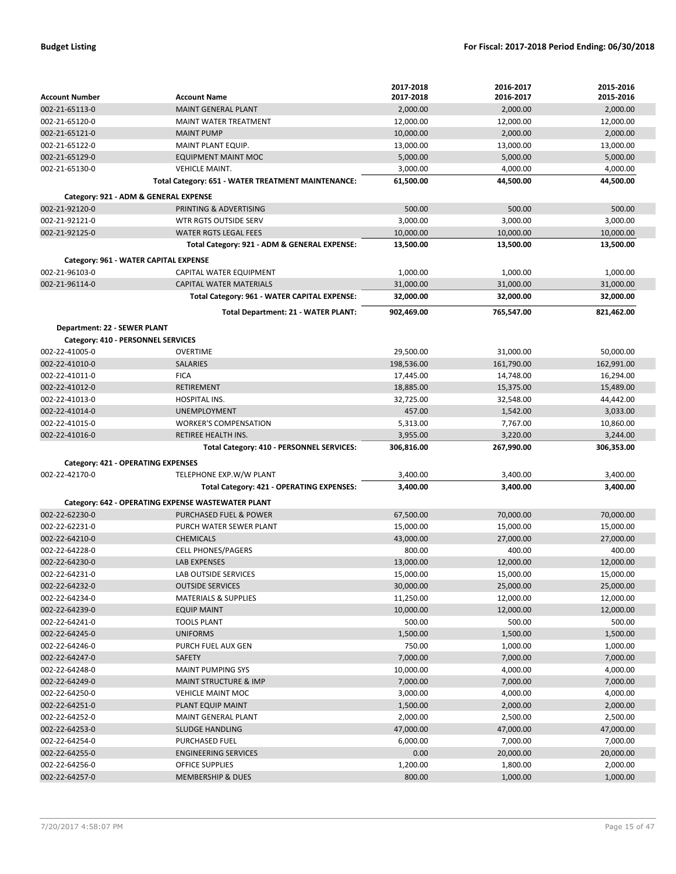|                                       |                                                    | 2017-2018  | 2016-2017  | 2015-2016            |
|---------------------------------------|----------------------------------------------------|------------|------------|----------------------|
| <b>Account Number</b>                 | <b>Account Name</b>                                | 2017-2018  | 2016-2017  | 2015-2016            |
| 002-21-65113-0                        | <b>MAINT GENERAL PLANT</b>                         | 2,000.00   | 2,000.00   | 2,000.00             |
| 002-21-65120-0                        | <b>MAINT WATER TREATMENT</b>                       | 12,000.00  | 12,000.00  | 12,000.00            |
| 002-21-65121-0                        | <b>MAINT PUMP</b>                                  | 10,000.00  | 2,000.00   | 2,000.00             |
| 002-21-65122-0                        | MAINT PLANT EQUIP.                                 | 13,000.00  | 13,000.00  | 13,000.00            |
| 002-21-65129-0                        | <b>EQUIPMENT MAINT MOC</b>                         | 5,000.00   | 5,000.00   | 5,000.00             |
| 002-21-65130-0                        | <b>VEHICLE MAINT.</b>                              | 3,000.00   | 4,000.00   | 4,000.00             |
|                                       | Total Category: 651 - WATER TREATMENT MAINTENANCE: | 61,500.00  | 44,500.00  | 44,500.00            |
| Category: 921 - ADM & GENERAL EXPENSE |                                                    |            |            |                      |
| 002-21-92120-0                        | PRINTING & ADVERTISING                             | 500.00     | 500.00     | 500.00               |
| 002-21-92121-0                        | <b>WTR RGTS OUTSIDE SERV</b>                       | 3,000.00   | 3,000.00   | 3,000.00             |
| 002-21-92125-0                        | <b>WATER RGTS LEGAL FEES</b>                       | 10,000.00  | 10,000.00  | 10,000.00            |
|                                       | Total Category: 921 - ADM & GENERAL EXPENSE:       | 13,500.00  | 13,500.00  | 13,500.00            |
|                                       |                                                    |            |            |                      |
| Category: 961 - WATER CAPITAL EXPENSE |                                                    |            |            |                      |
| 002-21-96103-0                        | CAPITAL WATER EQUIPMENT                            | 1,000.00   | 1,000.00   | 1,000.00             |
| 002-21-96114-0                        | <b>CAPITAL WATER MATERIALS</b>                     | 31,000.00  | 31,000.00  | 31,000.00            |
|                                       | Total Category: 961 - WATER CAPITAL EXPENSE:       | 32,000.00  | 32,000.00  | 32,000.00            |
|                                       | Total Department: 21 - WATER PLANT:                | 902,469.00 | 765,547.00 | 821,462.00           |
| Department: 22 - SEWER PLANT          |                                                    |            |            |                      |
| Category: 410 - PERSONNEL SERVICES    |                                                    |            |            |                      |
| 002-22-41005-0                        | <b>OVERTIME</b>                                    | 29,500.00  | 31,000.00  | 50,000.00            |
| 002-22-41010-0                        | <b>SALARIES</b>                                    | 198,536.00 | 161,790.00 | 162,991.00           |
| 002-22-41011-0                        | <b>FICA</b>                                        | 17,445.00  | 14,748.00  | 16,294.00            |
| 002-22-41012-0                        | RETIREMENT                                         | 18,885.00  | 15,375.00  | 15,489.00            |
| 002-22-41013-0                        | HOSPITAL INS.                                      | 32,725.00  | 32,548.00  | 44,442.00            |
| 002-22-41014-0                        | <b>UNEMPLOYMENT</b>                                | 457.00     | 1,542.00   | 3,033.00             |
| 002-22-41015-0                        | <b>WORKER'S COMPENSATION</b>                       | 5,313.00   | 7,767.00   | 10,860.00            |
| 002-22-41016-0                        | RETIREE HEALTH INS.                                | 3,955.00   | 3,220.00   | 3,244.00             |
|                                       | Total Category: 410 - PERSONNEL SERVICES:          | 306,816.00 | 267,990.00 | 306,353.00           |
|                                       |                                                    |            |            |                      |
| Category: 421 - OPERATING EXPENSES    |                                                    |            |            |                      |
| 002-22-42170-0                        | TELEPHONE EXP.W/W PLANT                            | 3,400.00   | 3,400.00   | 3,400.00<br>3,400.00 |
|                                       | Total Category: 421 - OPERATING EXPENSES:          | 3,400.00   | 3,400.00   |                      |
|                                       | Category: 642 - OPERATING EXPENSE WASTEWATER PLANT |            |            |                      |
| 002-22-62230-0                        | PURCHASED FUEL & POWER                             | 67,500.00  | 70,000.00  | 70,000.00            |
| 002-22-62231-0                        | PURCH WATER SEWER PLANT                            |            |            |                      |
| 002-22-64210-0                        |                                                    | 15,000.00  | 15,000.00  | 15,000.00            |
| 002-22-64228-0                        | <b>CHEMICALS</b>                                   | 43,000.00  | 27,000.00  | 27,000.00            |
|                                       | <b>CELL PHONES/PAGERS</b>                          | 800.00     | 400.00     | 400.00               |
| 002-22-64230-0                        | <b>LAB EXPENSES</b>                                | 13,000.00  | 12,000.00  | 12,000.00            |
| 002-22-64231-0                        | LAB OUTSIDE SERVICES                               | 15,000.00  | 15,000.00  | 15,000.00            |
| 002-22-64232-0                        | <b>OUTSIDE SERVICES</b>                            | 30,000.00  | 25,000.00  | 25,000.00            |
| 002-22-64234-0                        | <b>MATERIALS &amp; SUPPLIES</b>                    | 11,250.00  | 12,000.00  | 12,000.00            |
| 002-22-64239-0                        | <b>EQUIP MAINT</b>                                 | 10,000.00  | 12,000.00  | 12,000.00            |
| 002-22-64241-0                        | <b>TOOLS PLANT</b>                                 | 500.00     | 500.00     | 500.00               |
| 002-22-64245-0                        | <b>UNIFORMS</b>                                    | 1,500.00   | 1,500.00   | 1,500.00             |
| 002-22-64246-0                        | PURCH FUEL AUX GEN                                 | 750.00     | 1,000.00   | 1,000.00             |
| 002-22-64247-0                        | <b>SAFETY</b>                                      | 7,000.00   | 7,000.00   | 7,000.00             |
| 002-22-64248-0                        | <b>MAINT PUMPING SYS</b>                           | 10,000.00  | 4,000.00   | 4,000.00             |
| 002-22-64249-0                        | <b>MAINT STRUCTURE &amp; IMP</b>                   | 7,000.00   | 7,000.00   | 7,000.00             |
| 002-22-64250-0                        | <b>VEHICLE MAINT MOC</b>                           | 3,000.00   | 4,000.00   | 4,000.00             |
| 002-22-64251-0                        | PLANT EQUIP MAINT                                  | 1,500.00   | 2,000.00   | 2,000.00             |
| 002-22-64252-0                        | MAINT GENERAL PLANT                                | 2,000.00   | 2,500.00   | 2,500.00             |
| 002-22-64253-0                        | <b>SLUDGE HANDLING</b>                             | 47,000.00  | 47,000.00  | 47,000.00            |
| 002-22-64254-0                        | PURCHASED FUEL                                     | 6,000.00   | 7,000.00   | 7,000.00             |
| 002-22-64255-0                        | <b>ENGINEERING SERVICES</b>                        | 0.00       | 20,000.00  | 20,000.00            |
| 002-22-64256-0                        | OFFICE SUPPLIES                                    | 1,200.00   | 1,800.00   | 2,000.00             |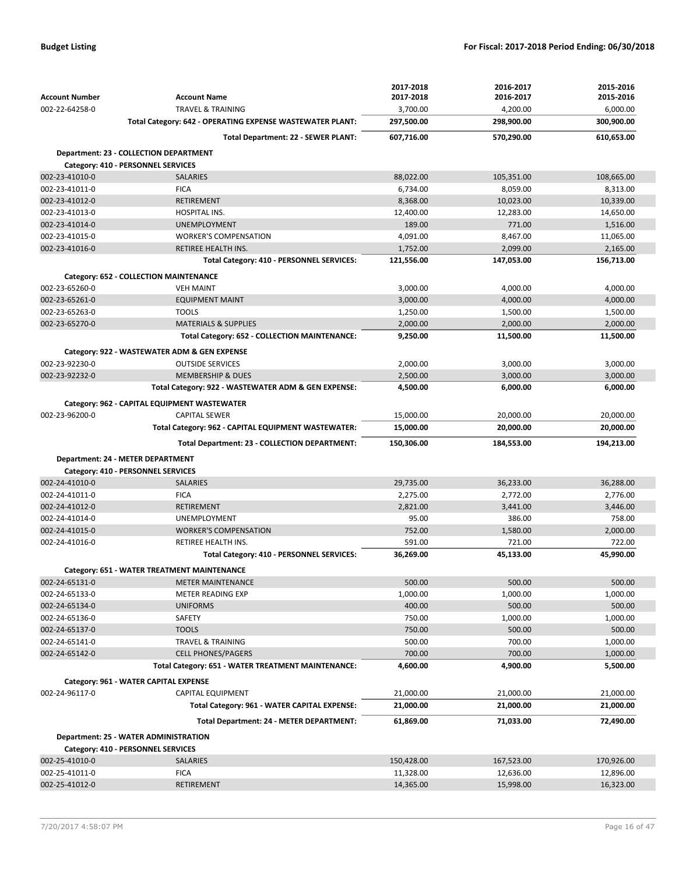|                       |                                                           | 2017-2018  | 2016-2017  | 2015-2016  |
|-----------------------|-----------------------------------------------------------|------------|------------|------------|
| <b>Account Number</b> | <b>Account Name</b>                                       | 2017-2018  | 2016-2017  | 2015-2016  |
| 002-22-64258-0        | <b>TRAVEL &amp; TRAINING</b>                              | 3,700.00   | 4,200.00   | 6,000.00   |
|                       | Total Category: 642 - OPERATING EXPENSE WASTEWATER PLANT: | 297,500.00 | 298,900.00 | 300,900.00 |
|                       | Total Department: 22 - SEWER PLANT:                       | 607,716.00 | 570,290.00 | 610,653.00 |
|                       | Department: 23 - COLLECTION DEPARTMENT                    |            |            |            |
|                       | Category: 410 - PERSONNEL SERVICES                        |            |            |            |
| 002-23-41010-0        | <b>SALARIES</b>                                           | 88,022.00  | 105,351.00 | 108,665.00 |
| 002-23-41011-0        | <b>FICA</b>                                               | 6,734.00   | 8,059.00   | 8,313.00   |
| 002-23-41012-0        | <b>RETIREMENT</b>                                         | 8,368.00   | 10,023.00  | 10,339.00  |
| 002-23-41013-0        | HOSPITAL INS.                                             | 12,400.00  | 12,283.00  | 14,650.00  |
| 002-23-41014-0        | <b>UNEMPLOYMENT</b>                                       | 189.00     | 771.00     | 1,516.00   |
| 002-23-41015-0        | <b>WORKER'S COMPENSATION</b>                              | 4,091.00   | 8,467.00   | 11,065.00  |
| 002-23-41016-0        | RETIREE HEALTH INS.                                       | 1,752.00   | 2,099.00   | 2,165.00   |
|                       | Total Category: 410 - PERSONNEL SERVICES:                 | 121,556.00 | 147,053.00 | 156,713.00 |
|                       | Category: 652 - COLLECTION MAINTENANCE                    |            |            |            |
| 002-23-65260-0        | <b>VEH MAINT</b>                                          | 3,000.00   | 4,000.00   | 4,000.00   |
| 002-23-65261-0        | <b>EQUIPMENT MAINT</b>                                    | 3,000.00   | 4,000.00   | 4,000.00   |
| 002-23-65263-0        | <b>TOOLS</b>                                              | 1,250.00   | 1,500.00   | 1,500.00   |
| 002-23-65270-0        | <b>MATERIALS &amp; SUPPLIES</b>                           | 2,000.00   | 2,000.00   | 2,000.00   |
|                       | Total Category: 652 - COLLECTION MAINTENANCE:             | 9,250.00   | 11,500.00  | 11,500.00  |
|                       |                                                           |            |            |            |
|                       | Category: 922 - WASTEWATER ADM & GEN EXPENSE              |            |            |            |
| 002-23-92230-0        | <b>OUTSIDE SERVICES</b>                                   | 2,000.00   | 3.000.00   | 3,000.00   |
| 002-23-92232-0        | <b>MEMBERSHIP &amp; DUES</b>                              | 2,500.00   | 3,000.00   | 3,000.00   |
|                       | Total Category: 922 - WASTEWATER ADM & GEN EXPENSE:       | 4,500.00   | 6,000.00   | 6,000.00   |
|                       | Category: 962 - CAPITAL EQUIPMENT WASTEWATER              |            |            |            |
| 002-23-96200-0        | <b>CAPITAL SEWER</b>                                      | 15,000.00  | 20,000.00  | 20,000.00  |
|                       | Total Category: 962 - CAPITAL EQUIPMENT WASTEWATER:       | 15,000.00  | 20,000.00  | 20,000.00  |
|                       | Total Department: 23 - COLLECTION DEPARTMENT:             | 150,306.00 | 184,553.00 | 194,213.00 |
|                       |                                                           |            |            |            |
|                       |                                                           |            |            |            |
|                       | Department: 24 - METER DEPARTMENT                         |            |            |            |
|                       | Category: 410 - PERSONNEL SERVICES                        |            |            |            |
| 002-24-41010-0        | <b>SALARIES</b>                                           | 29,735.00  | 36,233.00  | 36,288.00  |
| 002-24-41011-0        | <b>FICA</b>                                               | 2,275.00   | 2,772.00   | 2,776.00   |
| 002-24-41012-0        | <b>RETIREMENT</b>                                         | 2,821.00   | 3,441.00   | 3,446.00   |
| 002-24-41014-0        | <b>UNEMPLOYMENT</b>                                       | 95.00      | 386.00     | 758.00     |
| 002-24-41015-0        | <b>WORKER'S COMPENSATION</b>                              | 752.00     | 1,580.00   | 2,000.00   |
| 002-24-41016-0        | <b>RETIREE HEALTH INS.</b>                                | 591.00     | 721.00     | 722.00     |
|                       | Total Category: 410 - PERSONNEL SERVICES:                 | 36,269.00  | 45,133.00  | 45,990.00  |
|                       | Category: 651 - WATER TREATMENT MAINTENANCE               |            |            |            |
| 002-24-65131-0        | <b>METER MAINTENANCE</b>                                  | 500.00     | 500.00     | 500.00     |
| 002-24-65133-0        | METER READING EXP                                         | 1,000.00   | 1,000.00   | 1,000.00   |
| 002-24-65134-0        | <b>UNIFORMS</b>                                           | 400.00     | 500.00     | 500.00     |
| 002-24-65136-0        | SAFETY                                                    | 750.00     | 1,000.00   | 1,000.00   |
| 002-24-65137-0        | <b>TOOLS</b>                                              | 750.00     | 500.00     | 500.00     |
| 002-24-65141-0        | <b>TRAVEL &amp; TRAINING</b>                              | 500.00     | 700.00     | 1,000.00   |
| 002-24-65142-0        | <b>CELL PHONES/PAGERS</b>                                 | 700.00     | 700.00     | 1,000.00   |
|                       | Total Category: 651 - WATER TREATMENT MAINTENANCE:        | 4,600.00   | 4,900.00   | 5,500.00   |
|                       |                                                           |            |            |            |
|                       | Category: 961 - WATER CAPITAL EXPENSE                     |            |            |            |
| 002-24-96117-0        | CAPITAL EQUIPMENT                                         | 21,000.00  | 21,000.00  | 21,000.00  |
|                       | Total Category: 961 - WATER CAPITAL EXPENSE:              | 21,000.00  | 21,000.00  | 21,000.00  |
|                       | Total Department: 24 - METER DEPARTMENT:                  | 61,869.00  | 71,033.00  | 72,490.00  |
|                       | <b>Department: 25 - WATER ADMINISTRATION</b>              |            |            |            |
|                       | Category: 410 - PERSONNEL SERVICES                        |            |            |            |
| 002-25-41010-0        | <b>SALARIES</b>                                           | 150,428.00 | 167,523.00 | 170,926.00 |
| 002-25-41011-0        | <b>FICA</b>                                               | 11,328.00  | 12,636.00  | 12,896.00  |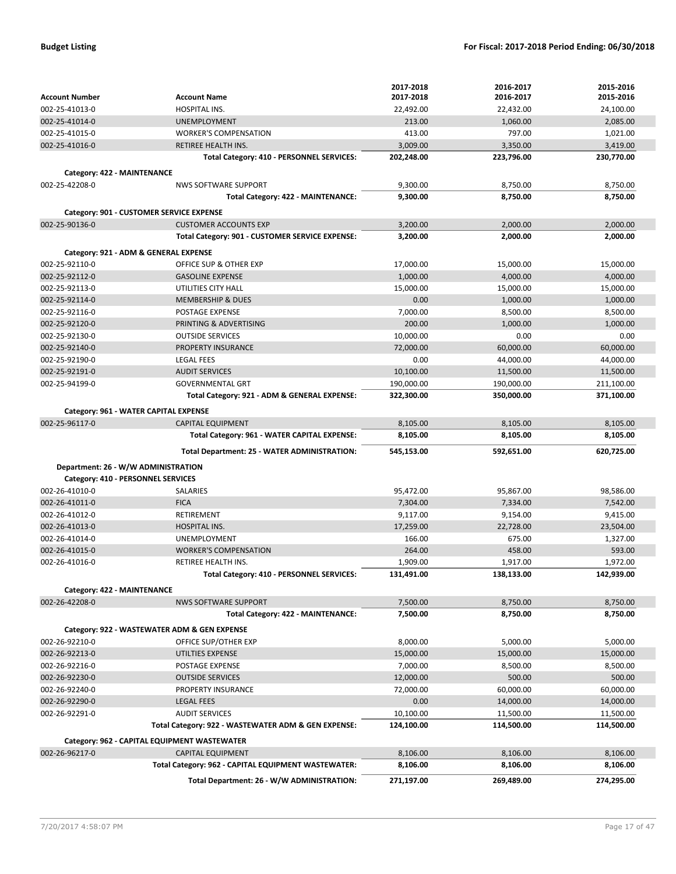|                                     |                                                                                                   | 2017-2018            | 2016-2017             | 2015-2016            |
|-------------------------------------|---------------------------------------------------------------------------------------------------|----------------------|-----------------------|----------------------|
| <b>Account Number</b>               | <b>Account Name</b>                                                                               | 2017-2018            | 2016-2017             | 2015-2016            |
| 002-25-41013-0                      | HOSPITAL INS.                                                                                     | 22,492.00            | 22,432.00             | 24,100.00            |
| 002-25-41014-0                      | <b>UNEMPLOYMENT</b>                                                                               | 213.00               | 1,060.00              | 2,085.00             |
| 002-25-41015-0                      | <b>WORKER'S COMPENSATION</b>                                                                      | 413.00               | 797.00                | 1,021.00             |
| 002-25-41016-0                      | <b>RETIREE HEALTH INS.</b>                                                                        | 3,009.00             | 3,350.00              | 3,419.00             |
|                                     | Total Category: 410 - PERSONNEL SERVICES:                                                         | 202,248.00           | 223,796.00            | 230,770.00           |
| Category: 422 - MAINTENANCE         |                                                                                                   |                      |                       |                      |
| 002-25-42208-0                      | <b>NWS SOFTWARE SUPPORT</b>                                                                       | 9,300.00             | 8,750.00              | 8,750.00             |
|                                     | Total Category: 422 - MAINTENANCE:                                                                | 9,300.00             | 8,750.00              | 8,750.00             |
|                                     | Category: 901 - CUSTOMER SERVICE EXPENSE                                                          |                      |                       |                      |
| 002-25-90136-0                      | <b>CUSTOMER ACCOUNTS EXP</b>                                                                      | 3,200.00             | 2,000.00              | 2,000.00             |
|                                     | Total Category: 901 - CUSTOMER SERVICE EXPENSE:                                                   | 3,200.00             | 2,000.00              | 2,000.00             |
|                                     | Category: 921 - ADM & GENERAL EXPENSE                                                             |                      |                       |                      |
| 002-25-92110-0                      | OFFICE SUP & OTHER EXP                                                                            | 17,000.00            |                       | 15,000.00            |
| 002-25-92112-0                      | <b>GASOLINE EXPENSE</b>                                                                           | 1,000.00             | 15,000.00<br>4,000.00 | 4,000.00             |
| 002-25-92113-0                      | UTILITIES CITY HALL                                                                               | 15,000.00            | 15,000.00             | 15,000.00            |
| 002-25-92114-0                      | <b>MEMBERSHIP &amp; DUES</b>                                                                      | 0.00                 | 1,000.00              | 1,000.00             |
| 002-25-92116-0                      | POSTAGE EXPENSE                                                                                   | 7,000.00             | 8,500.00              | 8,500.00             |
| 002-25-92120-0                      | PRINTING & ADVERTISING                                                                            | 200.00               | 1,000.00              | 1,000.00             |
| 002-25-92130-0                      | <b>OUTSIDE SERVICES</b>                                                                           | 10,000.00            | 0.00                  | 0.00                 |
| 002-25-92140-0                      | PROPERTY INSURANCE                                                                                | 72,000.00            | 60,000.00             | 60,000.00            |
| 002-25-92190-0                      | <b>LEGAL FEES</b>                                                                                 | 0.00                 | 44,000.00             | 44,000.00            |
| 002-25-92191-0                      | <b>AUDIT SERVICES</b>                                                                             | 10,100.00            | 11,500.00             | 11,500.00            |
| 002-25-94199-0                      | <b>GOVERNMENTAL GRT</b>                                                                           | 190,000.00           | 190,000.00            | 211,100.00           |
|                                     | Total Category: 921 - ADM & GENERAL EXPENSE:                                                      | 322,300.00           | 350,000.00            | 371,100.00           |
|                                     |                                                                                                   |                      |                       |                      |
|                                     | Category: 961 - WATER CAPITAL EXPENSE                                                             |                      |                       |                      |
| 002-25-96117-0                      | <b>CAPITAL EQUIPMENT</b><br>Total Category: 961 - WATER CAPITAL EXPENSE:                          | 8,105.00<br>8,105.00 | 8,105.00<br>8,105.00  | 8,105.00<br>8,105.00 |
|                                     |                                                                                                   |                      |                       |                      |
|                                     | Total Department: 25 - WATER ADMINISTRATION:                                                      | 545,153.00           | 592,651.00            | 620,725.00           |
| Department: 26 - W/W ADMINISTRATION |                                                                                                   |                      |                       |                      |
| Category: 410 - PERSONNEL SERVICES  |                                                                                                   |                      |                       |                      |
| 002-26-41010-0                      | <b>SALARIES</b>                                                                                   | 95,472.00            | 95,867.00             | 98,586.00            |
| 002-26-41011-0                      |                                                                                                   |                      |                       |                      |
| 002-26-41012-0                      | <b>FICA</b>                                                                                       | 7,304.00             | 7,334.00              | 7,542.00             |
|                                     | RETIREMENT                                                                                        | 9,117.00             | 9,154.00              | 9,415.00             |
| 002-26-41013-0                      | <b>HOSPITAL INS.</b>                                                                              | 17,259.00            | 22,728.00             | 23,504.00            |
| 002-26-41014-0                      | <b>UNEMPLOYMENT</b>                                                                               | 166.00               | 675.00                | 1,327.00             |
| 002-26-41015-0                      | <b>WORKER'S COMPENSATION</b>                                                                      | 264.00               | 458.00                | 593.00               |
| 002-26-41016-0                      | RETIREE HEALTH INS.                                                                               | 1,909.00             | 1,917.00              | 1,972.00             |
|                                     | Total Category: 410 - PERSONNEL SERVICES:                                                         | 131,491.00           | 138,133.00            | 142,939.00           |
| Category: 422 - MAINTENANCE         |                                                                                                   |                      |                       |                      |
| 002-26-42208-0                      | <b>NWS SOFTWARE SUPPORT</b>                                                                       | 7,500.00             | 8,750.00              | 8,750.00             |
|                                     | <b>Total Category: 422 - MAINTENANCE:</b>                                                         | 7,500.00             | 8,750.00              | 8,750.00             |
|                                     | Category: 922 - WASTEWATER ADM & GEN EXPENSE                                                      |                      |                       |                      |
| 002-26-92210-0                      | OFFICE SUP/OTHER EXP                                                                              | 8,000.00             | 5,000.00              | 5,000.00             |
| 002-26-92213-0                      | UTILTIES EXPENSE                                                                                  | 15,000.00            | 15,000.00             | 15,000.00            |
| 002-26-92216-0                      | POSTAGE EXPENSE                                                                                   | 7,000.00             | 8,500.00              | 8,500.00             |
| 002-26-92230-0                      | <b>OUTSIDE SERVICES</b>                                                                           | 12,000.00            | 500.00                | 500.00               |
| 002-26-92240-0                      | PROPERTY INSURANCE                                                                                | 72,000.00            | 60,000.00             | 60,000.00            |
| 002-26-92290-0                      | <b>LEGAL FEES</b>                                                                                 | 0.00                 | 14,000.00             | 14,000.00            |
| 002-26-92291-0                      | <b>AUDIT SERVICES</b>                                                                             | 10,100.00            | 11,500.00             | 11,500.00            |
|                                     | Total Category: 922 - WASTEWATER ADM & GEN EXPENSE:                                               | 124,100.00           | 114,500.00            | 114,500.00           |
|                                     |                                                                                                   |                      |                       |                      |
|                                     | Category: 962 - CAPITAL EQUIPMENT WASTEWATER                                                      |                      |                       |                      |
| 002-26-96217-0                      | <b>CAPITAL EQUIPMENT</b>                                                                          | 8,106.00<br>8,106.00 | 8,106.00<br>8,106.00  | 8,106.00<br>8,106.00 |
|                                     | Total Category: 962 - CAPITAL EQUIPMENT WASTEWATER:<br>Total Department: 26 - W/W ADMINISTRATION: | 271,197.00           | 269,489.00            | 274,295.00           |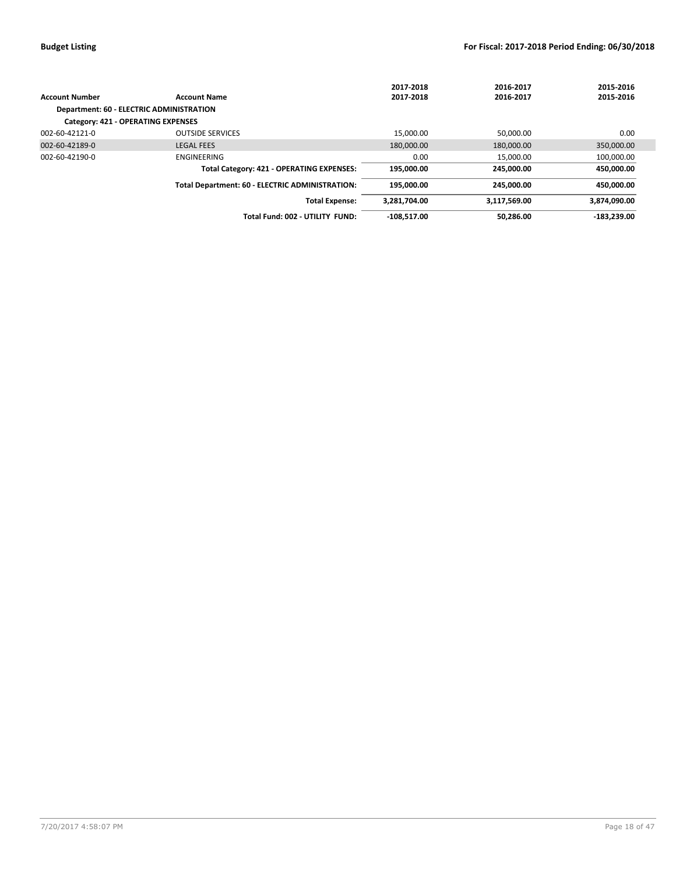|                                                 |                                                 | 2017-2018     | 2016-2017    | 2015-2016     |
|-------------------------------------------------|-------------------------------------------------|---------------|--------------|---------------|
| <b>Account Number</b>                           | <b>Account Name</b>                             | 2017-2018     | 2016-2017    | 2015-2016     |
| <b>Department: 60 - ELECTRIC ADMINISTRATION</b> |                                                 |               |              |               |
| Category: 421 - OPERATING EXPENSES              |                                                 |               |              |               |
| 002-60-42121-0                                  | <b>OUTSIDE SERVICES</b>                         | 15,000.00     | 50,000.00    | 0.00          |
| 002-60-42189-0                                  | <b>LEGAL FEES</b>                               | 180,000.00    | 180,000.00   | 350,000.00    |
| 002-60-42190-0                                  | ENGINEERING                                     | 0.00          | 15,000.00    | 100,000.00    |
|                                                 | Total Category: 421 - OPERATING EXPENSES:       | 195.000.00    | 245.000.00   | 450.000.00    |
|                                                 | Total Department: 60 - ELECTRIC ADMINISTRATION: | 195.000.00    | 245.000.00   | 450.000.00    |
|                                                 | <b>Total Expense:</b>                           | 3,281,704.00  | 3,117,569.00 | 3,874,090.00  |
|                                                 | Total Fund: 002 - UTILITY FUND:                 | $-108.517.00$ | 50.286.00    | $-183.239.00$ |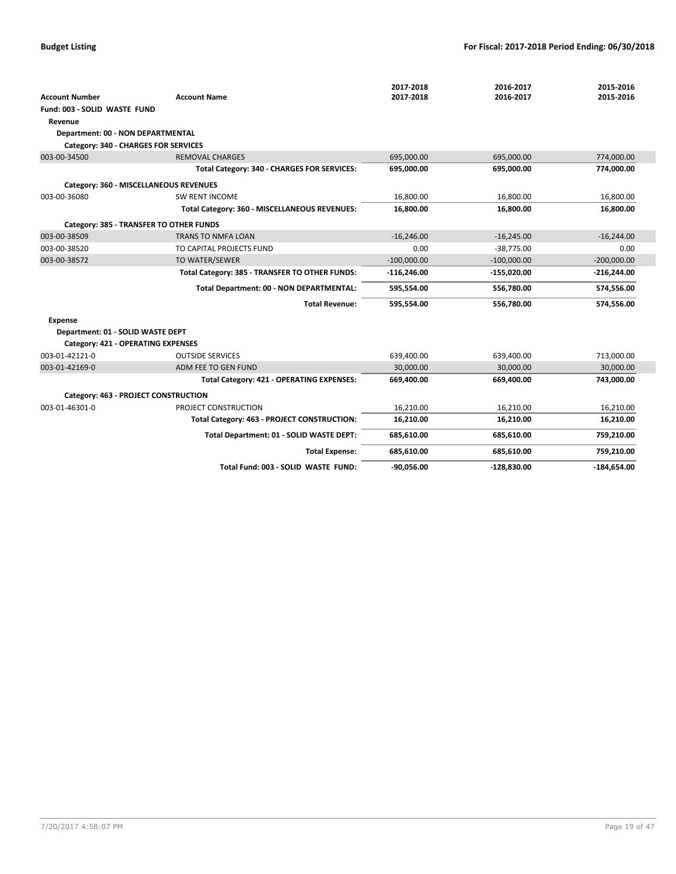|                                      |                                                | 2017-2018     | 2016-2017     | 2015-2016     |
|--------------------------------------|------------------------------------------------|---------------|---------------|---------------|
| <b>Account Number</b>                | <b>Account Name</b>                            | 2017-2018     | 2016-2017     | 2015-2016     |
| Fund: 003 - SOLID WASTE FUND         |                                                |               |               |               |
| Revenue                              |                                                |               |               |               |
| Department: 00 - NON DEPARTMENTAL    |                                                |               |               |               |
| Category: 340 - CHARGES FOR SERVICES |                                                |               |               |               |
| 003-00-34500                         | <b>REMOVAL CHARGES</b>                         | 695,000.00    | 695,000.00    | 774,000.00    |
|                                      | Total Category: 340 - CHARGES FOR SERVICES:    | 695,000.00    | 695,000.00    | 774,000.00    |
|                                      | Category: 360 - MISCELLANEOUS REVENUES         |               |               |               |
| 003-00-36080                         | <b>SW RENT INCOME</b>                          | 16,800.00     | 16,800.00     | 16,800.00     |
|                                      | Total Category: 360 - MISCELLANEOUS REVENUES:  | 16,800.00     | 16,800.00     | 16,800.00     |
|                                      | Category: 385 - TRANSFER TO OTHER FUNDS        |               |               |               |
| 003-00-38509                         | <b>TRANS TO NMFA LOAN</b>                      | $-16,246.00$  | $-16,245.00$  | $-16,244.00$  |
| 003-00-38520                         | TO CAPITAL PROJECTS FUND                       | 0.00          | $-38.775.00$  | 0.00          |
| 003-00-38572                         | TO WATER/SEWER                                 | $-100,000.00$ | $-100,000.00$ | $-200,000.00$ |
|                                      | Total Category: 385 - TRANSFER TO OTHER FUNDS: | $-116,246.00$ | $-155,020.00$ | $-216,244.00$ |
|                                      | Total Department: 00 - NON DEPARTMENTAL:       | 595,554.00    | 556,780.00    | 574,556.00    |
|                                      | <b>Total Revenue:</b>                          | 595,554.00    | 556,780.00    | 574,556.00    |
| <b>Expense</b>                       |                                                |               |               |               |
| Department: 01 - SOLID WASTE DEPT    |                                                |               |               |               |
| Category: 421 - OPERATING EXPENSES   |                                                |               |               |               |
| 003-01-42121-0                       | <b>OUTSIDE SERVICES</b>                        | 639,400.00    | 639,400.00    | 713,000.00    |
| 003-01-42169-0                       | ADM FEE TO GEN FUND                            | 30,000.00     | 30,000.00     | 30,000.00     |
|                                      | Total Category: 421 - OPERATING EXPENSES:      | 669,400.00    | 669,400.00    | 743,000.00    |
|                                      | Category: 463 - PROJECT CONSTRUCTION           |               |               |               |
| 003-01-46301-0                       | PROJECT CONSTRUCTION                           | 16,210.00     | 16,210.00     | 16,210.00     |
|                                      | Total Category: 463 - PROJECT CONSTRUCTION:    | 16,210.00     | 16,210.00     | 16,210.00     |
|                                      | Total Department: 01 - SOLID WASTE DEPT:       | 685,610.00    | 685,610.00    | 759,210.00    |
|                                      | <b>Total Expense:</b>                          | 685,610.00    | 685,610.00    | 759,210.00    |
|                                      | Total Fund: 003 - SOLID WASTE FUND:            | $-90,056.00$  | $-128,830.00$ | $-184,654.00$ |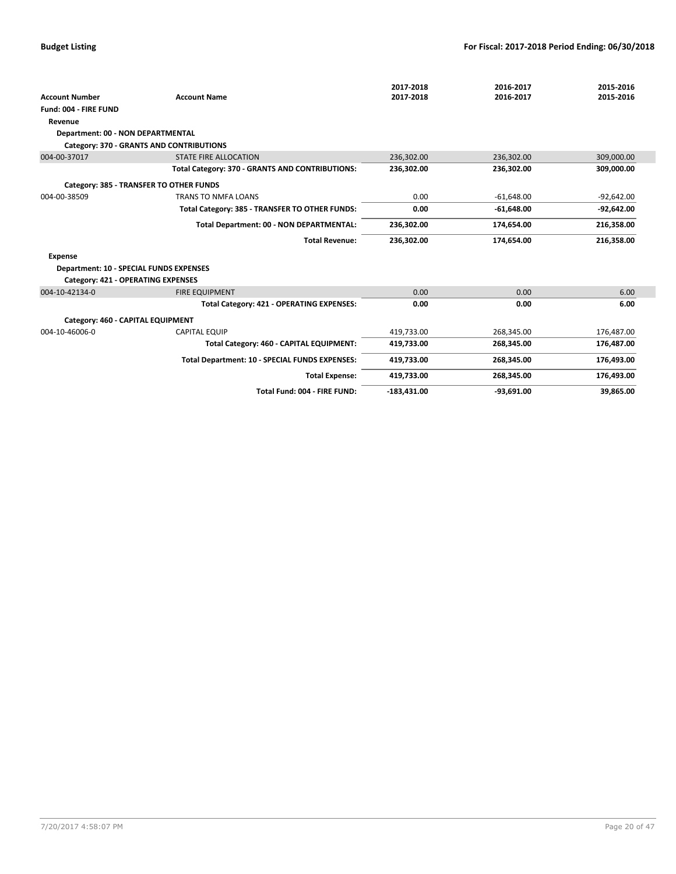| <b>Account Number</b>                          | <b>Account Name</b>                             | 2017-2018<br>2017-2018 | 2016-2017<br>2016-2017 | 2015-2016<br>2015-2016 |
|------------------------------------------------|-------------------------------------------------|------------------------|------------------------|------------------------|
| Fund: 004 - FIRE FUND                          |                                                 |                        |                        |                        |
| Revenue                                        |                                                 |                        |                        |                        |
| Department: 00 - NON DEPARTMENTAL              |                                                 |                        |                        |                        |
|                                                | <b>Category: 370 - GRANTS AND CONTRIBUTIONS</b> |                        |                        |                        |
| 004-00-37017                                   | <b>STATE FIRE ALLOCATION</b>                    | 236,302.00             | 236,302.00             | 309,000.00             |
|                                                | Total Category: 370 - GRANTS AND CONTRIBUTIONS: | 236,302.00             | 236,302.00             | 309,000.00             |
|                                                | Category: 385 - TRANSFER TO OTHER FUNDS         |                        |                        |                        |
| 004-00-38509                                   | <b>TRANS TO NMFA LOANS</b>                      | 0.00                   | $-61,648.00$           | $-92,642.00$           |
|                                                | Total Category: 385 - TRANSFER TO OTHER FUNDS:  | 0.00                   | $-61,648.00$           | $-92,642.00$           |
|                                                | Total Department: 00 - NON DEPARTMENTAL:        | 236,302.00             | 174,654.00             | 216,358.00             |
|                                                | <b>Total Revenue:</b>                           | 236,302.00             | 174,654.00             | 216,358.00             |
| <b>Expense</b>                                 |                                                 |                        |                        |                        |
| <b>Department: 10 - SPECIAL FUNDS EXPENSES</b> |                                                 |                        |                        |                        |
| Category: 421 - OPERATING EXPENSES             |                                                 |                        |                        |                        |
| 004-10-42134-0                                 | <b>FIRE EQUIPMENT</b>                           | 0.00                   | 0.00                   | 6.00                   |
|                                                | Total Category: 421 - OPERATING EXPENSES:       | 0.00                   | 0.00                   | 6.00                   |
| Category: 460 - CAPITAL EQUIPMENT              |                                                 |                        |                        |                        |
| 004-10-46006-0                                 | <b>CAPITAL EQUIP</b>                            | 419.733.00             | 268,345.00             | 176,487.00             |
|                                                | Total Category: 460 - CAPITAL EQUIPMENT:        | 419,733.00             | 268,345.00             | 176,487.00             |
|                                                | Total Department: 10 - SPECIAL FUNDS EXPENSES:  | 419,733.00             | 268,345.00             | 176,493.00             |
|                                                | <b>Total Expense:</b>                           | 419,733.00             | 268,345.00             | 176,493.00             |
|                                                | Total Fund: 004 - FIRE FUND:                    | $-183,431.00$          | $-93,691.00$           | 39,865.00              |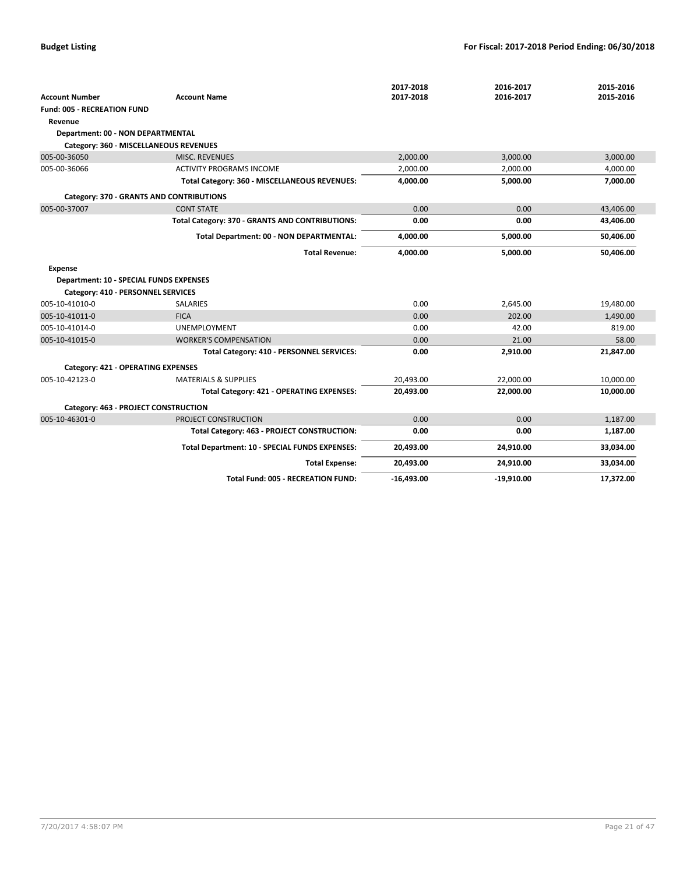|                                                |                                                 | 2017-2018    | 2016-2017    | 2015-2016 |
|------------------------------------------------|-------------------------------------------------|--------------|--------------|-----------|
| <b>Account Number</b>                          | <b>Account Name</b>                             | 2017-2018    | 2016-2017    | 2015-2016 |
| <b>Fund: 005 - RECREATION FUND</b>             |                                                 |              |              |           |
| Revenue                                        |                                                 |              |              |           |
| Department: 00 - NON DEPARTMENTAL              |                                                 |              |              |           |
| Category: 360 - MISCELLANEOUS REVENUES         |                                                 |              |              |           |
| 005-00-36050                                   | <b>MISC. REVENUES</b>                           | 2,000.00     | 3,000.00     | 3,000.00  |
| 005-00-36066                                   | <b>ACTIVITY PROGRAMS INCOME</b>                 | 2,000.00     | 2,000.00     | 4,000.00  |
|                                                | Total Category: 360 - MISCELLANEOUS REVENUES:   | 4,000.00     | 5,000.00     | 7,000.00  |
| Category: 370 - GRANTS AND CONTRIBUTIONS       |                                                 |              |              |           |
| 005-00-37007                                   | <b>CONT STATE</b>                               | 0.00         | 0.00         | 43,406.00 |
|                                                | Total Category: 370 - GRANTS AND CONTRIBUTIONS: | 0.00         | 0.00         | 43,406.00 |
|                                                | Total Department: 00 - NON DEPARTMENTAL:        | 4,000.00     | 5,000.00     | 50,406.00 |
|                                                | <b>Total Revenue:</b>                           | 4,000.00     | 5,000.00     | 50,406.00 |
| <b>Expense</b>                                 |                                                 |              |              |           |
| <b>Department: 10 - SPECIAL FUNDS EXPENSES</b> |                                                 |              |              |           |
| Category: 410 - PERSONNEL SERVICES             |                                                 |              |              |           |
| 005-10-41010-0                                 | <b>SALARIES</b>                                 | 0.00         | 2,645.00     | 19,480.00 |
| 005-10-41011-0                                 | <b>FICA</b>                                     | 0.00         | 202.00       | 1,490.00  |
| 005-10-41014-0                                 | <b>UNEMPLOYMENT</b>                             | 0.00         | 42.00        | 819.00    |
| 005-10-41015-0                                 | <b>WORKER'S COMPENSATION</b>                    | 0.00         | 21.00        | 58.00     |
|                                                | Total Category: 410 - PERSONNEL SERVICES:       | 0.00         | 2,910.00     | 21,847.00 |
| Category: 421 - OPERATING EXPENSES             |                                                 |              |              |           |
| 005-10-42123-0                                 | <b>MATERIALS &amp; SUPPLIES</b>                 | 20,493.00    | 22,000.00    | 10,000.00 |
|                                                | Total Category: 421 - OPERATING EXPENSES:       | 20,493.00    | 22,000.00    | 10,000.00 |
| Category: 463 - PROJECT CONSTRUCTION           |                                                 |              |              |           |
| 005-10-46301-0                                 | PROJECT CONSTRUCTION                            | 0.00         | 0.00         | 1,187.00  |
|                                                | Total Category: 463 - PROJECT CONSTRUCTION:     | 0.00         | 0.00         | 1,187.00  |
|                                                | Total Department: 10 - SPECIAL FUNDS EXPENSES:  | 20,493.00    | 24,910.00    | 33,034.00 |
|                                                | <b>Total Expense:</b>                           | 20,493.00    | 24,910.00    | 33,034.00 |
|                                                | <b>Total Fund: 005 - RECREATION FUND:</b>       | $-16,493.00$ | $-19,910.00$ | 17,372.00 |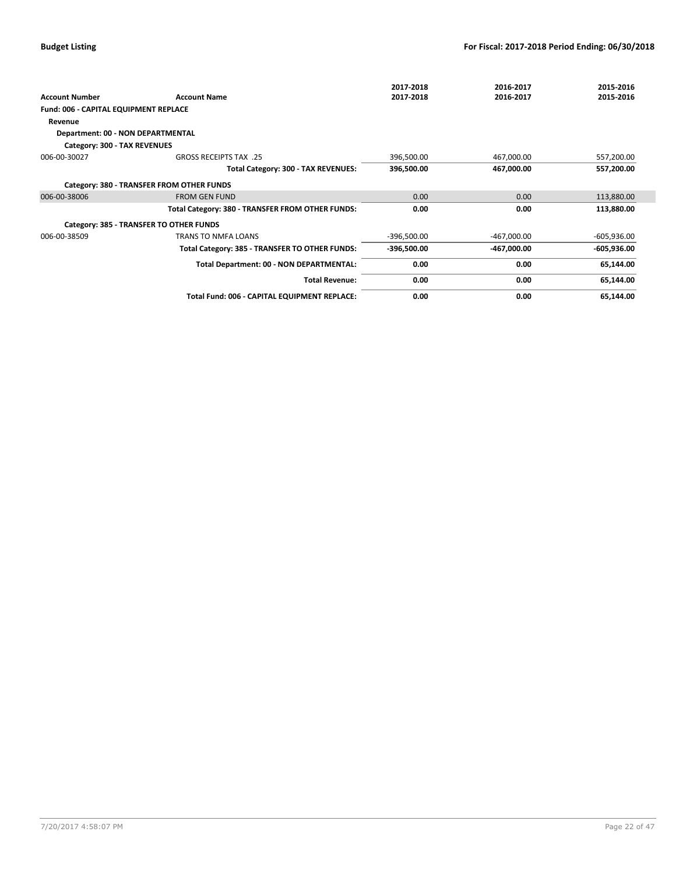|                                              |                                                  | 2017-2018     | 2016-2017     | 2015-2016     |
|----------------------------------------------|--------------------------------------------------|---------------|---------------|---------------|
| <b>Account Number</b>                        | <b>Account Name</b>                              | 2017-2018     | 2016-2017     | 2015-2016     |
| <b>Fund: 006 - CAPITAL EQUIPMENT REPLACE</b> |                                                  |               |               |               |
| Revenue                                      |                                                  |               |               |               |
| Department: 00 - NON DEPARTMENTAL            |                                                  |               |               |               |
| Category: 300 - TAX REVENUES                 |                                                  |               |               |               |
| 006-00-30027                                 | <b>GROSS RECEIPTS TAX .25</b>                    | 396,500.00    | 467,000.00    | 557,200.00    |
|                                              | Total Category: 300 - TAX REVENUES:              | 396,500.00    | 467,000.00    | 557,200.00    |
|                                              | Category: 380 - TRANSFER FROM OTHER FUNDS        |               |               |               |
| 006-00-38006                                 | <b>FROM GEN FUND</b>                             | 0.00          | 0.00          | 113,880.00    |
|                                              | Total Category: 380 - TRANSFER FROM OTHER FUNDS: | 0.00          | 0.00          | 113,880.00    |
|                                              | Category: 385 - TRANSFER TO OTHER FUNDS          |               |               |               |
| 006-00-38509                                 | <b>TRANS TO NMFA LOANS</b>                       | -396,500.00   | -467,000.00   | $-605,936.00$ |
|                                              | Total Category: 385 - TRANSFER TO OTHER FUNDS:   | $-396,500.00$ | $-467,000.00$ | $-605,936.00$ |
|                                              | Total Department: 00 - NON DEPARTMENTAL:         | 0.00          | 0.00          | 65,144.00     |
|                                              | <b>Total Revenue:</b>                            | 0.00          | 0.00          | 65,144.00     |
|                                              | Total Fund: 006 - CAPITAL EQUIPMENT REPLACE:     | 0.00          | 0.00          | 65,144.00     |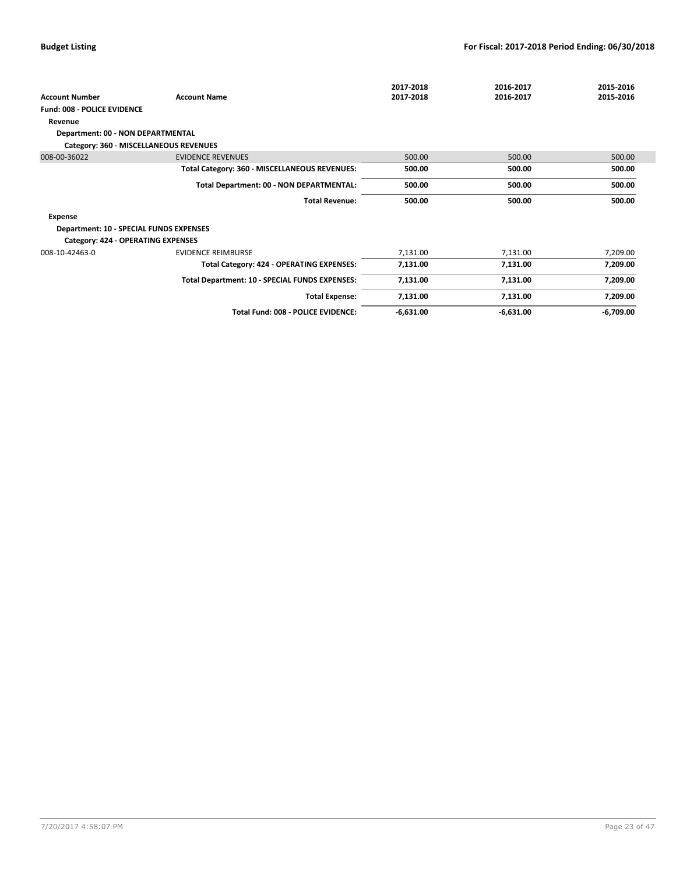|                                                |                                                | 2017-2018   | 2016-2017   | 2015-2016   |
|------------------------------------------------|------------------------------------------------|-------------|-------------|-------------|
| <b>Account Number</b>                          | <b>Account Name</b>                            | 2017-2018   | 2016-2017   | 2015-2016   |
| <b>Fund: 008 - POLICE EVIDENCE</b>             |                                                |             |             |             |
| Revenue                                        |                                                |             |             |             |
| Department: 00 - NON DEPARTMENTAL              |                                                |             |             |             |
|                                                | Category: 360 - MISCELLANEOUS REVENUES         |             |             |             |
| 008-00-36022                                   | <b>EVIDENCE REVENUES</b>                       | 500.00      | 500.00      | 500.00      |
|                                                | Total Category: 360 - MISCELLANEOUS REVENUES:  | 500.00      | 500.00      | 500.00      |
|                                                | Total Department: 00 - NON DEPARTMENTAL:       | 500.00      | 500.00      | 500.00      |
|                                                | <b>Total Revenue:</b>                          | 500.00      | 500.00      | 500.00      |
| Expense                                        |                                                |             |             |             |
| <b>Department: 10 - SPECIAL FUNDS EXPENSES</b> |                                                |             |             |             |
| Category: 424 - OPERATING EXPENSES             |                                                |             |             |             |
| 008-10-42463-0                                 | <b>EVIDENCE REIMBURSE</b>                      | 7,131.00    | 7,131.00    | 7,209.00    |
|                                                | Total Category: 424 - OPERATING EXPENSES:      | 7,131.00    | 7,131.00    | 7,209.00    |
|                                                | Total Department: 10 - SPECIAL FUNDS EXPENSES: | 7,131.00    | 7,131.00    | 7,209.00    |
|                                                | <b>Total Expense:</b>                          | 7,131.00    | 7,131.00    | 7,209.00    |
|                                                | <b>Total Fund: 008 - POLICE EVIDENCE:</b>      | $-6,631.00$ | $-6,631.00$ | $-6,709.00$ |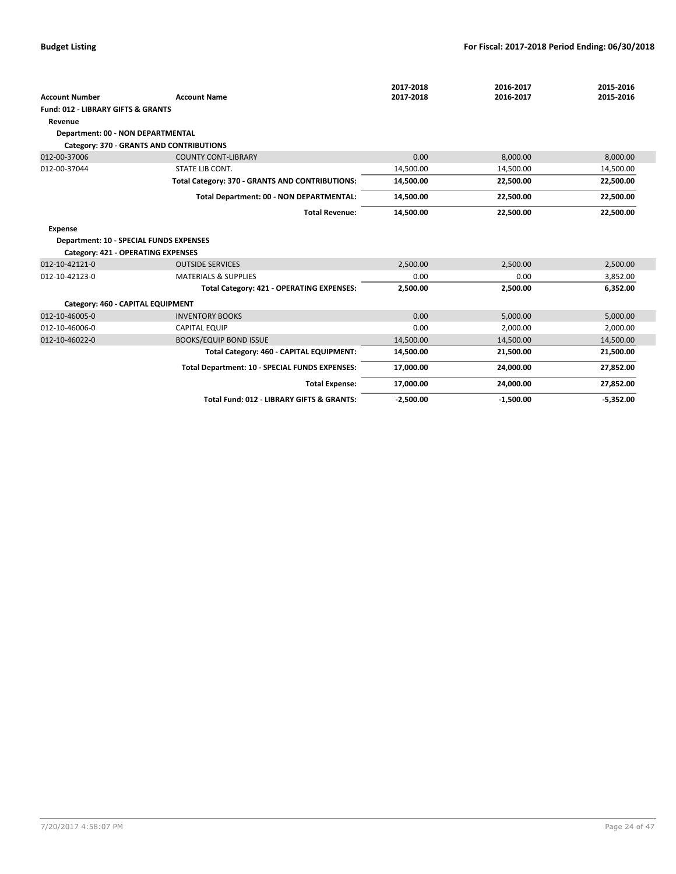|                                                |                                                 | 2017-2018   | 2016-2017   | 2015-2016   |
|------------------------------------------------|-------------------------------------------------|-------------|-------------|-------------|
| <b>Account Number</b>                          | <b>Account Name</b>                             | 2017-2018   | 2016-2017   | 2015-2016   |
| <b>Fund: 012 - LIBRARY GIFTS &amp; GRANTS</b>  |                                                 |             |             |             |
| Revenue                                        |                                                 |             |             |             |
| Department: 00 - NON DEPARTMENTAL              |                                                 |             |             |             |
|                                                | Category: 370 - GRANTS AND CONTRIBUTIONS        |             |             |             |
| 012-00-37006                                   | <b>COUNTY CONT-LIBRARY</b>                      | 0.00        | 8,000.00    | 8,000.00    |
| 012-00-37044                                   | STATE LIB CONT.                                 | 14.500.00   | 14.500.00   | 14.500.00   |
|                                                | Total Category: 370 - GRANTS AND CONTRIBUTIONS: | 14,500.00   | 22,500.00   | 22,500.00   |
|                                                | Total Department: 00 - NON DEPARTMENTAL:        | 14,500.00   | 22,500.00   | 22,500.00   |
|                                                | <b>Total Revenue:</b>                           | 14,500.00   | 22,500.00   | 22,500.00   |
| <b>Expense</b>                                 |                                                 |             |             |             |
| <b>Department: 10 - SPECIAL FUNDS EXPENSES</b> |                                                 |             |             |             |
| Category: 421 - OPERATING EXPENSES             |                                                 |             |             |             |
| 012-10-42121-0                                 | <b>OUTSIDE SERVICES</b>                         | 2,500.00    | 2,500.00    | 2,500.00    |
| 012-10-42123-0                                 | <b>MATERIALS &amp; SUPPLIES</b>                 | 0.00        | 0.00        | 3,852.00    |
|                                                | Total Category: 421 - OPERATING EXPENSES:       | 2,500.00    | 2,500.00    | 6,352.00    |
| Category: 460 - CAPITAL EQUIPMENT              |                                                 |             |             |             |
| 012-10-46005-0                                 | <b>INVENTORY BOOKS</b>                          | 0.00        | 5,000.00    | 5,000.00    |
| 012-10-46006-0                                 | <b>CAPITAL EQUIP</b>                            | 0.00        | 2,000.00    | 2,000.00    |
| 012-10-46022-0                                 | <b>BOOKS/EQUIP BOND ISSUE</b>                   | 14,500.00   | 14,500.00   | 14,500.00   |
|                                                | Total Category: 460 - CAPITAL EQUIPMENT:        | 14,500.00   | 21,500.00   | 21,500.00   |
|                                                | Total Department: 10 - SPECIAL FUNDS EXPENSES:  | 17,000.00   | 24,000.00   | 27,852.00   |
|                                                | <b>Total Expense:</b>                           | 17,000.00   | 24,000.00   | 27,852.00   |
|                                                | Total Fund: 012 - LIBRARY GIFTS & GRANTS:       | $-2,500.00$ | $-1,500.00$ | $-5,352.00$ |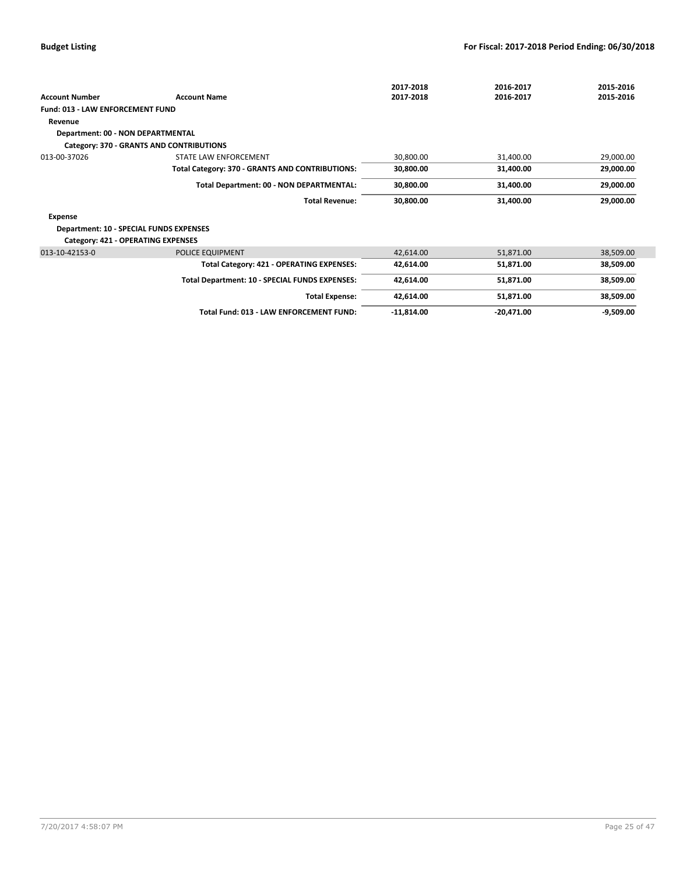|                                                |                                                 | 2017-2018    | 2016-2017    | 2015-2016   |
|------------------------------------------------|-------------------------------------------------|--------------|--------------|-------------|
| <b>Account Number</b>                          | <b>Account Name</b>                             | 2017-2018    | 2016-2017    | 2015-2016   |
| <b>Fund: 013 - LAW ENFORCEMENT FUND</b>        |                                                 |              |              |             |
| Revenue                                        |                                                 |              |              |             |
| <b>Department: 00 - NON DEPARTMENTAL</b>       |                                                 |              |              |             |
|                                                | Category: 370 - GRANTS AND CONTRIBUTIONS        |              |              |             |
| 013-00-37026                                   | STATE LAW ENFORCEMENT                           | 30,800.00    | 31,400.00    | 29,000.00   |
|                                                | Total Category: 370 - GRANTS AND CONTRIBUTIONS: | 30,800.00    | 31,400.00    | 29,000.00   |
|                                                | Total Department: 00 - NON DEPARTMENTAL:        | 30,800.00    | 31,400.00    | 29,000.00   |
|                                                | <b>Total Revenue:</b>                           | 30,800.00    | 31,400.00    | 29,000.00   |
| Expense                                        |                                                 |              |              |             |
| <b>Department: 10 - SPECIAL FUNDS EXPENSES</b> |                                                 |              |              |             |
| Category: 421 - OPERATING EXPENSES             |                                                 |              |              |             |
| 013-10-42153-0                                 | POLICE EQUIPMENT                                | 42,614.00    | 51,871.00    | 38,509.00   |
|                                                | Total Category: 421 - OPERATING EXPENSES:       | 42,614.00    | 51,871.00    | 38,509.00   |
|                                                | Total Department: 10 - SPECIAL FUNDS EXPENSES:  | 42,614.00    | 51,871.00    | 38,509.00   |
|                                                | <b>Total Expense:</b>                           | 42,614.00    | 51,871.00    | 38,509.00   |
|                                                | Total Fund: 013 - LAW ENFORCEMENT FUND:         | $-11,814.00$ | $-20,471.00$ | $-9,509.00$ |
|                                                |                                                 |              |              |             |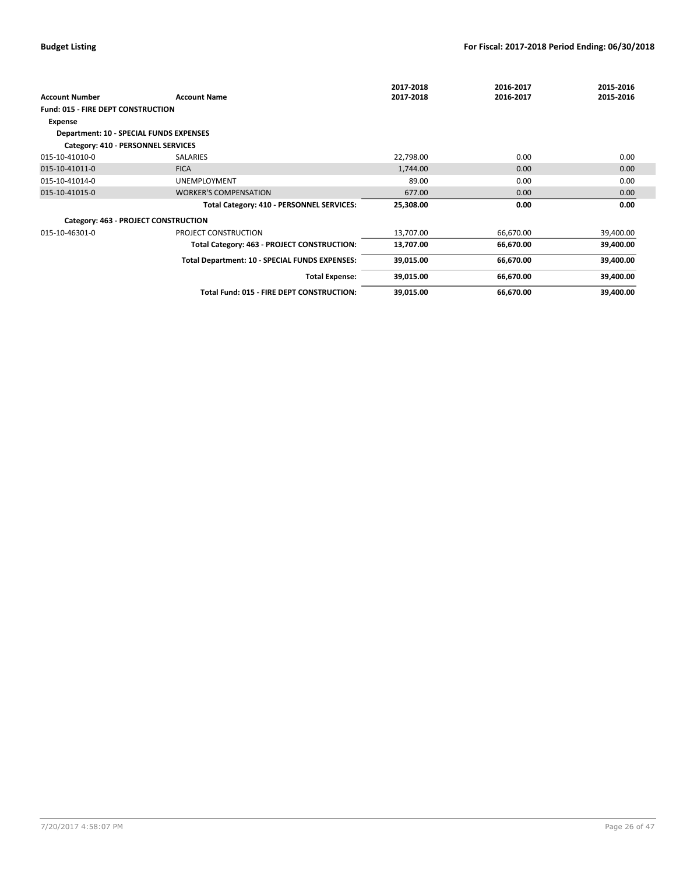|                                                |                                                | 2017-2018 | 2016-2017 | 2015-2016 |
|------------------------------------------------|------------------------------------------------|-----------|-----------|-----------|
| <b>Account Number</b>                          | <b>Account Name</b>                            | 2017-2018 | 2016-2017 | 2015-2016 |
| <b>Fund: 015 - FIRE DEPT CONSTRUCTION</b>      |                                                |           |           |           |
| Expense                                        |                                                |           |           |           |
| <b>Department: 10 - SPECIAL FUNDS EXPENSES</b> |                                                |           |           |           |
| Category: 410 - PERSONNEL SERVICES             |                                                |           |           |           |
| 015-10-41010-0                                 | SALARIES                                       | 22,798.00 | 0.00      | 0.00      |
| 015-10-41011-0                                 | <b>FICA</b>                                    | 1,744.00  | 0.00      | 0.00      |
| 015-10-41014-0                                 | <b>UNEMPLOYMENT</b>                            | 89.00     | 0.00      | 0.00      |
| 015-10-41015-0                                 | <b>WORKER'S COMPENSATION</b>                   | 677.00    | 0.00      | 0.00      |
|                                                | Total Category: 410 - PERSONNEL SERVICES:      | 25,308.00 | 0.00      | 0.00      |
|                                                | Category: 463 - PROJECT CONSTRUCTION           |           |           |           |
| 015-10-46301-0                                 | PROJECT CONSTRUCTION                           | 13,707.00 | 66,670.00 | 39,400.00 |
|                                                | Total Category: 463 - PROJECT CONSTRUCTION:    | 13,707.00 | 66,670.00 | 39,400.00 |
|                                                | Total Department: 10 - SPECIAL FUNDS EXPENSES: | 39,015.00 | 66,670.00 | 39,400.00 |
|                                                | <b>Total Expense:</b>                          | 39,015.00 | 66,670.00 | 39,400.00 |
|                                                | Total Fund: 015 - FIRE DEPT CONSTRUCTION:      | 39,015.00 | 66,670.00 | 39,400.00 |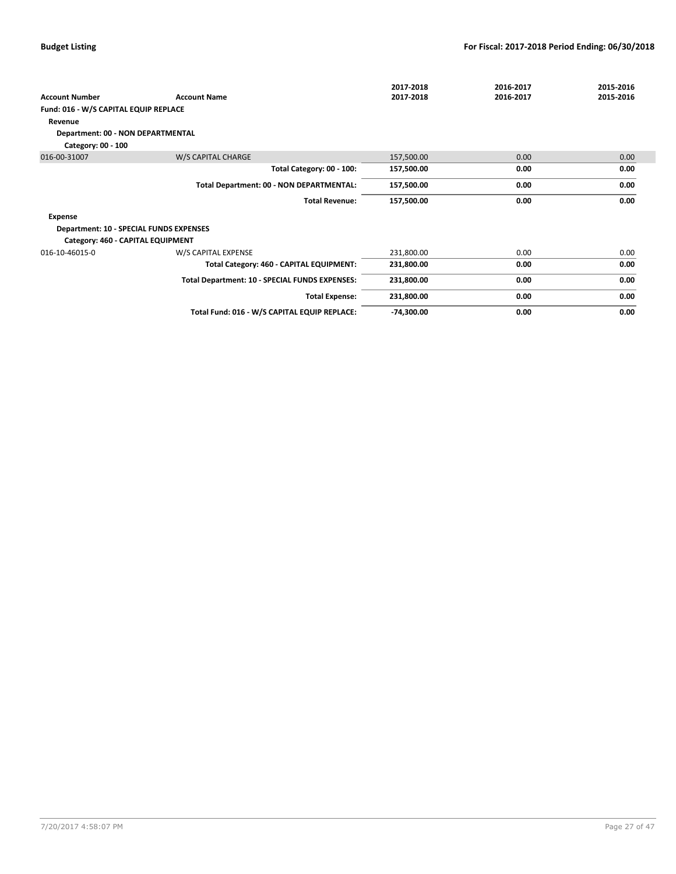|                                                |                                                | 2017-2018    | 2016-2017 | 2015-2016 |
|------------------------------------------------|------------------------------------------------|--------------|-----------|-----------|
| <b>Account Number</b>                          | <b>Account Name</b>                            | 2017-2018    | 2016-2017 | 2015-2016 |
| Fund: 016 - W/S CAPITAL EQUIP REPLACE          |                                                |              |           |           |
| Revenue                                        |                                                |              |           |           |
| Department: 00 - NON DEPARTMENTAL              |                                                |              |           |           |
| Category: 00 - 100                             |                                                |              |           |           |
| 016-00-31007                                   | W/S CAPITAL CHARGE                             | 157,500.00   | 0.00      | 0.00      |
|                                                | Total Category: 00 - 100:                      | 157,500.00   | 0.00      | 0.00      |
|                                                | Total Department: 00 - NON DEPARTMENTAL:       | 157,500.00   | 0.00      | 0.00      |
|                                                | <b>Total Revenue:</b>                          | 157,500.00   | 0.00      | 0.00      |
| Expense                                        |                                                |              |           |           |
| <b>Department: 10 - SPECIAL FUNDS EXPENSES</b> |                                                |              |           |           |
| Category: 460 - CAPITAL EQUIPMENT              |                                                |              |           |           |
| 016-10-46015-0                                 | W/S CAPITAL EXPENSE                            | 231,800.00   | 0.00      | 0.00      |
|                                                | Total Category: 460 - CAPITAL EQUIPMENT:       | 231,800.00   | 0.00      | 0.00      |
|                                                | Total Department: 10 - SPECIAL FUNDS EXPENSES: | 231,800.00   | 0.00      | 0.00      |
|                                                | <b>Total Expense:</b>                          | 231,800.00   | 0.00      | 0.00      |
|                                                | Total Fund: 016 - W/S CAPITAL EQUIP REPLACE:   | $-74,300.00$ | 0.00      | 0.00      |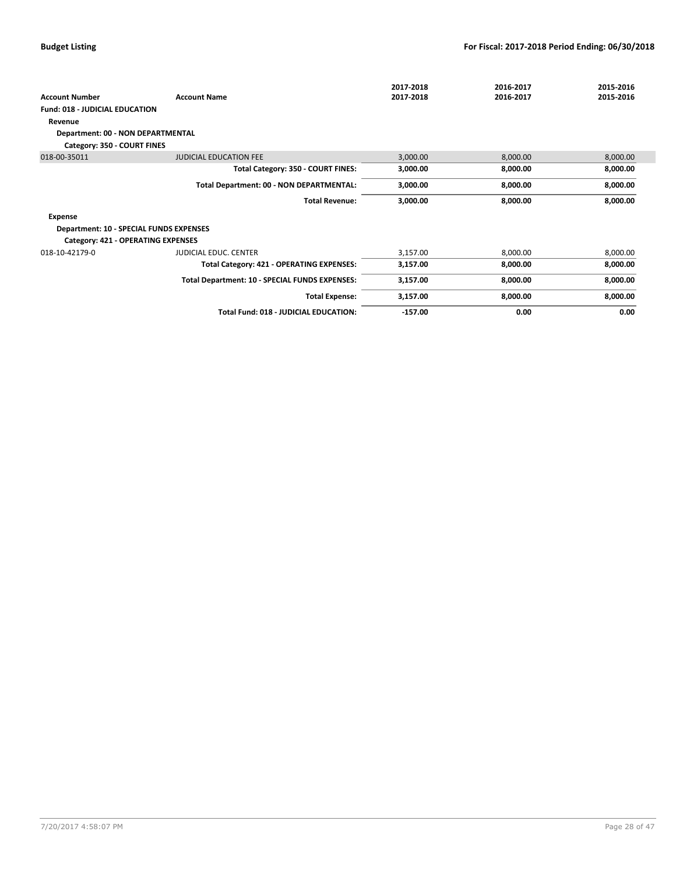|                                         |                                                | 2017-2018 | 2016-2017 | 2015-2016 |
|-----------------------------------------|------------------------------------------------|-----------|-----------|-----------|
| <b>Account Number</b>                   | <b>Account Name</b>                            | 2017-2018 | 2016-2017 | 2015-2016 |
| Fund: 018 - JUDICIAL EDUCATION          |                                                |           |           |           |
| Revenue                                 |                                                |           |           |           |
| Department: 00 - NON DEPARTMENTAL       |                                                |           |           |           |
| Category: 350 - COURT FINES             |                                                |           |           |           |
| 018-00-35011                            | <b>JUDICIAL EDUCATION FEE</b>                  | 3,000.00  | 8,000.00  | 8,000.00  |
|                                         | Total Category: 350 - COURT FINES:             | 3,000.00  | 8,000.00  | 8,000.00  |
|                                         | Total Department: 00 - NON DEPARTMENTAL:       | 3,000.00  | 8,000.00  | 8,000.00  |
|                                         | <b>Total Revenue:</b>                          | 3,000.00  | 8,000.00  | 8,000.00  |
| Expense                                 |                                                |           |           |           |
| Department: 10 - SPECIAL FUNDS EXPENSES |                                                |           |           |           |
| Category: 421 - OPERATING EXPENSES      |                                                |           |           |           |
| 018-10-42179-0                          | <b>JUDICIAL EDUC. CENTER</b>                   | 3,157.00  | 8,000.00  | 8,000.00  |
|                                         | Total Category: 421 - OPERATING EXPENSES:      | 3,157.00  | 8,000.00  | 8,000.00  |
|                                         | Total Department: 10 - SPECIAL FUNDS EXPENSES: | 3,157.00  | 8,000.00  | 8,000.00  |
|                                         | <b>Total Expense:</b>                          | 3,157.00  | 8,000.00  | 8,000.00  |
|                                         | Total Fund: 018 - JUDICIAL EDUCATION:          | $-157.00$ | 0.00      | 0.00      |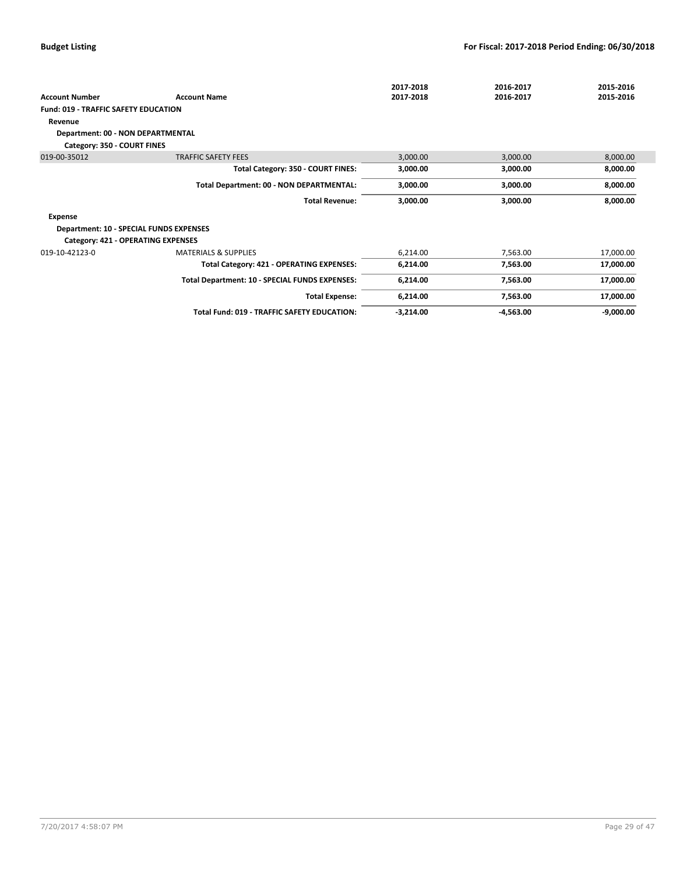|                                                |                                                | 2017-2018   | 2016-2017   | 2015-2016   |
|------------------------------------------------|------------------------------------------------|-------------|-------------|-------------|
| <b>Account Number</b>                          | <b>Account Name</b>                            | 2017-2018   | 2016-2017   | 2015-2016   |
| <b>Fund: 019 - TRAFFIC SAFETY EDUCATION</b>    |                                                |             |             |             |
| Revenue                                        |                                                |             |             |             |
| Department: 00 - NON DEPARTMENTAL              |                                                |             |             |             |
| Category: 350 - COURT FINES                    |                                                |             |             |             |
| 019-00-35012                                   | <b>TRAFFIC SAFETY FEES</b>                     | 3,000.00    | 3,000.00    | 8,000.00    |
|                                                | Total Category: 350 - COURT FINES:             | 3,000.00    | 3,000.00    | 8,000.00    |
|                                                | Total Department: 00 - NON DEPARTMENTAL:       | 3,000.00    | 3,000.00    | 8,000.00    |
|                                                | <b>Total Revenue:</b>                          | 3,000.00    | 3,000.00    | 8,000.00    |
| Expense                                        |                                                |             |             |             |
| <b>Department: 10 - SPECIAL FUNDS EXPENSES</b> |                                                |             |             |             |
| Category: 421 - OPERATING EXPENSES             |                                                |             |             |             |
| 019-10-42123-0                                 | <b>MATERIALS &amp; SUPPLIES</b>                | 6,214.00    | 7,563.00    | 17,000.00   |
|                                                | Total Category: 421 - OPERATING EXPENSES:      | 6,214.00    | 7,563.00    | 17,000.00   |
|                                                | Total Department: 10 - SPECIAL FUNDS EXPENSES: | 6,214.00    | 7,563.00    | 17,000.00   |
|                                                | <b>Total Expense:</b>                          | 6,214.00    | 7,563.00    | 17,000.00   |
|                                                | Total Fund: 019 - TRAFFIC SAFETY EDUCATION:    | $-3,214.00$ | $-4,563.00$ | $-9,000.00$ |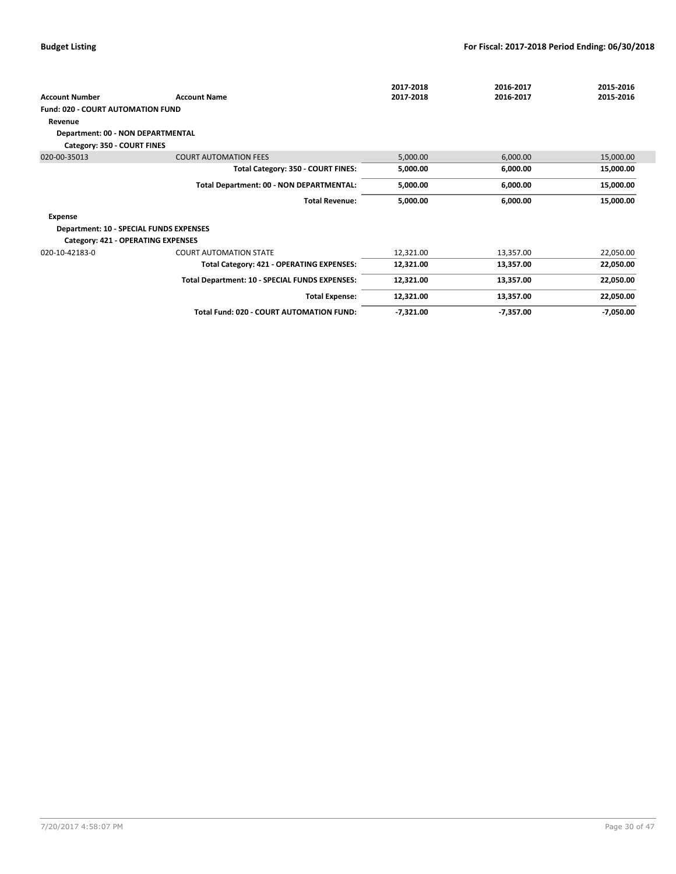| <b>Account Number</b>                    | <b>Account Name</b>                             | 2017-2018<br>2017-2018 | 2016-2017<br>2016-2017 | 2015-2016<br>2015-2016 |
|------------------------------------------|-------------------------------------------------|------------------------|------------------------|------------------------|
| <b>Fund: 020 - COURT AUTOMATION FUND</b> |                                                 |                        |                        |                        |
|                                          |                                                 |                        |                        |                        |
| Revenue                                  |                                                 |                        |                        |                        |
| Department: 00 - NON DEPARTMENTAL        |                                                 |                        |                        |                        |
| Category: 350 - COURT FINES              |                                                 |                        |                        |                        |
| 020-00-35013                             | <b>COURT AUTOMATION FEES</b>                    | 5,000.00               | 6,000.00               | 15,000.00              |
|                                          | Total Category: 350 - COURT FINES:              | 5,000.00               | 6,000.00               | 15,000.00              |
|                                          | Total Department: 00 - NON DEPARTMENTAL:        | 5,000.00               | 6,000.00               | 15,000.00              |
|                                          | <b>Total Revenue:</b>                           | 5,000.00               | 6,000.00               | 15,000.00              |
| Expense                                  |                                                 |                        |                        |                        |
| Department: 10 - SPECIAL FUNDS EXPENSES  |                                                 |                        |                        |                        |
| Category: 421 - OPERATING EXPENSES       |                                                 |                        |                        |                        |
| 020-10-42183-0                           | <b>COURT AUTOMATION STATE</b>                   | 12,321.00              | 13,357.00              | 22,050.00              |
|                                          | Total Category: 421 - OPERATING EXPENSES:       | 12,321.00              | 13,357.00              | 22,050.00              |
|                                          | Total Department: 10 - SPECIAL FUNDS EXPENSES:  | 12,321.00              | 13,357.00              | 22,050.00              |
|                                          | <b>Total Expense:</b>                           | 12,321.00              | 13,357.00              | 22,050.00              |
|                                          | <b>Total Fund: 020 - COURT AUTOMATION FUND:</b> | $-7,321.00$            | $-7,357.00$            | $-7,050.00$            |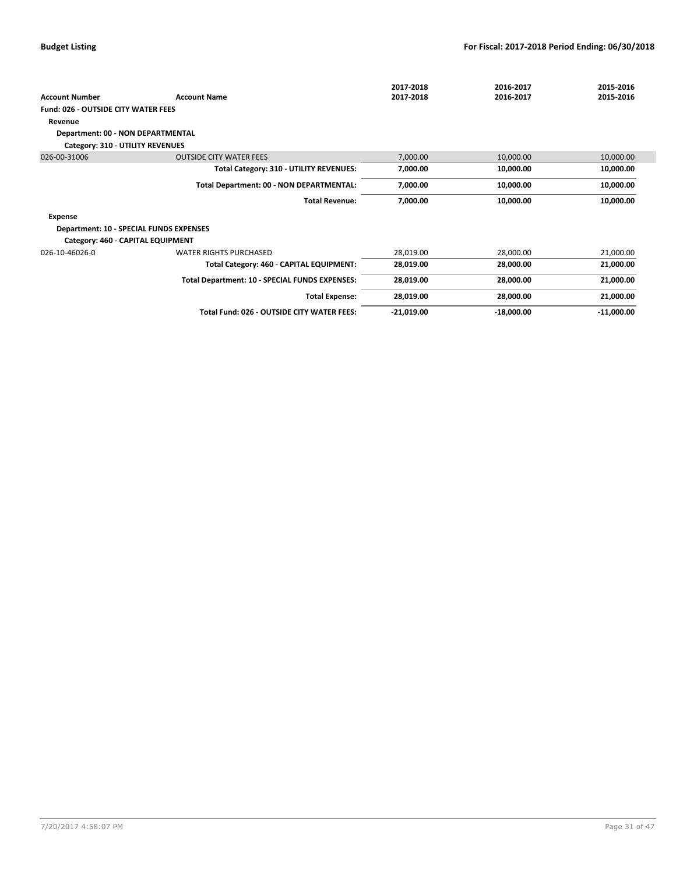| <b>Account Number</b>                   | <b>Account Name</b>                            | 2017-2018<br>2017-2018 | 2016-2017<br>2016-2017 | 2015-2016<br>2015-2016 |
|-----------------------------------------|------------------------------------------------|------------------------|------------------------|------------------------|
| Fund: 026 - OUTSIDE CITY WATER FEES     |                                                |                        |                        |                        |
| Revenue                                 |                                                |                        |                        |                        |
| Department: 00 - NON DEPARTMENTAL       |                                                |                        |                        |                        |
| Category: 310 - UTILITY REVENUES        |                                                |                        |                        |                        |
| 026-00-31006                            | <b>OUTSIDE CITY WATER FEES</b>                 | 7,000.00               | 10,000.00              | 10,000.00              |
|                                         | Total Category: 310 - UTILITY REVENUES:        | 7,000.00               | 10,000.00              | 10,000.00              |
|                                         | Total Department: 00 - NON DEPARTMENTAL:       | 7,000.00               | 10,000.00              | 10,000.00              |
|                                         | <b>Total Revenue:</b>                          | 7,000.00               | 10,000.00              | 10,000.00              |
| <b>Expense</b>                          |                                                |                        |                        |                        |
| Department: 10 - SPECIAL FUNDS EXPENSES |                                                |                        |                        |                        |
| Category: 460 - CAPITAL EQUIPMENT       |                                                |                        |                        |                        |
| 026-10-46026-0                          | <b>WATER RIGHTS PURCHASED</b>                  | 28,019.00              | 28,000.00              | 21,000.00              |
|                                         | Total Category: 460 - CAPITAL EQUIPMENT:       | 28,019.00              | 28,000.00              | 21,000.00              |
|                                         | Total Department: 10 - SPECIAL FUNDS EXPENSES: | 28,019.00              | 28,000.00              | 21,000.00              |
|                                         | <b>Total Expense:</b>                          | 28,019.00              | 28,000.00              | 21,000.00              |
|                                         | Total Fund: 026 - OUTSIDE CITY WATER FEES:     | $-21,019.00$           | $-18,000.00$           | $-11,000.00$           |
|                                         |                                                |                        |                        |                        |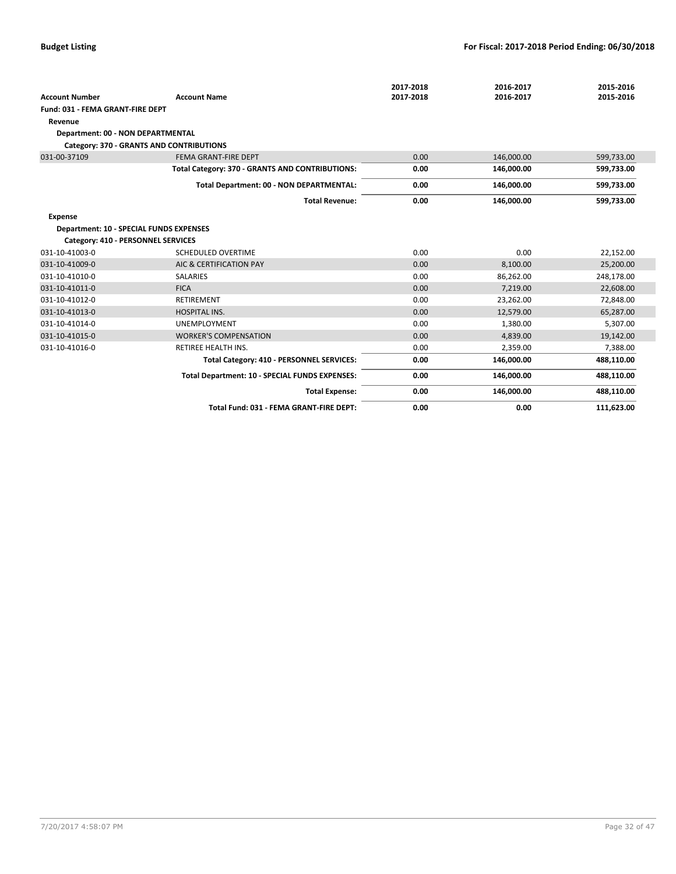|                                                |                                                 | 2017-2018 | 2016-2017  | 2015-2016  |
|------------------------------------------------|-------------------------------------------------|-----------|------------|------------|
| <b>Account Number</b>                          | <b>Account Name</b>                             | 2017-2018 | 2016-2017  | 2015-2016  |
| <b>Fund: 031 - FEMA GRANT-FIRE DEPT</b>        |                                                 |           |            |            |
| Revenue                                        |                                                 |           |            |            |
| Department: 00 - NON DEPARTMENTAL              |                                                 |           |            |            |
|                                                | <b>Category: 370 - GRANTS AND CONTRIBUTIONS</b> |           |            |            |
| 031-00-37109                                   | FEMA GRANT-FIRE DEPT                            | 0.00      | 146,000.00 | 599,733.00 |
|                                                | Total Category: 370 - GRANTS AND CONTRIBUTIONS: | 0.00      | 146,000.00 | 599,733.00 |
|                                                | Total Department: 00 - NON DEPARTMENTAL:        | 0.00      | 146,000.00 | 599,733.00 |
|                                                | <b>Total Revenue:</b>                           | 0.00      | 146,000.00 | 599,733.00 |
| <b>Expense</b>                                 |                                                 |           |            |            |
| <b>Department: 10 - SPECIAL FUNDS EXPENSES</b> |                                                 |           |            |            |
| Category: 410 - PERSONNEL SERVICES             |                                                 |           |            |            |
| 031-10-41003-0                                 | <b>SCHEDULED OVERTIME</b>                       | 0.00      | 0.00       | 22,152.00  |
| 031-10-41009-0                                 | AIC & CERTIFICATION PAY                         | 0.00      | 8,100.00   | 25,200.00  |
| 031-10-41010-0                                 | <b>SALARIES</b>                                 | 0.00      | 86,262.00  | 248,178.00 |
| 031-10-41011-0                                 | <b>FICA</b>                                     | 0.00      | 7,219.00   | 22,608.00  |
| 031-10-41012-0                                 | <b>RETIREMENT</b>                               | 0.00      | 23,262.00  | 72,848.00  |
| 031-10-41013-0                                 | <b>HOSPITAL INS.</b>                            | 0.00      | 12,579.00  | 65,287.00  |
| 031-10-41014-0                                 | <b>UNEMPLOYMENT</b>                             | 0.00      | 1,380.00   | 5,307.00   |
| 031-10-41015-0                                 | <b>WORKER'S COMPENSATION</b>                    | 0.00      | 4,839.00   | 19,142.00  |
| 031-10-41016-0                                 | <b>RETIREE HEALTH INS.</b>                      | 0.00      | 2,359.00   | 7,388.00   |
|                                                | Total Category: 410 - PERSONNEL SERVICES:       | 0.00      | 146,000.00 | 488,110.00 |
|                                                | Total Department: 10 - SPECIAL FUNDS EXPENSES:  | 0.00      | 146,000.00 | 488,110.00 |
|                                                | <b>Total Expense:</b>                           | 0.00      | 146,000.00 | 488,110.00 |
|                                                | Total Fund: 031 - FEMA GRANT-FIRE DEPT:         | 0.00      | 0.00       | 111,623.00 |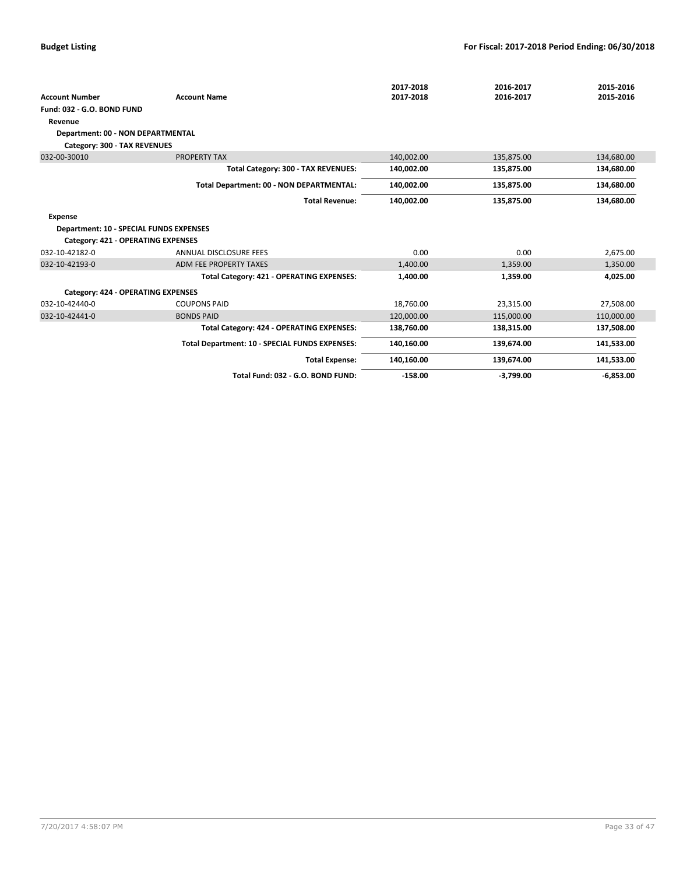|                                                |                                                | 2017-2018  | 2016-2017   | 2015-2016   |
|------------------------------------------------|------------------------------------------------|------------|-------------|-------------|
| <b>Account Number</b>                          | <b>Account Name</b>                            | 2017-2018  | 2016-2017   | 2015-2016   |
| Fund: 032 - G.O. BOND FUND                     |                                                |            |             |             |
| Revenue                                        |                                                |            |             |             |
| Department: 00 - NON DEPARTMENTAL              |                                                |            |             |             |
| Category: 300 - TAX REVENUES                   |                                                |            |             |             |
| 032-00-30010                                   | PROPERTY TAX                                   | 140,002.00 | 135,875.00  | 134,680.00  |
|                                                | Total Category: 300 - TAX REVENUES:            | 140,002.00 | 135,875.00  | 134,680.00  |
|                                                | Total Department: 00 - NON DEPARTMENTAL:       | 140,002.00 | 135,875.00  | 134,680.00  |
|                                                | <b>Total Revenue:</b>                          | 140,002.00 | 135,875.00  | 134,680.00  |
| <b>Expense</b>                                 |                                                |            |             |             |
| <b>Department: 10 - SPECIAL FUNDS EXPENSES</b> |                                                |            |             |             |
| Category: 421 - OPERATING EXPENSES             |                                                |            |             |             |
| 032-10-42182-0                                 | <b>ANNUAL DISCLOSURE FEES</b>                  | 0.00       | 0.00        | 2,675.00    |
| 032-10-42193-0                                 | ADM FEE PROPERTY TAXES                         | 1,400.00   | 1,359.00    | 1,350.00    |
|                                                | Total Category: 421 - OPERATING EXPENSES:      | 1,400.00   | 1,359.00    | 4,025.00    |
| Category: 424 - OPERATING EXPENSES             |                                                |            |             |             |
| 032-10-42440-0                                 | <b>COUPONS PAID</b>                            | 18,760.00  | 23,315.00   | 27,508.00   |
| 032-10-42441-0                                 | <b>BONDS PAID</b>                              | 120,000.00 | 115,000.00  | 110,000.00  |
|                                                | Total Category: 424 - OPERATING EXPENSES:      | 138,760.00 | 138,315.00  | 137,508.00  |
|                                                | Total Department: 10 - SPECIAL FUNDS EXPENSES: | 140,160.00 | 139,674.00  | 141,533.00  |
|                                                | <b>Total Expense:</b>                          | 140,160.00 | 139,674.00  | 141,533.00  |
|                                                | Total Fund: 032 - G.O. BOND FUND:              | $-158.00$  | $-3,799.00$ | $-6,853.00$ |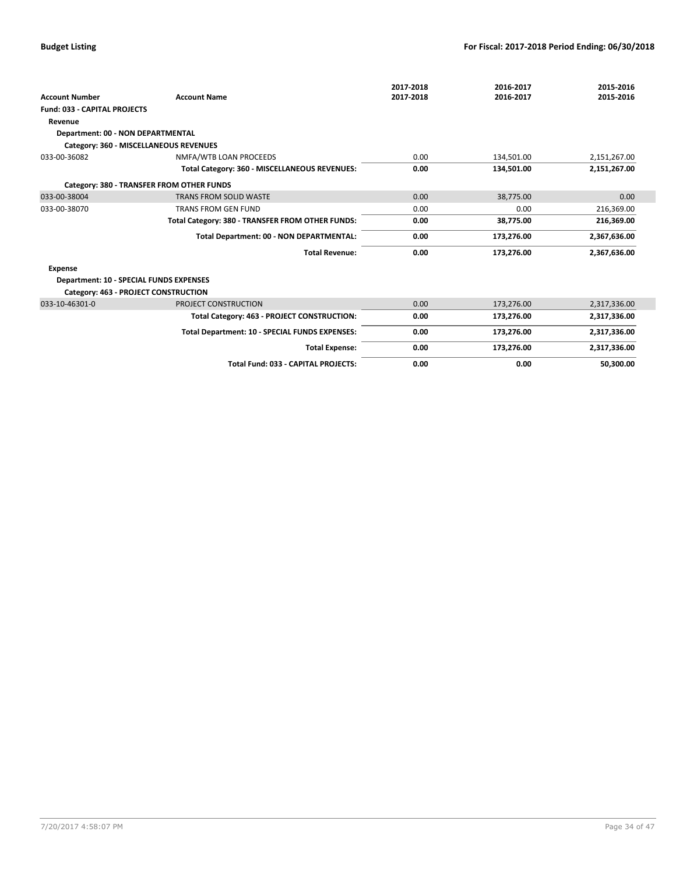| <b>Account Number</b>                          | <b>Account Name</b>                              | 2017-2018<br>2017-2018 | 2016-2017<br>2016-2017 | 2015-2016<br>2015-2016 |
|------------------------------------------------|--------------------------------------------------|------------------------|------------------------|------------------------|
| <b>Fund: 033 - CAPITAL PROJECTS</b>            |                                                  |                        |                        |                        |
| Revenue                                        |                                                  |                        |                        |                        |
| <b>Department: 00 - NON DEPARTMENTAL</b>       |                                                  |                        |                        |                        |
|                                                | Category: 360 - MISCELLANEOUS REVENUES           |                        |                        |                        |
| 033-00-36082                                   | NMFA/WTB LOAN PROCEEDS                           | 0.00                   | 134.501.00             | 2,151,267.00           |
|                                                | Total Category: 360 - MISCELLANEOUS REVENUES:    | 0.00                   | 134,501.00             | 2,151,267.00           |
|                                                | Category: 380 - TRANSFER FROM OTHER FUNDS        |                        |                        |                        |
| 033-00-38004                                   | TRANS FROM SOLID WASTE                           | 0.00                   | 38,775.00              | 0.00                   |
| 033-00-38070                                   | <b>TRANS FROM GEN FUND</b>                       | 0.00                   | 0.00                   | 216,369.00             |
|                                                | Total Category: 380 - TRANSFER FROM OTHER FUNDS: | 0.00                   | 38,775.00              | 216,369.00             |
|                                                | Total Department: 00 - NON DEPARTMENTAL:         | 0.00                   | 173,276.00             | 2,367,636.00           |
|                                                | <b>Total Revenue:</b>                            | 0.00                   | 173.276.00             | 2.367.636.00           |
| <b>Expense</b>                                 |                                                  |                        |                        |                        |
| <b>Department: 10 - SPECIAL FUNDS EXPENSES</b> |                                                  |                        |                        |                        |
|                                                | Category: 463 - PROJECT CONSTRUCTION             |                        |                        |                        |
| 033-10-46301-0                                 | PROJECT CONSTRUCTION                             | 0.00                   | 173,276.00             | 2,317,336.00           |
|                                                | Total Category: 463 - PROJECT CONSTRUCTION:      | 0.00                   | 173,276.00             | 2,317,336.00           |
|                                                | Total Department: 10 - SPECIAL FUNDS EXPENSES:   | 0.00                   | 173,276.00             | 2,317,336.00           |
|                                                | <b>Total Expense:</b>                            | 0.00                   | 173,276.00             | 2,317,336.00           |
|                                                | Total Fund: 033 - CAPITAL PROJECTS:              | 0.00                   | 0.00                   | 50.300.00              |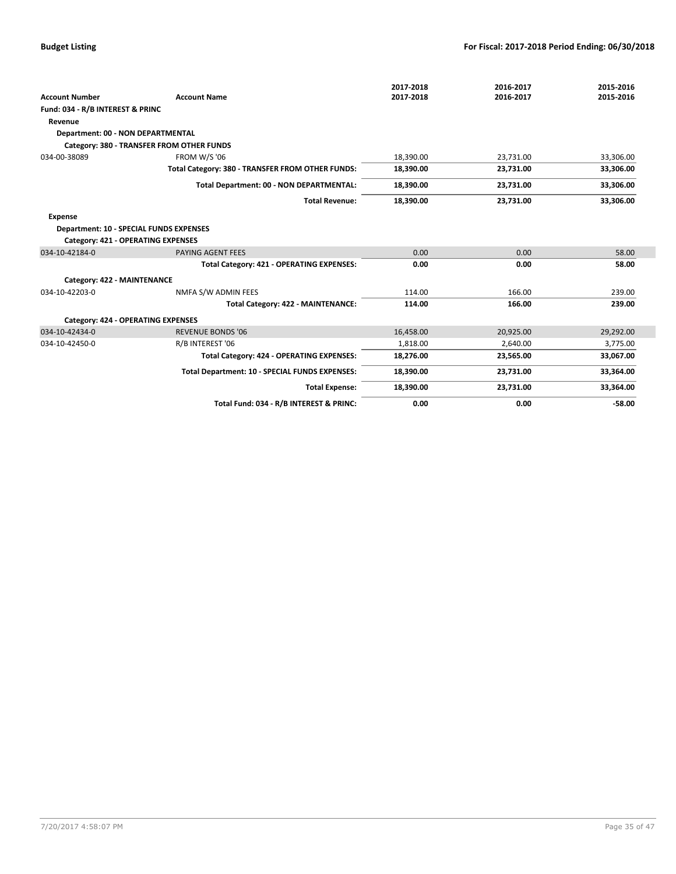|                                           |                                                  | 2017-2018 | 2016-2017 | 2015-2016 |
|-------------------------------------------|--------------------------------------------------|-----------|-----------|-----------|
| <b>Account Number</b>                     | <b>Account Name</b>                              | 2017-2018 | 2016-2017 | 2015-2016 |
| Fund: 034 - R/B INTEREST & PRINC          |                                                  |           |           |           |
| Revenue                                   |                                                  |           |           |           |
| Department: 00 - NON DEPARTMENTAL         |                                                  |           |           |           |
|                                           | Category: 380 - TRANSFER FROM OTHER FUNDS        |           |           |           |
| 034-00-38089                              | <b>FROM W/S '06</b>                              | 18,390.00 | 23,731.00 | 33,306.00 |
|                                           | Total Category: 380 - TRANSFER FROM OTHER FUNDS: | 18,390.00 | 23,731.00 | 33,306.00 |
|                                           | Total Department: 00 - NON DEPARTMENTAL:         | 18,390.00 | 23,731.00 | 33,306.00 |
|                                           | <b>Total Revenue:</b>                            | 18,390.00 | 23,731.00 | 33,306.00 |
| <b>Expense</b>                            |                                                  |           |           |           |
|                                           | <b>Department: 10 - SPECIAL FUNDS EXPENSES</b>   |           |           |           |
| Category: 421 - OPERATING EXPENSES        |                                                  |           |           |           |
| 034-10-42184-0                            | PAYING AGENT FEES                                | 0.00      | 0.00      | 58.00     |
|                                           | Total Category: 421 - OPERATING EXPENSES:        | 0.00      | 0.00      | 58.00     |
| Category: 422 - MAINTENANCE               |                                                  |           |           |           |
| 034-10-42203-0                            | NMFA S/W ADMIN FEES                              | 114.00    | 166.00    | 239.00    |
|                                           | Total Category: 422 - MAINTENANCE:               | 114.00    | 166.00    | 239.00    |
| <b>Category: 424 - OPERATING EXPENSES</b> |                                                  |           |           |           |
| 034-10-42434-0                            | <b>REVENUE BONDS '06</b>                         | 16,458.00 | 20,925.00 | 29,292.00 |
| 034-10-42450-0                            | R/B INTEREST '06                                 | 1,818.00  | 2,640.00  | 3,775.00  |
|                                           | Total Category: 424 - OPERATING EXPENSES:        | 18,276.00 | 23,565.00 | 33,067.00 |
|                                           | Total Department: 10 - SPECIAL FUNDS EXPENSES:   | 18,390.00 | 23,731.00 | 33,364.00 |
|                                           | <b>Total Expense:</b>                            | 18,390.00 | 23,731.00 | 33,364.00 |
|                                           | Total Fund: 034 - R/B INTEREST & PRINC:          | 0.00      | 0.00      | $-58.00$  |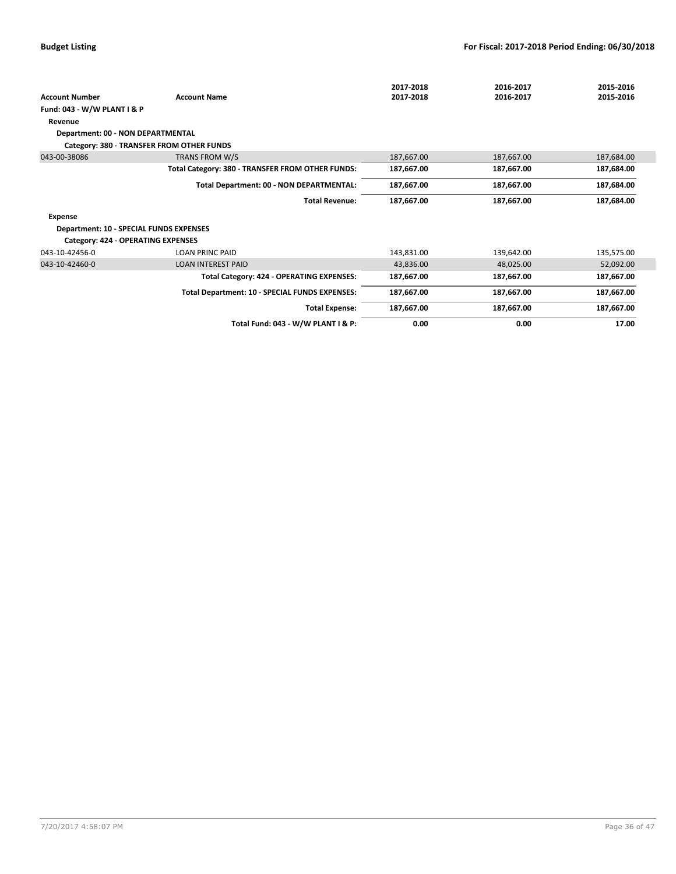|                                           |                                                  | 2017-2018  | 2016-2017  | 2015-2016  |
|-------------------------------------------|--------------------------------------------------|------------|------------|------------|
| <b>Account Number</b>                     | <b>Account Name</b>                              | 2017-2018  | 2016-2017  | 2015-2016  |
| Fund: 043 - W/W PLANT I & P               |                                                  |            |            |            |
| Revenue                                   |                                                  |            |            |            |
| Department: 00 - NON DEPARTMENTAL         |                                                  |            |            |            |
|                                           | Category: 380 - TRANSFER FROM OTHER FUNDS        |            |            |            |
| 043-00-38086                              | TRANS FROM W/S                                   | 187,667.00 | 187,667.00 | 187,684.00 |
|                                           | Total Category: 380 - TRANSFER FROM OTHER FUNDS: | 187,667.00 | 187,667.00 | 187,684.00 |
|                                           | Total Department: 00 - NON DEPARTMENTAL:         | 187,667.00 | 187,667.00 | 187,684.00 |
|                                           | <b>Total Revenue:</b>                            | 187,667.00 | 187,667.00 | 187,684.00 |
| Expense                                   |                                                  |            |            |            |
| Department: 10 - SPECIAL FUNDS EXPENSES   |                                                  |            |            |            |
| <b>Category: 424 - OPERATING EXPENSES</b> |                                                  |            |            |            |
| 043-10-42456-0                            | <b>LOAN PRINC PAID</b>                           | 143,831.00 | 139,642.00 | 135,575.00 |
| 043-10-42460-0                            | <b>LOAN INTEREST PAID</b>                        | 43,836.00  | 48,025.00  | 52,092.00  |
|                                           | Total Category: 424 - OPERATING EXPENSES:        | 187,667.00 | 187,667.00 | 187,667.00 |
|                                           | Total Department: 10 - SPECIAL FUNDS EXPENSES:   | 187,667.00 | 187,667.00 | 187,667.00 |
|                                           | <b>Total Expense:</b>                            | 187,667.00 | 187,667.00 | 187,667.00 |
|                                           | Total Fund: 043 - W/W PLANT I & P:               | 0.00       | 0.00       | 17.00      |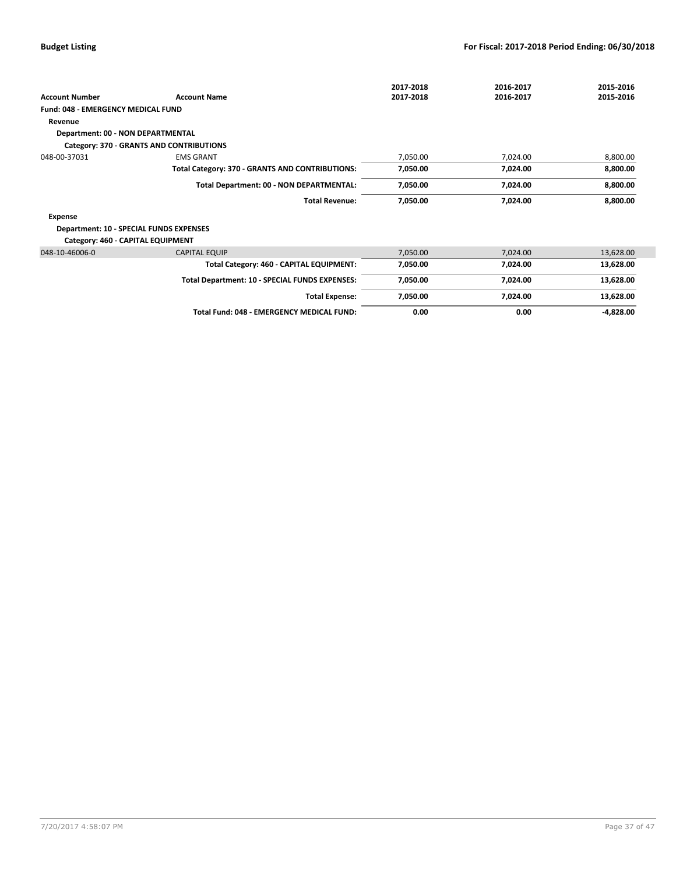|                                                |                                                 | 2017-2018 | 2016-2017 | 2015-2016   |
|------------------------------------------------|-------------------------------------------------|-----------|-----------|-------------|
| <b>Account Number</b>                          | <b>Account Name</b>                             | 2017-2018 | 2016-2017 | 2015-2016   |
| <b>Fund: 048 - EMERGENCY MEDICAL FUND</b>      |                                                 |           |           |             |
| Revenue                                        |                                                 |           |           |             |
| Department: 00 - NON DEPARTMENTAL              |                                                 |           |           |             |
| Category: 370 - GRANTS AND CONTRIBUTIONS       |                                                 |           |           |             |
| 048-00-37031                                   | <b>EMS GRANT</b>                                | 7,050.00  | 7,024.00  | 8,800.00    |
|                                                | Total Category: 370 - GRANTS AND CONTRIBUTIONS: | 7,050.00  | 7,024.00  | 8,800.00    |
|                                                | Total Department: 00 - NON DEPARTMENTAL:        | 7,050.00  | 7,024.00  | 8,800.00    |
|                                                | <b>Total Revenue:</b>                           | 7,050.00  | 7,024.00  | 8,800.00    |
| Expense                                        |                                                 |           |           |             |
| <b>Department: 10 - SPECIAL FUNDS EXPENSES</b> |                                                 |           |           |             |
| Category: 460 - CAPITAL EQUIPMENT              |                                                 |           |           |             |
| 048-10-46006-0                                 | <b>CAPITAL EQUIP</b>                            | 7,050.00  | 7,024.00  | 13,628.00   |
|                                                | Total Category: 460 - CAPITAL EQUIPMENT:        | 7,050.00  | 7,024.00  | 13,628.00   |
|                                                | Total Department: 10 - SPECIAL FUNDS EXPENSES:  | 7,050.00  | 7,024.00  | 13,628.00   |
|                                                | <b>Total Expense:</b>                           | 7,050.00  | 7,024.00  | 13,628.00   |
|                                                | Total Fund: 048 - EMERGENCY MEDICAL FUND:       | 0.00      | 0.00      | $-4,828.00$ |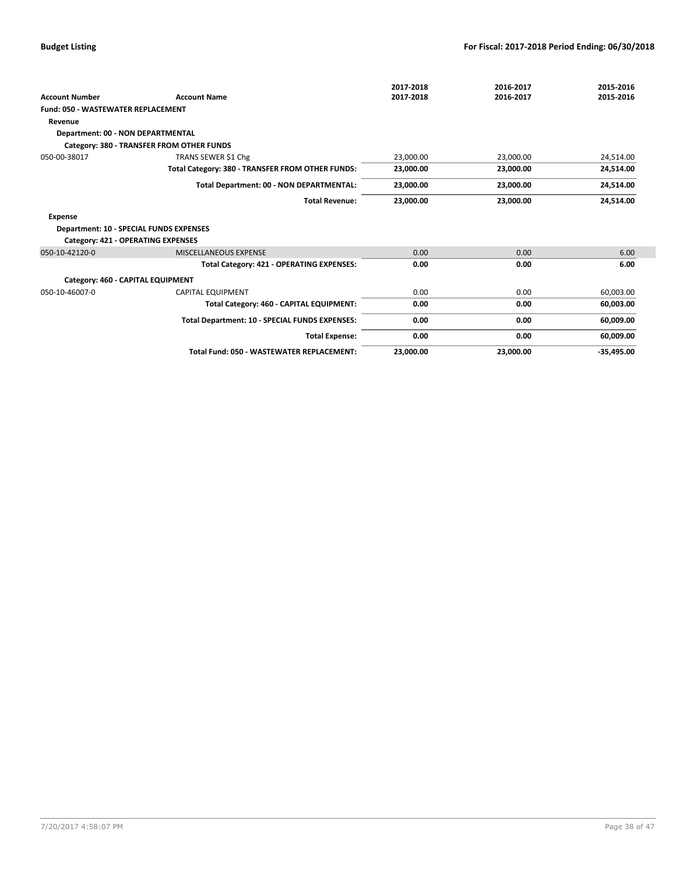|                                                |                                                  | 2017-2018 | 2016-2017 | 2015-2016    |
|------------------------------------------------|--------------------------------------------------|-----------|-----------|--------------|
| <b>Account Number</b>                          | <b>Account Name</b>                              | 2017-2018 | 2016-2017 | 2015-2016    |
| <b>Fund: 050 - WASTEWATER REPLACEMENT</b>      |                                                  |           |           |              |
| Revenue                                        |                                                  |           |           |              |
| Department: 00 - NON DEPARTMENTAL              |                                                  |           |           |              |
|                                                | Category: 380 - TRANSFER FROM OTHER FUNDS        |           |           |              |
| 050-00-38017                                   | TRANS SEWER \$1 Chg                              | 23,000.00 | 23,000.00 | 24,514.00    |
|                                                | Total Category: 380 - TRANSFER FROM OTHER FUNDS: | 23,000.00 | 23,000.00 | 24,514.00    |
|                                                | Total Department: 00 - NON DEPARTMENTAL:         | 23,000.00 | 23,000.00 | 24,514.00    |
|                                                | <b>Total Revenue:</b>                            | 23,000.00 | 23,000.00 | 24,514.00    |
| <b>Expense</b>                                 |                                                  |           |           |              |
| <b>Department: 10 - SPECIAL FUNDS EXPENSES</b> |                                                  |           |           |              |
| Category: 421 - OPERATING EXPENSES             |                                                  |           |           |              |
| 050-10-42120-0                                 | <b>MISCELLANEOUS EXPENSE</b>                     | 0.00      | 0.00      | 6.00         |
|                                                | Total Category: 421 - OPERATING EXPENSES:        | 0.00      | 0.00      | 6.00         |
| Category: 460 - CAPITAL EQUIPMENT              |                                                  |           |           |              |
| 050-10-46007-0                                 | <b>CAPITAL EQUIPMENT</b>                         | 0.00      | 0.00      | 60,003.00    |
|                                                | Total Category: 460 - CAPITAL EQUIPMENT:         | 0.00      | 0.00      | 60,003.00    |
|                                                | Total Department: 10 - SPECIAL FUNDS EXPENSES:   | 0.00      | 0.00      | 60,009.00    |
|                                                | <b>Total Expense:</b>                            | 0.00      | 0.00      | 60,009.00    |
|                                                | Total Fund: 050 - WASTEWATER REPLACEMENT:        | 23,000.00 | 23,000.00 | $-35,495.00$ |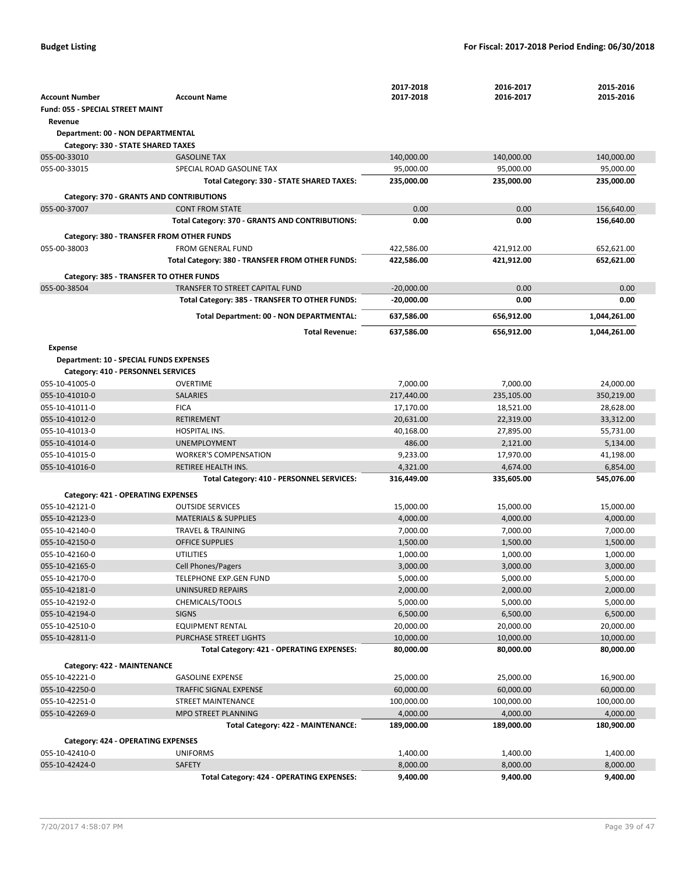|                                                |                                                  | 2017-2018    | 2016-2017  | 2015-2016    |
|------------------------------------------------|--------------------------------------------------|--------------|------------|--------------|
| <b>Account Number</b>                          | <b>Account Name</b>                              | 2017-2018    | 2016-2017  | 2015-2016    |
| <b>Fund: 055 - SPECIAL STREET MAINT</b>        |                                                  |              |            |              |
| Revenue                                        |                                                  |              |            |              |
| Department: 00 - NON DEPARTMENTAL              |                                                  |              |            |              |
| Category: 330 - STATE SHARED TAXES             |                                                  |              |            |              |
| 055-00-33010                                   | <b>GASOLINE TAX</b>                              | 140,000.00   | 140,000.00 | 140,000.00   |
| 055-00-33015                                   | SPECIAL ROAD GASOLINE TAX                        | 95,000.00    | 95,000.00  | 95,000.00    |
|                                                | Total Category: 330 - STATE SHARED TAXES:        |              | 235,000.00 | 235,000.00   |
|                                                |                                                  | 235,000.00   |            |              |
| Category: 370 - GRANTS AND CONTRIBUTIONS       |                                                  |              |            |              |
| 055-00-37007                                   | <b>CONT FROM STATE</b>                           | 0.00         | 0.00       | 156,640.00   |
|                                                | Total Category: 370 - GRANTS AND CONTRIBUTIONS:  | 0.00         | 0.00       | 156,640.00   |
| Category: 380 - TRANSFER FROM OTHER FUNDS      |                                                  |              |            |              |
| 055-00-38003                                   | <b>FROM GENERAL FUND</b>                         | 422,586.00   | 421,912.00 | 652,621.00   |
|                                                | Total Category: 380 - TRANSFER FROM OTHER FUNDS: | 422,586.00   | 421,912.00 | 652,621.00   |
|                                                |                                                  |              |            |              |
| Category: 385 - TRANSFER TO OTHER FUNDS        |                                                  |              |            |              |
| 055-00-38504                                   | TRANSFER TO STREET CAPITAL FUND                  | $-20,000.00$ | 0.00       | 0.00         |
|                                                | Total Category: 385 - TRANSFER TO OTHER FUNDS:   | $-20,000.00$ | 0.00       | 0.00         |
|                                                | Total Department: 00 - NON DEPARTMENTAL:         | 637,586.00   | 656,912.00 | 1,044,261.00 |
|                                                |                                                  |              |            |              |
|                                                | <b>Total Revenue:</b>                            | 637,586.00   | 656,912.00 | 1,044,261.00 |
| <b>Expense</b>                                 |                                                  |              |            |              |
| <b>Department: 10 - SPECIAL FUNDS EXPENSES</b> |                                                  |              |            |              |
| Category: 410 - PERSONNEL SERVICES             |                                                  |              |            |              |
| 055-10-41005-0                                 | <b>OVERTIME</b>                                  | 7,000.00     | 7,000.00   | 24,000.00    |
| 055-10-41010-0                                 | <b>SALARIES</b>                                  | 217,440.00   | 235,105.00 | 350,219.00   |
| 055-10-41011-0                                 | <b>FICA</b>                                      | 17,170.00    | 18,521.00  | 28,628.00    |
| 055-10-41012-0                                 | <b>RETIREMENT</b>                                | 20,631.00    | 22,319.00  | 33,312.00    |
| 055-10-41013-0                                 | HOSPITAL INS.                                    | 40,168.00    | 27,895.00  | 55,731.00    |
| 055-10-41014-0                                 | <b>UNEMPLOYMENT</b>                              | 486.00       | 2,121.00   | 5,134.00     |
| 055-10-41015-0                                 | <b>WORKER'S COMPENSATION</b>                     | 9,233.00     | 17,970.00  | 41,198.00    |
| 055-10-41016-0                                 | RETIREE HEALTH INS.                              | 4,321.00     | 4,674.00   | 6,854.00     |
|                                                |                                                  | 316,449.00   | 335,605.00 | 545,076.00   |
|                                                | Total Category: 410 - PERSONNEL SERVICES:        |              |            |              |
| Category: 421 - OPERATING EXPENSES             |                                                  |              |            |              |
| 055-10-42121-0                                 | <b>OUTSIDE SERVICES</b>                          | 15,000.00    | 15,000.00  | 15,000.00    |
| 055-10-42123-0                                 | <b>MATERIALS &amp; SUPPLIES</b>                  | 4,000.00     | 4,000.00   | 4,000.00     |
| 055-10-42140-0                                 | <b>TRAVEL &amp; TRAINING</b>                     | 7,000.00     | 7,000.00   | 7,000.00     |
| 055-10-42150-0                                 | <b>OFFICE SUPPLIES</b>                           | 1,500.00     | 1,500.00   | 1,500.00     |
| 055-10-42160-0                                 | <b>UTILITIES</b>                                 | 1,000.00     | 1,000.00   | 1,000.00     |
| 055-10-42165-0                                 | <b>Cell Phones/Pagers</b>                        | 3,000.00     | 3,000.00   | 3,000.00     |
| 055-10-42170-0                                 | TELEPHONE EXP.GEN FUND                           | 5,000.00     | 5,000.00   | 5,000.00     |
| 055-10-42181-0                                 | UNINSURED REPAIRS                                | 2,000.00     | 2,000.00   | 2,000.00     |
| 055-10-42192-0                                 | CHEMICALS/TOOLS                                  | 5,000.00     | 5,000.00   | 5,000.00     |
| 055-10-42194-0                                 | <b>SIGNS</b>                                     | 6,500.00     | 6,500.00   | 6,500.00     |
| 055-10-42510-0                                 | <b>EQUIPMENT RENTAL</b>                          | 20,000.00    | 20,000.00  | 20,000.00    |
| 055-10-42811-0                                 | <b>PURCHASE STREET LIGHTS</b>                    | 10,000.00    | 10,000.00  | 10,000.00    |
|                                                | Total Category: 421 - OPERATING EXPENSES:        | 80,000.00    | 80,000.00  | 80,000.00    |
|                                                |                                                  |              |            |              |
| Category: 422 - MAINTENANCE                    |                                                  |              |            |              |
| 055-10-42221-0                                 | <b>GASOLINE EXPENSE</b>                          | 25,000.00    | 25,000.00  | 16,900.00    |
| 055-10-42250-0                                 | <b>TRAFFIC SIGNAL EXPENSE</b>                    | 60,000.00    | 60,000.00  | 60,000.00    |
| 055-10-42251-0                                 | <b>STREET MAINTENANCE</b>                        | 100,000.00   | 100,000.00 | 100,000.00   |
| 055-10-42269-0                                 | MPO STREET PLANNING                              | 4,000.00     | 4,000.00   | 4,000.00     |
|                                                | Total Category: 422 - MAINTENANCE:               | 189,000.00   | 189,000.00 | 180,900.00   |
| Category: 424 - OPERATING EXPENSES             |                                                  |              |            |              |
| 055-10-42410-0                                 | <b>UNIFORMS</b>                                  | 1,400.00     | 1,400.00   | 1,400.00     |
| 055-10-42424-0                                 | SAFETY                                           | 8,000.00     | 8,000.00   | 8,000.00     |
|                                                | Total Category: 424 - OPERATING EXPENSES:        | 9,400.00     | 9,400.00   | 9,400.00     |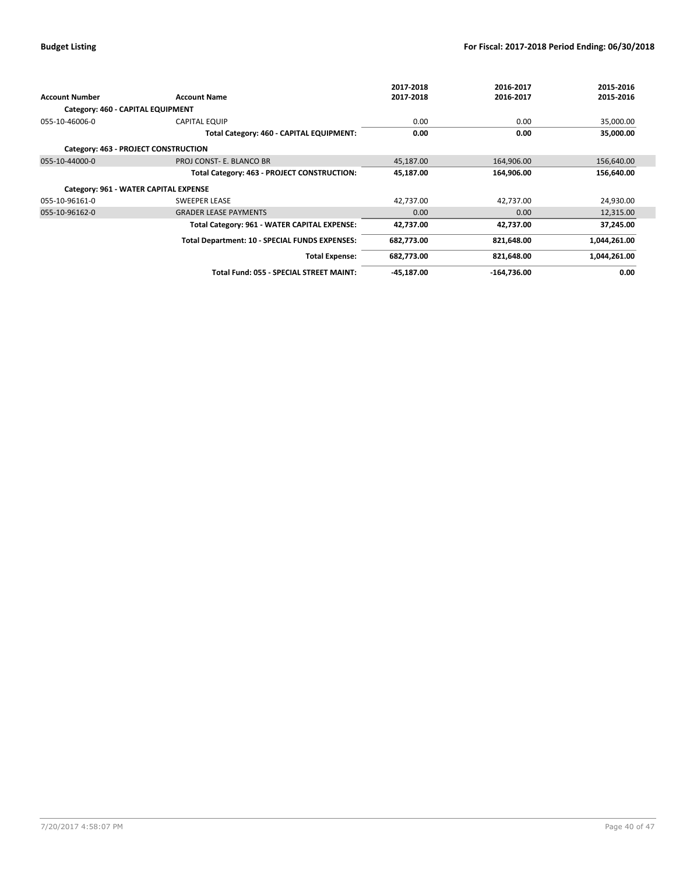|                                       |                                                | 2017-2018    | 2016-2017   | 2015-2016    |
|---------------------------------------|------------------------------------------------|--------------|-------------|--------------|
| <b>Account Number</b>                 | <b>Account Name</b>                            | 2017-2018    | 2016-2017   | 2015-2016    |
| Category: 460 - CAPITAL EQUIPMENT     |                                                |              |             |              |
| 055-10-46006-0                        | <b>CAPITAL EQUIP</b>                           | 0.00         | 0.00        | 35,000.00    |
|                                       | Total Category: 460 - CAPITAL EQUIPMENT:       | 0.00         | 0.00        | 35,000.00    |
| Category: 463 - PROJECT CONSTRUCTION  |                                                |              |             |              |
| 055-10-44000-0                        | PROJ CONST- E. BLANCO BR                       | 45,187.00    | 164,906.00  | 156,640.00   |
|                                       | Total Category: 463 - PROJECT CONSTRUCTION:    | 45,187.00    | 164,906.00  | 156,640.00   |
| Category: 961 - WATER CAPITAL EXPENSE |                                                |              |             |              |
| 055-10-96161-0                        | <b>SWEEPER LEASE</b>                           | 42,737.00    | 42,737.00   | 24,930.00    |
| 055-10-96162-0                        | <b>GRADER LEASE PAYMENTS</b>                   | 0.00         | 0.00        | 12,315.00    |
|                                       | Total Category: 961 - WATER CAPITAL EXPENSE:   | 42,737.00    | 42,737.00   | 37,245.00    |
|                                       | Total Department: 10 - SPECIAL FUNDS EXPENSES: | 682,773.00   | 821,648.00  | 1,044,261.00 |
|                                       | <b>Total Expense:</b>                          | 682,773.00   | 821,648.00  | 1,044,261.00 |
|                                       | Total Fund: 055 - SPECIAL STREET MAINT:        | $-45,187.00$ | -164,736.00 | 0.00         |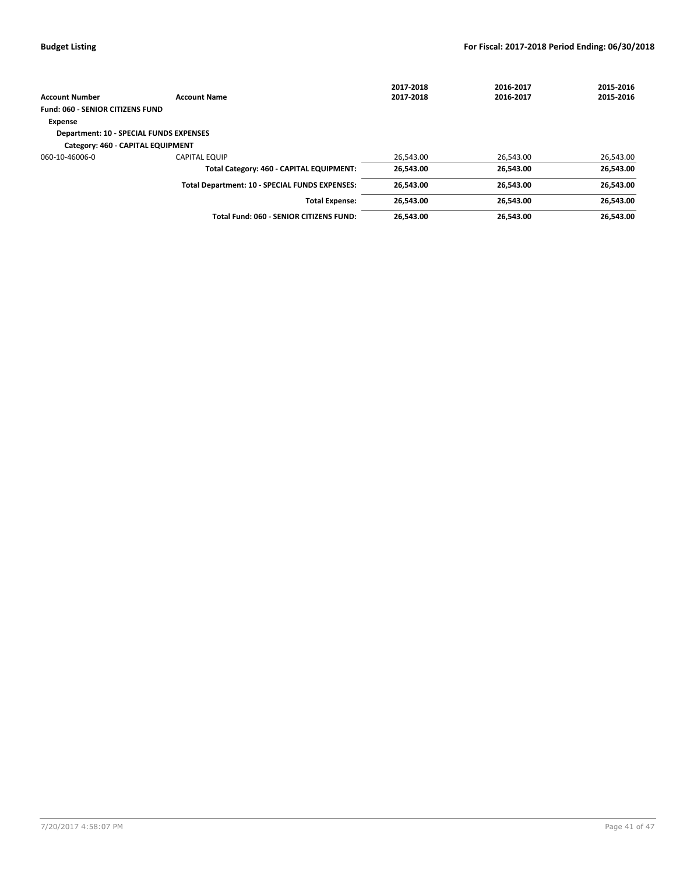|                                                |                                                | 2017-2018 | 2016-2017 | 2015-2016 |
|------------------------------------------------|------------------------------------------------|-----------|-----------|-----------|
| <b>Account Number</b>                          | <b>Account Name</b>                            | 2017-2018 | 2016-2017 | 2015-2016 |
| <b>Fund: 060 - SENIOR CITIZENS FUND</b>        |                                                |           |           |           |
| <b>Expense</b>                                 |                                                |           |           |           |
| <b>Department: 10 - SPECIAL FUNDS EXPENSES</b> |                                                |           |           |           |
| Category: 460 - CAPITAL EQUIPMENT              |                                                |           |           |           |
| 060-10-46006-0                                 | <b>CAPITAL EQUIP</b>                           | 26.543.00 | 26.543.00 | 26,543.00 |
|                                                | Total Category: 460 - CAPITAL EQUIPMENT:       | 26.543.00 | 26.543.00 | 26,543.00 |
|                                                | Total Department: 10 - SPECIAL FUNDS EXPENSES: | 26.543.00 | 26,543.00 | 26,543.00 |
|                                                | <b>Total Expense:</b>                          | 26.543.00 | 26.543.00 | 26.543.00 |
|                                                | Total Fund: 060 - SENIOR CITIZENS FUND:        | 26.543.00 | 26.543.00 | 26.543.00 |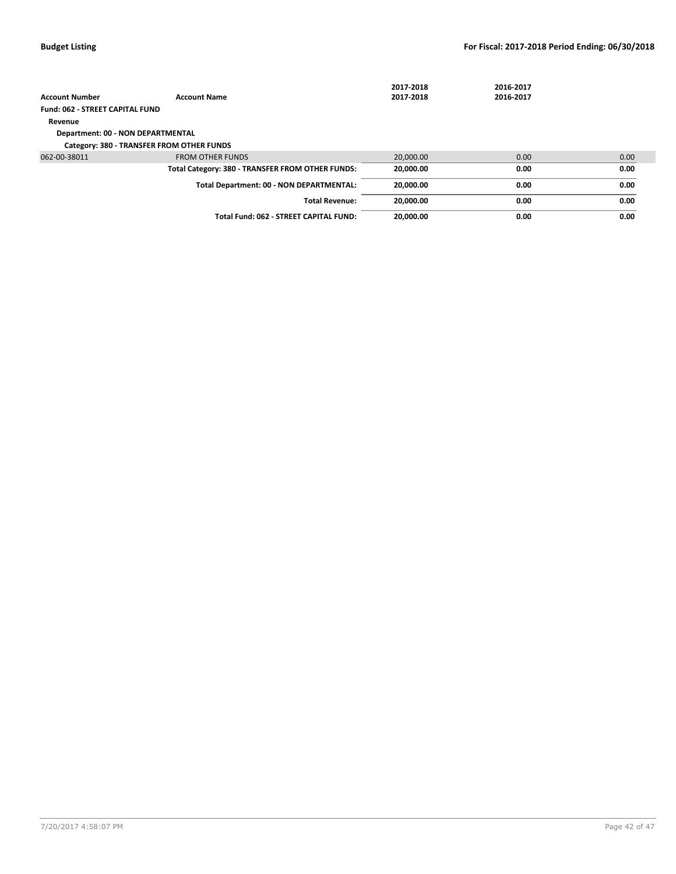|                                        |                                                  | 2017-2018 | 2016-2017 |                   |
|----------------------------------------|--------------------------------------------------|-----------|-----------|-------------------|
| <b>Account Number</b>                  | <b>Account Name</b>                              | 2017-2018 | 2016-2017 |                   |
| <b>Fund: 062 - STREET CAPITAL FUND</b> |                                                  |           |           |                   |
| Revenue                                |                                                  |           |           |                   |
|                                        | Department: 00 - NON DEPARTMENTAL                |           |           |                   |
|                                        | Category: 380 - TRANSFER FROM OTHER FUNDS        |           |           |                   |
| 062-00-38011                           | <b>FROM OTHER FUNDS</b>                          | 20,000.00 | 0.00      | 0.00 <sub>1</sub> |
|                                        | Total Category: 380 - TRANSFER FROM OTHER FUNDS: | 20,000.00 | 0.00      | 0.00              |
|                                        | Total Department: 00 - NON DEPARTMENTAL:         | 20.000.00 | 0.00      | 0.00              |
|                                        | <b>Total Revenue:</b>                            | 20.000.00 | 0.00      | 0.00              |
|                                        | Total Fund: 062 - STREET CAPITAL FUND:           | 20.000.00 | 0.00      | 0.00              |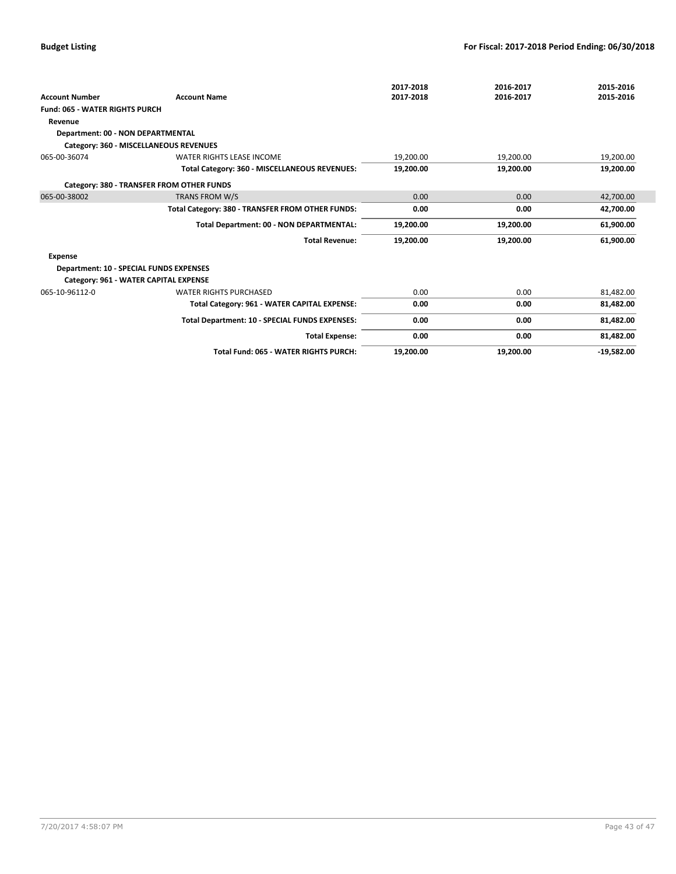| <b>Account Number</b>                          | <b>Account Name</b>                              | 2017-2018<br>2017-2018 | 2016-2017<br>2016-2017 | 2015-2016<br>2015-2016 |
|------------------------------------------------|--------------------------------------------------|------------------------|------------------------|------------------------|
| <b>Fund: 065 - WATER RIGHTS PURCH</b>          |                                                  |                        |                        |                        |
| Revenue                                        |                                                  |                        |                        |                        |
| Department: 00 - NON DEPARTMENTAL              |                                                  |                        |                        |                        |
|                                                | Category: 360 - MISCELLANEOUS REVENUES           |                        |                        |                        |
| 065-00-36074                                   | <b>WATER RIGHTS LEASE INCOME</b>                 | 19,200.00              | 19,200.00              | 19,200.00              |
|                                                | Total Category: 360 - MISCELLANEOUS REVENUES:    | 19,200.00              | 19,200.00              | 19,200.00              |
|                                                | Category: 380 - TRANSFER FROM OTHER FUNDS        |                        |                        |                        |
| 065-00-38002                                   | TRANS FROM W/S                                   | 0.00                   | 0.00                   | 42,700.00              |
|                                                | Total Category: 380 - TRANSFER FROM OTHER FUNDS: | 0.00                   | 0.00                   | 42,700.00              |
|                                                | Total Department: 00 - NON DEPARTMENTAL:         | 19,200.00              | 19,200.00              | 61,900.00              |
|                                                | <b>Total Revenue:</b>                            | 19,200.00              | 19,200.00              | 61,900.00              |
| <b>Expense</b>                                 |                                                  |                        |                        |                        |
| <b>Department: 10 - SPECIAL FUNDS EXPENSES</b> |                                                  |                        |                        |                        |
|                                                | Category: 961 - WATER CAPITAL EXPENSE            |                        |                        |                        |
| 065-10-96112-0                                 | <b>WATER RIGHTS PURCHASED</b>                    | 0.00                   | 0.00                   | 81,482.00              |
|                                                | Total Category: 961 - WATER CAPITAL EXPENSE:     | 0.00                   | 0.00                   | 81,482.00              |
|                                                | Total Department: 10 - SPECIAL FUNDS EXPENSES:   | 0.00                   | 0.00                   | 81,482.00              |
|                                                | <b>Total Expense:</b>                            | 0.00                   | 0.00                   | 81,482.00              |
|                                                | Total Fund: 065 - WATER RIGHTS PURCH:            | 19,200.00              | 19,200.00              | $-19,582.00$           |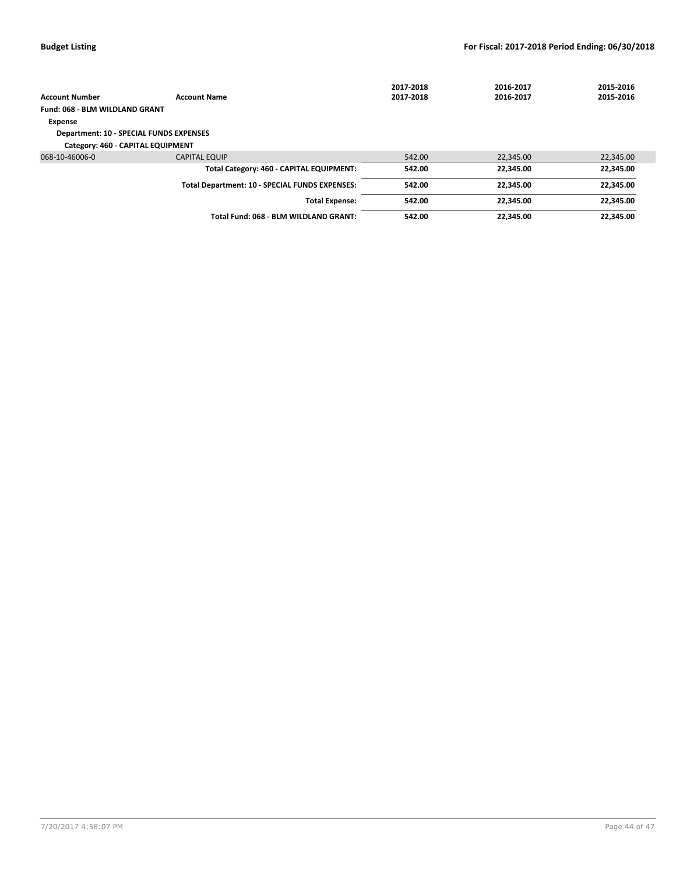|                                                |                                                | 2017-2018 | 2016-2017 | 2015-2016 |
|------------------------------------------------|------------------------------------------------|-----------|-----------|-----------|
| <b>Account Number</b>                          | <b>Account Name</b>                            | 2017-2018 | 2016-2017 | 2015-2016 |
| Fund: 068 - BLM WILDLAND GRANT                 |                                                |           |           |           |
| Expense                                        |                                                |           |           |           |
| <b>Department: 10 - SPECIAL FUNDS EXPENSES</b> |                                                |           |           |           |
| Category: 460 - CAPITAL EQUIPMENT              |                                                |           |           |           |
| 068-10-46006-0                                 | <b>CAPITAL EQUIP</b>                           | 542.00    | 22.345.00 | 22,345.00 |
|                                                | Total Category: 460 - CAPITAL EQUIPMENT:       | 542.00    | 22.345.00 | 22.345.00 |
|                                                | Total Department: 10 - SPECIAL FUNDS EXPENSES: | 542.00    | 22.345.00 | 22,345.00 |
|                                                | <b>Total Expense:</b>                          | 542.00    | 22.345.00 | 22.345.00 |
|                                                | Total Fund: 068 - BLM WILDLAND GRANT:          | 542.00    | 22.345.00 | 22,345.00 |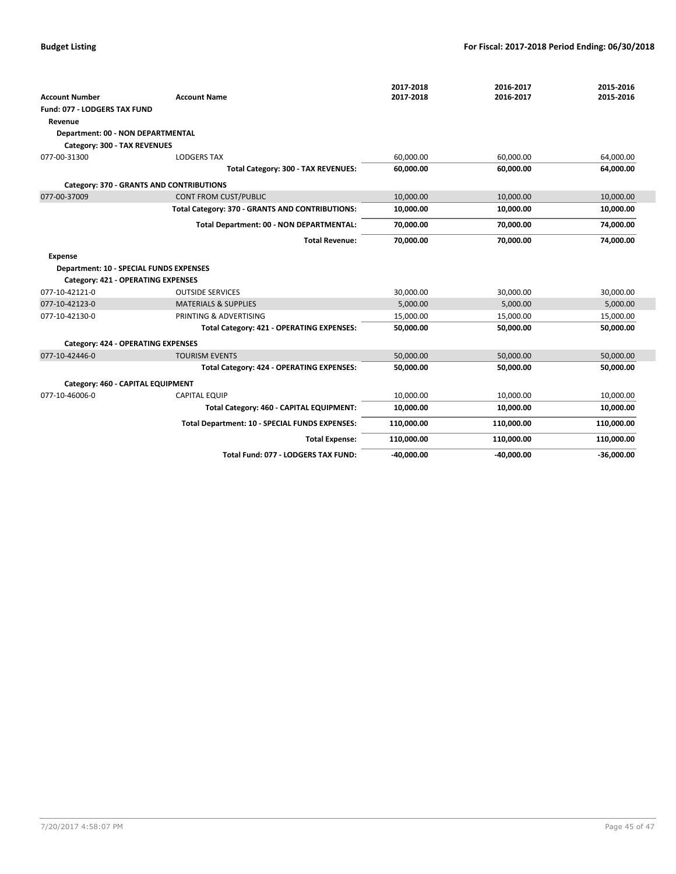|                                                |                                                 | 2017-2018    | 2016-2017    | 2015-2016    |
|------------------------------------------------|-------------------------------------------------|--------------|--------------|--------------|
| <b>Account Number</b>                          | <b>Account Name</b>                             | 2017-2018    | 2016-2017    | 2015-2016    |
| Fund: 077 - LODGERS TAX FUND                   |                                                 |              |              |              |
| Revenue                                        |                                                 |              |              |              |
| Department: 00 - NON DEPARTMENTAL              |                                                 |              |              |              |
| Category: 300 - TAX REVENUES                   |                                                 |              |              |              |
| 077-00-31300                                   | <b>LODGERS TAX</b>                              | 60.000.00    | 60,000.00    | 64,000.00    |
|                                                | Total Category: 300 - TAX REVENUES:             | 60,000.00    | 60,000.00    | 64,000.00    |
|                                                | Category: 370 - GRANTS AND CONTRIBUTIONS        |              |              |              |
| 077-00-37009                                   | <b>CONT FROM CUST/PUBLIC</b>                    | 10,000.00    | 10,000.00    | 10,000.00    |
|                                                | Total Category: 370 - GRANTS AND CONTRIBUTIONS: | 10,000.00    | 10,000.00    | 10,000.00    |
|                                                | Total Department: 00 - NON DEPARTMENTAL:        | 70,000.00    | 70,000.00    | 74,000.00    |
|                                                | <b>Total Revenue:</b>                           | 70,000.00    | 70,000.00    | 74,000.00    |
| <b>Expense</b>                                 |                                                 |              |              |              |
| <b>Department: 10 - SPECIAL FUNDS EXPENSES</b> |                                                 |              |              |              |
| Category: 421 - OPERATING EXPENSES             |                                                 |              |              |              |
| 077-10-42121-0                                 | <b>OUTSIDE SERVICES</b>                         | 30,000.00    | 30,000.00    | 30,000.00    |
| 077-10-42123-0                                 | <b>MATERIALS &amp; SUPPLIES</b>                 | 5,000.00     | 5,000.00     | 5,000.00     |
| 077-10-42130-0                                 | PRINTING & ADVERTISING                          | 15,000.00    | 15,000.00    | 15,000.00    |
|                                                | Total Category: 421 - OPERATING EXPENSES:       | 50,000.00    | 50,000.00    | 50,000.00    |
| Category: 424 - OPERATING EXPENSES             |                                                 |              |              |              |
| 077-10-42446-0                                 | <b>TOURISM EVENTS</b>                           | 50,000.00    | 50,000.00    | 50,000.00    |
|                                                | Total Category: 424 - OPERATING EXPENSES:       | 50,000.00    | 50,000.00    | 50.000.00    |
| Category: 460 - CAPITAL EQUIPMENT              |                                                 |              |              |              |
| 077-10-46006-0                                 | <b>CAPITAL EQUIP</b>                            | 10,000.00    | 10,000.00    | 10,000.00    |
|                                                | Total Category: 460 - CAPITAL EQUIPMENT:        | 10,000.00    | 10,000.00    | 10,000.00    |
|                                                | Total Department: 10 - SPECIAL FUNDS EXPENSES:  | 110,000.00   | 110,000.00   | 110,000.00   |
|                                                | <b>Total Expense:</b>                           | 110,000.00   | 110,000.00   | 110,000.00   |
|                                                | Total Fund: 077 - LODGERS TAX FUND:             | $-40,000.00$ | $-40,000.00$ | $-36,000.00$ |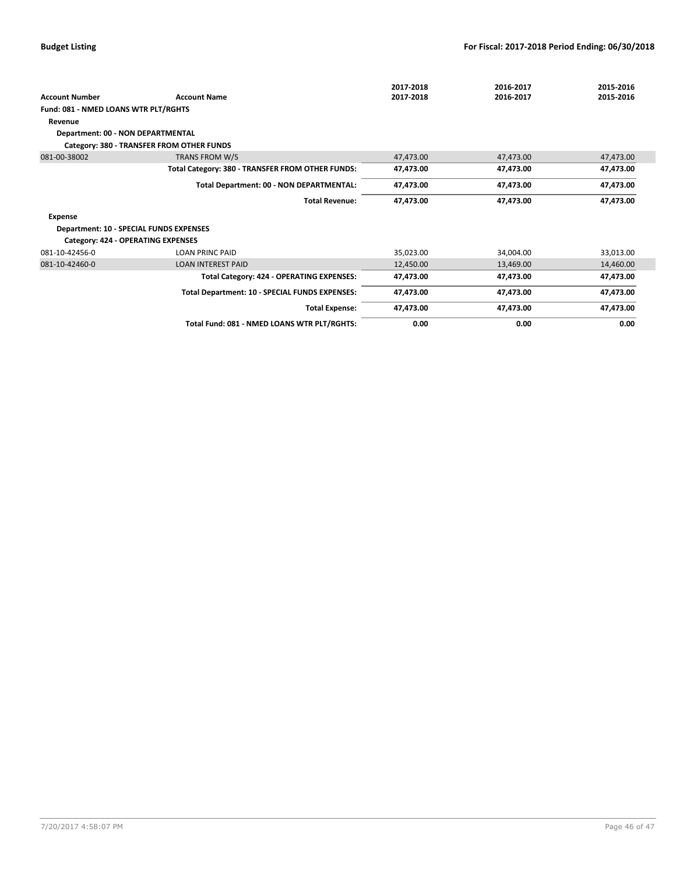|                                                |                                                  | 2017-2018 | 2016-2017 | 2015-2016 |
|------------------------------------------------|--------------------------------------------------|-----------|-----------|-----------|
| <b>Account Number</b>                          | <b>Account Name</b>                              | 2017-2018 | 2016-2017 | 2015-2016 |
| Fund: 081 - NMED LOANS WTR PLT/RGHTS           |                                                  |           |           |           |
| Revenue                                        |                                                  |           |           |           |
| Department: 00 - NON DEPARTMENTAL              |                                                  |           |           |           |
|                                                | Category: 380 - TRANSFER FROM OTHER FUNDS        |           |           |           |
| 081-00-38002                                   | TRANS FROM W/S                                   | 47,473.00 | 47,473.00 | 47,473.00 |
|                                                | Total Category: 380 - TRANSFER FROM OTHER FUNDS: | 47,473.00 | 47,473.00 | 47,473.00 |
|                                                | Total Department: 00 - NON DEPARTMENTAL:         | 47,473.00 | 47,473.00 | 47,473.00 |
|                                                | <b>Total Revenue:</b>                            | 47,473.00 | 47,473.00 | 47,473.00 |
| <b>Expense</b>                                 |                                                  |           |           |           |
| <b>Department: 10 - SPECIAL FUNDS EXPENSES</b> |                                                  |           |           |           |
| <b>Category: 424 - OPERATING EXPENSES</b>      |                                                  |           |           |           |
| 081-10-42456-0                                 | <b>LOAN PRINC PAID</b>                           | 35,023.00 | 34,004.00 | 33,013.00 |
| 081-10-42460-0                                 | <b>LOAN INTEREST PAID</b>                        | 12,450.00 | 13,469.00 | 14,460.00 |
|                                                | Total Category: 424 - OPERATING EXPENSES:        | 47,473.00 | 47,473.00 | 47,473.00 |
|                                                | Total Department: 10 - SPECIAL FUNDS EXPENSES:   | 47,473.00 | 47,473.00 | 47,473.00 |
|                                                | <b>Total Expense:</b>                            | 47,473.00 | 47,473.00 | 47,473.00 |
|                                                | Total Fund: 081 - NMED LOANS WTR PLT/RGHTS:      | 0.00      | 0.00      | 0.00      |